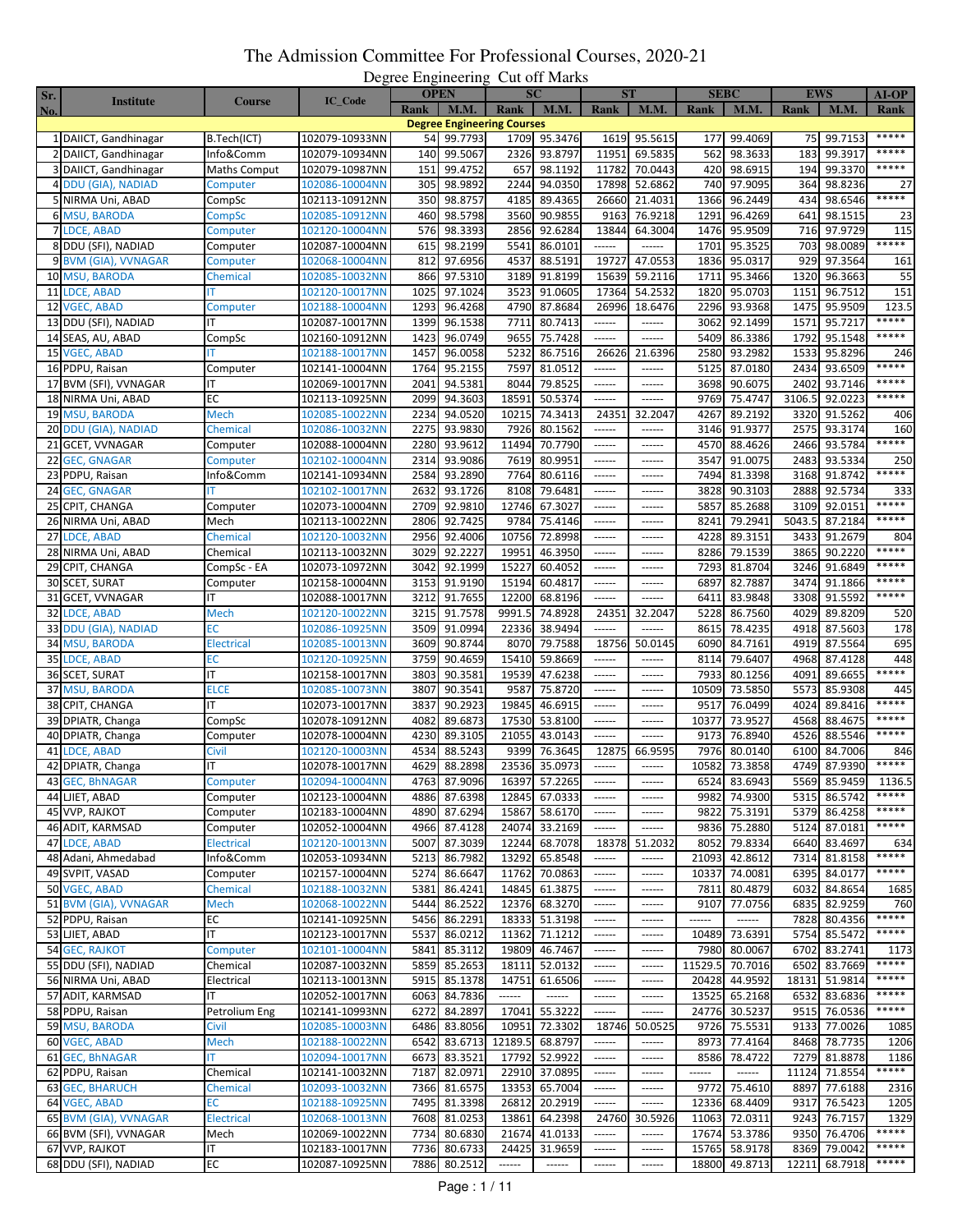| Sr. |                          |                   |                | Degree Lingmeeting | <b>OPEN</b>  |                                   | $\sim$<br><b>SC</b> |                                                                                                                                                                                                                                                                                                                                                                                                                                                                                        | <b>ST</b>     | <b>SEBC</b> |                 |             | EWS          | <b>AI-OP</b> |
|-----|--------------------------|-------------------|----------------|--------------------|--------------|-----------------------------------|---------------------|----------------------------------------------------------------------------------------------------------------------------------------------------------------------------------------------------------------------------------------------------------------------------------------------------------------------------------------------------------------------------------------------------------------------------------------------------------------------------------------|---------------|-------------|-----------------|-------------|--------------|--------------|
| No. | <b>Institute</b>         | <b>Course</b>     | <b>IC_Code</b> | <b>Rank</b>        | <b>M.M.</b>  | Rank                              | <b>M.M.</b>         | Rank                                                                                                                                                                                                                                                                                                                                                                                                                                                                                   | M.M.          | Rank        | <b>M.M.</b>     | <b>Rank</b> | <b>M.M.</b>  | Rank         |
|     |                          |                   |                |                    |              | <b>Degree Engineering Courses</b> |                     |                                                                                                                                                                                                                                                                                                                                                                                                                                                                                        |               |             |                 |             |              |              |
|     | 1 DAIICT, Gandhinagar    | B.Tech(ICT)       | 102079-10933NN | 54                 | 99.7793      |                                   | 1709 95.3476        | 1619                                                                                                                                                                                                                                                                                                                                                                                                                                                                                   | 95.5615       | 177         | 99.4069         | 75          | 99.7153      | *****        |
|     | 2 DAIICT, Gandhinagar    | Info&Comm         | 102079-10934NN | 140                | 99.5067      | 2326                              | 93.8797             | 11951                                                                                                                                                                                                                                                                                                                                                                                                                                                                                  | 69.5835       | 562         | 98.3633         | 183         | 99.3917      | *****        |
|     | 3 DAIICT, Gandhinagar    | Maths Comput      | 102079-10987NN | 151                | 99.4752      | 657                               | 98.1192             | 11782                                                                                                                                                                                                                                                                                                                                                                                                                                                                                  | 70.0443       | 420         | 98.6915         | 194         | 99.3370      | *****        |
|     | 4 DDU (GIA), NADIAD      | Computer          | 102086-10004NN | 305                | 98.9892      | 2244                              | 94.0350             | 17898                                                                                                                                                                                                                                                                                                                                                                                                                                                                                  | 52.6862       | 740         | 97.9095         | 364         | 98.8236      | 27           |
|     | 5 NIRMA Uni, ABAD        | CompSc            | 102113-10912NN | 350                | 98.8757      | 4185                              | 89.4365             | 26660                                                                                                                                                                                                                                                                                                                                                                                                                                                                                  | 21.4031       | 1366        | 96.2449         | 434         | 98.6546      | *****        |
|     | <b>6 MSU, BARODA</b>     | CompSc            | 102085-10912NN | 460                | 98.5798      | 3560                              | 90.9855             | 9163                                                                                                                                                                                                                                                                                                                                                                                                                                                                                   | 76.9218       | 1291        | 96.4269         | 641         | 98.1515      | 23           |
|     | 7 LDCE, ABAD             | Computer          | 102120-10004NN | 576                | 98.3393      | 2856                              | 92.6284             | 13844                                                                                                                                                                                                                                                                                                                                                                                                                                                                                  | 64.3004       | 1476        | 95.9509         | 716         | 97.9729      | 115          |
|     | 8 DDU (SFI), NADIAD      | Computer          | 102087-10004NN | 615                | 98.2199      | 5541                              | 86.0101             | ------                                                                                                                                                                                                                                                                                                                                                                                                                                                                                 | ------        | 1701        | 95.3525         | 703         | 98.0089      | *****        |
|     | 9 BVM (GIA), VVNAGAR     | Computer          | 102068-10004NN | 812                | 97.6956      | 4537                              | 88.5191             | 19727                                                                                                                                                                                                                                                                                                                                                                                                                                                                                  | 47.0553       | 1836        | 95.0317         | 929         | 97.3564      | 161          |
|     | 10 MSU, BARODA           | Chemical          | 102085-10032NN | 866                | 97.5310      | 3189                              | 91.8199             | 15639                                                                                                                                                                                                                                                                                                                                                                                                                                                                                  | 59.2116       | 1711        | 95.3466         | 1320        | 96.3663      | 55           |
| 11  | LDCE, ABAD               |                   | 102120-10017NN | 1025               | 97.1024      | 3523                              | 91.0605             | 17364                                                                                                                                                                                                                                                                                                                                                                                                                                                                                  | 54.2532       | 1820        | 95.0703         | 1151        | 96.7512      | 151          |
|     | 12 VGEC, ABAD            | Computer          | 102188-10004NN | 1293               | 96.4268      | 4790                              | 87.8684             | 26996                                                                                                                                                                                                                                                                                                                                                                                                                                                                                  | 18.6476       | 2296        | 93.9368         | 1475        | 95.9509      | 123.5        |
|     | 13 DDU (SFI), NADIAD     | ΙT                | 102087-10017NN | 1399               | 96.1538      | 7711                              | 80.7413             | ------                                                                                                                                                                                                                                                                                                                                                                                                                                                                                 | ------        | 3062        | 92.1499         | 1571        | 95.7217      | *****        |
|     | 14 SEAS, AU, ABAD        | CompSc            | 102160-10912NN | 1423               | 96.0749      | 9655                              | 75.7428             | $\sim$ - $\sim$ - $\sim$                                                                                                                                                                                                                                                                                                                                                                                                                                                               | ------        | 5409        | 86.3386         | 1792        | 95.1548      | *****        |
|     | 15 VGEC, ABAD            | т                 | 102188-10017NN | 1457               | 96.0058      | 5232                              | 86.7516             | 26626                                                                                                                                                                                                                                                                                                                                                                                                                                                                                  | 21.6396       | 2580        | 93.2982         | 1533        | 95.8296      | 246          |
|     | 16 PDPU, Raisan          | Computer          | 102141-10004NN | 1764               | 95.2155      | 7597                              | 81.0512             | ------                                                                                                                                                                                                                                                                                                                                                                                                                                                                                 | ------        | 5125        | 87.0180         | 2434        | 93.6509      | *****        |
|     | 17 BVM (SFI), VVNAGAR    | ΙT                | 102069-10017NN | 2041               | 94.5381      | 8044                              | 79.8525             | ------                                                                                                                                                                                                                                                                                                                                                                                                                                                                                 | ------        | 3698        | 90.6075         | 2402        | 93.7146      | *****        |
|     | 18 NIRMA Uni, ABAD       | EC                | 102113-10925NN | 2099               | 94.3603      | 18591                             | 50.5374             | $- - - - - -$                                                                                                                                                                                                                                                                                                                                                                                                                                                                          | ------        | 9769        | 75.4747         | 3106.       | 92.0223      | *****        |
|     | 19 MSU, BARODA           | Mech              | 102085-10022NN | 2234               | 94.0520      | 10215                             | 74.3413             | 24351                                                                                                                                                                                                                                                                                                                                                                                                                                                                                  | 32.2047       | 4267        | 89.2192         | 3320        | 91.5262      | 406          |
|     | 20 DDU (GIA), NADIAD     | Chemical          | 102086-10032NN | 2275               | 93.9830      | 7926                              | 80.1562             | ------                                                                                                                                                                                                                                                                                                                                                                                                                                                                                 | ------        | 3146        | 91.9377         | 2575        | 93.3174      | 160          |
|     | 21 GCET, VVNAGAR         | Computer          | 102088-10004NN | 2280               | 93.9612      | 11494                             | 70.7790             |                                                                                                                                                                                                                                                                                                                                                                                                                                                                                        | ------        | 4570        | 88.4626         | 2466        | 93.5784      | *****        |
| 22  | <b>GEC, GNAGAR</b>       | Computer          | 102102-10004NN | 2314               | 93.9086      | 7619                              | 80.9951             | ------                                                                                                                                                                                                                                                                                                                                                                                                                                                                                 | ------        | 3547        | 91.0075         | 2483        | 93.5334      | 250          |
|     | 23 PDPU, Raisan          | Info&Comm         | 102141-10934NN | 2584               | 93.2890      | 7764                              | 80.6116             | $1 - 1 - 1 - 1$                                                                                                                                                                                                                                                                                                                                                                                                                                                                        | ------        | 7494        | 81.3398         | 3168        | 91.8742      | *****        |
|     | 24 GEC, GNAGAR           |                   | 102102-10017NN | 2632               | 93.1726      | 8108                              | 79.6481             | ------                                                                                                                                                                                                                                                                                                                                                                                                                                                                                 | ------        | 3828        | 90.3103         | 2888        | 92.5734      | 333          |
| 25  | CPIT, CHANGA             | Computer          | 102073-10004NN | 2709               | 92.9810      | 12746                             | 67.3027             | $-----1$                                                                                                                                                                                                                                                                                                                                                                                                                                                                               | ------        | 5857        | 85.2688         | 3109        | 92.015       | *****        |
|     | 26 NIRMA Uni, ABAD       | Mech              | 102113-10022NN | 2806               | 92.7425      | 9784                              | 75.4146             | ------                                                                                                                                                                                                                                                                                                                                                                                                                                                                                 | ------        | 8241        | 79.2941         | 5043.5      | 87.2184      | *****        |
| 27  | <b>LDCE, ABAD</b>        | Chemical          | 102120-10032NN | 2956               | 92.4006      | 10756                             | 72.8998             | ------                                                                                                                                                                                                                                                                                                                                                                                                                                                                                 | ------        | 4228        | 89.3151         | 3433        | 91.2679      | 804          |
|     | 28 NIRMA Uni, ABAD       | Chemical          | 102113-10032NN | 3029               | 92.2227      | 19951                             | 46.3950             | $-----$                                                                                                                                                                                                                                                                                                                                                                                                                                                                                | ------        | 8286        | 79.1539         | 3865        | 90.2220      | *****        |
|     | 29 CPIT, CHANGA          | CompSc - EA       | 102073-10972NN | 3042               | 92.1999      | 15227                             | 60.4052             | ------                                                                                                                                                                                                                                                                                                                                                                                                                                                                                 | ------        | 7293        | 81.8704         | 3246        | 91.6849      | *****        |
|     | 30 SCET, SURAT           | Computer          | 102158-10004NN | 3153               | 91.9190      | 15194                             | 60.4817             | $- - - - - -$                                                                                                                                                                                                                                                                                                                                                                                                                                                                          | ------        | 6897        | 82.7887         | 3474        | 91.1866      | *****        |
|     | 31 GCET, VVNAGAR         | ΙT                | 102088-10017NN | 3212               | 91.7655      | 12200                             | 68.8196             | ------                                                                                                                                                                                                                                                                                                                                                                                                                                                                                 | ------        | 6411        | 83.9848         | 3308        | 91.5592      | *****        |
|     | 32 LDCE, ABAD            | Mech              | 102120-10022NN | 3215               | 91.7578      | 9991.5                            | 74.8928             | 24351                                                                                                                                                                                                                                                                                                                                                                                                                                                                                  | 32.2047       | 5228        | 86.7560         | 4029        | 89.8209      | 520          |
| 33  | <b>DDU (GIA), NADIAD</b> | ЕC                | 102086-10925NN | 3509               | 91.0994      | 22336                             | 38.9494             | ------                                                                                                                                                                                                                                                                                                                                                                                                                                                                                 | ------        | 8615        | 78.4235         | 4918        | 87.5603      | 178          |
| 34  | <b>MSU, BARODA</b>       | <b>Electrical</b> | 102085-10013NN | 3609               | 90.8744      | 8070                              | 79.7588             | 18756                                                                                                                                                                                                                                                                                                                                                                                                                                                                                  | 50.0145       | 6090        | 84.7161         | 4919        | 87.5564      | 695          |
|     | 35 LDCE, ABAD            | ЕC                | 102120-10925NN | 3759               | 90.4659      | 15410                             | 59.8669             | ------                                                                                                                                                                                                                                                                                                                                                                                                                                                                                 | ------        | 8114        | 79.6407         | 4968        | 87.4128      | 448          |
| 36  | <b>SCET, SURAT</b>       | IT                | 102158-10017NN | 3803               | 90.3581      | 19539                             | 47.6238             | ------                                                                                                                                                                                                                                                                                                                                                                                                                                                                                 | ------        | 7933        | 80.1256         | 409         | 89.6655      | *****        |
|     | 37 MSU, BARODA           | <b>ELCE</b>       | 102085-10073NN | 3807               | 90.3541      | 9587                              | 75.8720             | ------                                                                                                                                                                                                                                                                                                                                                                                                                                                                                 | ------        | 10509       | 73.5850         | 5573        | 85.9308      | 445          |
|     | 38 CPIT, CHANGA          | ΙT                | 102073-10017NN | 3837               | 90.2923      | 19845                             | 46.6915             | ------                                                                                                                                                                                                                                                                                                                                                                                                                                                                                 | ------        | 9517        | 76.0499         | 4024        | 89.8416      | *****        |
|     | 39 DPIATR, Changa        | CompSc            | 102078-10912NN | 4082               | 89.6873      | 17530                             | 53.8100             | $\cdots \cdots \cdots$                                                                                                                                                                                                                                                                                                                                                                                                                                                                 | $-----1$      | 10377       | 73.9527         | 4568        | 88.4675      | *****        |
|     | 40 DPIATR, Changa        | Computer          | 102078-10004NN | 4230               | 89.3105      | 21055                             | 43.0143             | ------                                                                                                                                                                                                                                                                                                                                                                                                                                                                                 | ------        | 9173        | 76.8940         | 4526        | 88.5546      | *****        |
| 41  | LDCE, ABAD               | Civil             | 102120-10003NN | 4534               | 88.5243      | 9399                              | 76.3645             | 12875                                                                                                                                                                                                                                                                                                                                                                                                                                                                                  | 66.9595       | 7976        | 80.0140         | 6100        | 84.7006      | 846          |
| 42  | DPIATR, Changa           | IT                | 102078-10017NN | 4629               | 88.2898      | 23536                             | 35.0973             | ------                                                                                                                                                                                                                                                                                                                                                                                                                                                                                 | ------        | 10582       | 73.3858         | 4749        | 87.9390      | *****        |
|     | 43 GEC, BRNAGAR          | Computer          | 102094-10004NN |                    | 4763 87.9096 |                                   | 16397 57.2265       | ------                                                                                                                                                                                                                                                                                                                                                                                                                                                                                 | ------        |             | 6524 83.6943    |             | 5569 85.9459 | 1136.5       |
|     | 44 LJIET, ABAD           | Computer          | 102123-10004NN |                    | 4886 87.6398 |                                   | 12845 67.0333       | $- - - - - -$                                                                                                                                                                                                                                                                                                                                                                                                                                                                          | ------        |             | 9982 74.9300    | 5315        | 86.5742      | *****        |
|     | 45 VVP, RAJKOT           | Computer          | 102183-10004NN |                    | 4890 87.6294 |                                   | 15867 58.6170       | $-----1$                                                                                                                                                                                                                                                                                                                                                                                                                                                                               | ------        | 9822        | 75.3191         | 5379        | 86.4258      | *****        |
|     | 46 ADIT, KARMSAD         | Computer          | 102052-10004NN |                    | 4966 87.4128 |                                   | 24074 33.2169       | $-----1$                                                                                                                                                                                                                                                                                                                                                                                                                                                                               | ------        |             | 9836 75.2880    | 5124        | 87.0181      | *****        |
|     | 47 LDCE, ABAD            | <b>Electrical</b> | 102120-10013NN |                    | 5007 87.3039 |                                   | 12244 68.7078       | 18378                                                                                                                                                                                                                                                                                                                                                                                                                                                                                  | 51.2032       | 8052        | 79.8334         | 6640        | 83.4697      | 634          |
|     | 48 Adani, Ahmedabad      | Info&Comm         | 102053-10934NN | 5213               | 86.7982      |                                   | 13292 65.8548       | ------                                                                                                                                                                                                                                                                                                                                                                                                                                                                                 | ------        |             | 21093 42.8612   | 7314        | 81.8158      | *****        |
|     | 49 SVPIT, VASAD          | Computer          | 102157-10004NN |                    | 5274 86.6647 |                                   | 11762 70.0863       | ------                                                                                                                                                                                                                                                                                                                                                                                                                                                                                 | ------        | 10337       | 74.0081         | 6395        | 84.0177      | *****        |
|     | 50 VGEC, ABAD            | Chemical          | 102188-10032NN | 5381               | 86.4241      |                                   | 14845 61.3875       | $\begin{array}{cccccccccc} \multicolumn{2}{c}{} & \multicolumn{2}{c}{} & \multicolumn{2}{c}{} & \multicolumn{2}{c}{} & \multicolumn{2}{c}{} & \multicolumn{2}{c}{} & \multicolumn{2}{c}{} & \multicolumn{2}{c}{} & \multicolumn{2}{c}{} & \multicolumn{2}{c}{} & \multicolumn{2}{c}{} & \multicolumn{2}{c}{} & \multicolumn{2}{c}{} & \multicolumn{2}{c}{} & \multicolumn{2}{c}{} & \multicolumn{2}{c}{} & \multicolumn{2}{c}{} & \multicolumn{2}{c}{} & \multicolumn{2}{c}{} & \mult$ | $-----1$      | 7811        | 80.4879         | 6032        | 84.8654      | 1685         |
|     | 51 BVM (GIA), VVNAGAR    | Mech              | 102068-10022NN |                    | 5444 86.2522 |                                   | 12376 68.3270       | ------                                                                                                                                                                                                                                                                                                                                                                                                                                                                                 |               | 9107        | 77.0756         | 6835        | 82.9259      | 760          |
|     | 52 PDPU, Raisan          | EC                | 102141-10925NN | 5456               | 86.2291      |                                   | 18333 51.3198       | ------                                                                                                                                                                                                                                                                                                                                                                                                                                                                                 | ------        | ------      | ------          | 7828        | 80.4356      | *****        |
|     | 53 LJIET, ABAD           | IT.               | 102123-10017NN | 5537               | 86.0212      |                                   | 11362 71.1212       | $\cdots$                                                                                                                                                                                                                                                                                                                                                                                                                                                                               | ------        | 10489       | 73.6391         | 5754        | 85.5472      | *****        |
|     | <b>54 GEC, RAJKOT</b>    | Computer          | 102101-10004NN | 5841               | 85.3112      |                                   | 19809 46.7467       | ------                                                                                                                                                                                                                                                                                                                                                                                                                                                                                 | ------        | 7980        | 80.0067         | 6702        | 83.2741      | 1173         |
|     | 55 DDU (SFI), NADIAD     | Chemical          | 102087-10032NN | 5859               | 85.2653      |                                   | 18111 52.0132       | $1 - 1 - 1 - 1$                                                                                                                                                                                                                                                                                                                                                                                                                                                                        |               |             | 11529.5 70.7016 | 6502        | 83.7669      | *****        |
|     | 56 NIRMA Uni, ABAD       | Electrical        | 102113-10013NN | 5915               | 85.1378      | 14751                             | 61.6506             | ------                                                                                                                                                                                                                                                                                                                                                                                                                                                                                 | ------        | 20428       | 44.9592         | 18131       | 51.9814      | *****        |
|     | 57 ADIT, KARMSAD         | ΙT                | 102052-10017NN |                    | 6063 84.7836 | ------                            |                     | $- - - - - -$                                                                                                                                                                                                                                                                                                                                                                                                                                                                          | $- - - - - -$ | 13525       | 65.2168         | 6532        | 83.6836      | *****        |
|     | 58 PDPU, Raisan          | Petrolium Eng     | 102141-10993NN | 6272               | 84.2897      | 17041                             | 55.3222             | $-----1$                                                                                                                                                                                                                                                                                                                                                                                                                                                                               | ------        |             | 24776 30.5237   | 9515        | 76.0536      | *****        |
|     | 59 MSU, BARODA           | Civil             | 102085-10003NN | 6486               | 83.8056      | 10951                             | 72.3302             | 18746                                                                                                                                                                                                                                                                                                                                                                                                                                                                                  | 50.0525       | 9726        | 75.5531         | 9133        | 77.0026      | 1085         |
|     | 60 VGEC, ABAD            | Mech              | 102188-10022NN | 6542               | 83.6713      | 12189.5                           | 68.8797             | ------                                                                                                                                                                                                                                                                                                                                                                                                                                                                                 | ------        | 8973        | 77.4164         | 8468        | 78.7735      | 1206         |
|     | 61 GEC, BhNAGAR          | т                 | 102094-10017NN | 6673               | 83.3521      |                                   | 17792 52.9922       | ------                                                                                                                                                                                                                                                                                                                                                                                                                                                                                 | ------        | 8586        | 78.4722         | 7279        | 81.8878      | 1186         |
|     | 62 PDPU, Raisan          | Chemical          | 102141-10032NN |                    | 7187 82.0971 |                                   | 22910 37.0895       | ------                                                                                                                                                                                                                                                                                                                                                                                                                                                                                 | ------        | ------      | ------          | 11124       | 71.8554      | *****        |
|     | <b>63 GEC, BHARUCH</b>   | <b>Chemical</b>   | 102093-10032NN |                    | 7366 81.6575 |                                   | 13353 65.7004       | ------                                                                                                                                                                                                                                                                                                                                                                                                                                                                                 |               | 9772        | 75.4610         | 8897        | 77.6188      | 2316         |
|     | 64 VGEC, ABAD            | ЕC                | 102188-10925NN | 7495               | 81.3398      |                                   | 26812 20.2919       | $\cdots \cdots \cdots$                                                                                                                                                                                                                                                                                                                                                                                                                                                                 | ------        |             | 12336 68.4409   | 9317        | 76.5423      | 1205         |
|     | 65 BVM (GIA), VVNAGAR    | <b>Electrical</b> | 102068-10013NN |                    | 7608 81.0253 |                                   | 13861 64.2398       | 24760                                                                                                                                                                                                                                                                                                                                                                                                                                                                                  | 30.5926       |             | 11063 72.0311   | 9243        | 76.7157      | 1329         |
|     | 66 BVM (SFI), VVNAGAR    | Mech              | 102069-10022NN |                    | 7734 80.6830 |                                   | 21674 41.0133       | ------                                                                                                                                                                                                                                                                                                                                                                                                                                                                                 | ------        |             | 17674 53.3786   | 9350        | 76.4706      | *****        |
|     | 67 VVP, RAJKOT           | ΙT                | 102183-10017NN | 7736               | 80.6733      | 24425                             | 31.9659             | ------                                                                                                                                                                                                                                                                                                                                                                                                                                                                                 | ------        |             | 15765 58.9178   | 8369        | 79.0042      | *****        |
|     | 68 DDU (SFI), NADIAD     | ЕC                | 102087-10925NN | 7886               | 80.2512      | ------                            | $-----1$            | ------                                                                                                                                                                                                                                                                                                                                                                                                                                                                                 | ------        |             | 18800 49.8713   | 12211       | 68.7918      | *****        |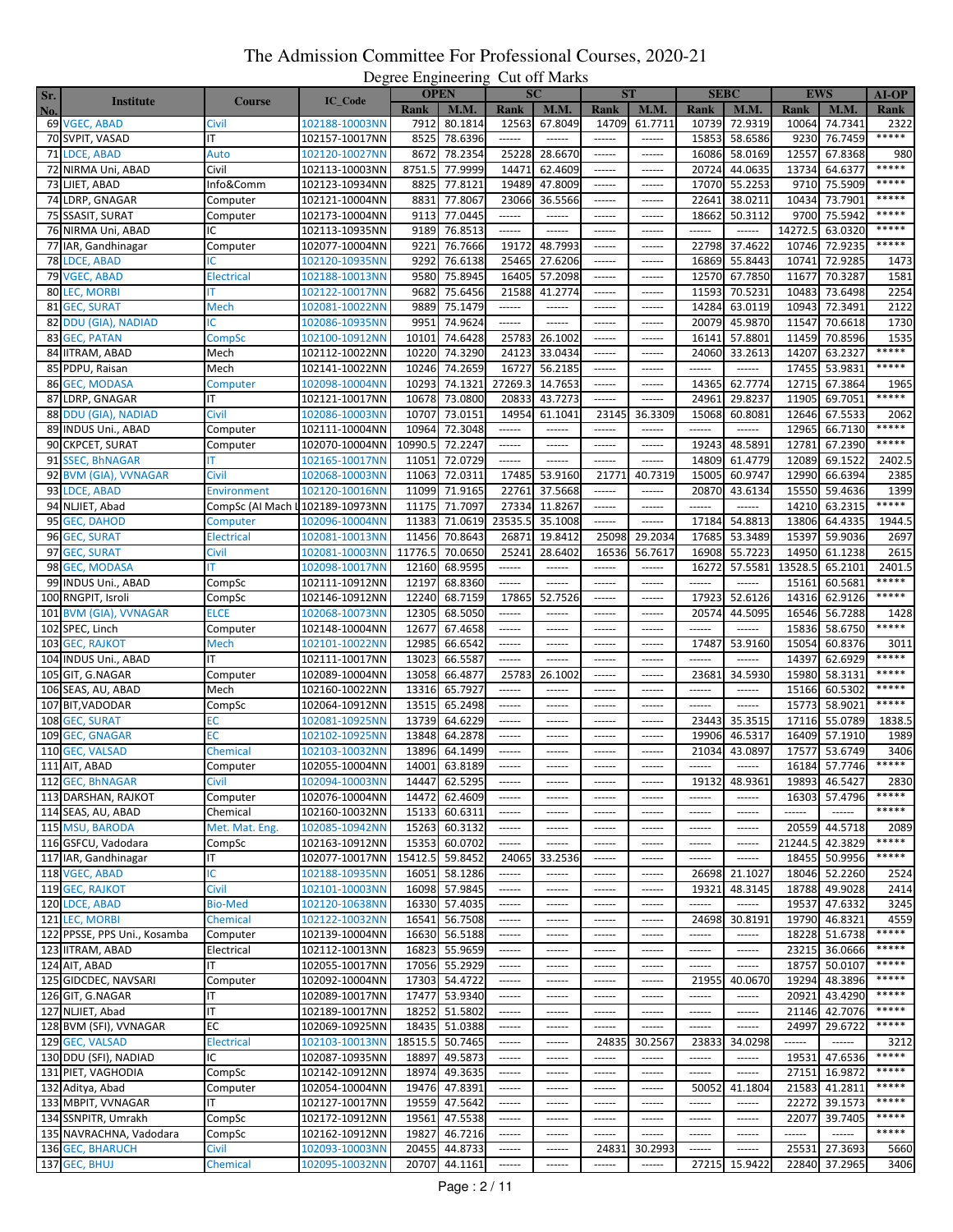| Sr. |                              |                                 |                |         | Desire Lugniering<br><b>OPEN</b> |                        | $\mathbf{u}$<br><b>SC</b> | <b>ST</b>   |                        |                        | <b>SEBC</b>   |             | <b>EWS</b>    | $AI-OP$       |
|-----|------------------------------|---------------------------------|----------------|---------|----------------------------------|------------------------|---------------------------|-------------|------------------------|------------------------|---------------|-------------|---------------|---------------|
|     | <b>Institute</b>             | <b>Course</b>                   | <b>IC_Code</b> |         | <b>M.M.</b>                      |                        | M.M.                      | <b>Rank</b> | <b>M.M.</b>            | <b>Rank</b>            | <b>M.M.</b>   | <b>Rank</b> | M.M.          |               |
| No. | 69 VGEC, ABAD                |                                 |                | Rank    |                                  | Rank<br>12563          | 67.8049                   | 14709       | 61.7711                | 10739                  | 72.9319       | 10064       | 74.7341       | Rank<br>2322  |
|     |                              | Civil                           | 102188-10003NN | 7912    | 80.1814                          |                        |                           |             |                        |                        |               |             |               | *****         |
|     | 70 SVPIT, VASAD              | ΙT                              | 102157-10017NN | 8525    | 78.6396                          | ------                 | ------                    | ------      | ------                 | 15853                  | 58.6586       | 9230        | 76.7459       |               |
| 71  | <b>LDCE, ABAD</b>            | Auto                            | 102120-10027NN | 8672    | 78.2354                          | 25228                  | 28.6670                   | ------      | ------                 | 16086                  | 58.0169       | 12557       | 67.8368       | 980<br>*****  |
| 72  | NIRMA Uni, ABAD              | Civil                           | 102113-10003NN | 8751.5  | 77.9999                          | 14471                  | 62.4609                   | ------      | ------                 | 20724                  | 44.0635       | 13734       | 64.637        |               |
|     | 73 LJIET, ABAD               | Info&Comm                       | 102123-10934NN | 8825    | 77.8121                          | 19489                  | 47.8009                   | ------      | ------                 | 17070                  | 55.2253       | 9710        | 75.5909       | *****         |
|     | 74 LDRP, GNAGAR              | Computer                        | 102121-10004NN | 8831    | 77.8067                          | 23066                  | 36.5566                   | ------      | ------                 | 22641                  | 38.0211       | 10434       | 73.790        | *****         |
| 75  | <b>SSASIT, SURAT</b>         | Computer                        | 102173-10004NN | 9113    | 77.0445                          | ------                 | ------                    | ------      | ------                 | 18662                  | 50.3112       | 9700        | 75.5942       | *****         |
|     | 76 NIRMA Uni, ABAD           | ΙC                              | 102113-10935NN | 9189    | 76.8513                          | ------                 | $\cdots \cdots \cdots$    | ------      | ------                 | ------                 | ------        | 14272.5     | 63.0320       | *****         |
|     | 77 IAR, Gandhinagar          | Computer                        | 102077-10004NN | 9221    | 76.7666                          | 19172                  | 48.7993                   | ------      | ------                 | 22798                  | 37.4622       | 10746       | 72.9235       | *****         |
|     | 78 LDCE, ABAD                | C                               | 102120-10935NN | 9292    | 76.6138                          | 25465                  | 27.6206                   | ------      | ------                 | 16869                  | 55.8443       | 10741       | 72.9285       | 1473          |
| 79  | <b>VGEC, ABAD</b>            | <b>Electrical</b>               | 102188-10013NN | 9580    | 75.8945                          | 16405                  | 57.2098                   | ------      | ------                 | 12570                  | 67.7850       | 11677       | 70.3287       | 1581          |
| 80  | <b>LEC, MORBI</b>            |                                 | 102122-10017NN | 9682    | 75.6456                          | 21588                  | 41.2774                   | ------      | ------                 | 11593                  | 70.523        | 10483       | 73.6498       | 2254          |
| 81  | <b>GEC, SURAT</b>            | Mech                            | 102081-10022NN | 9889    | 75.1479                          | ------                 | ------                    | ------      | ------                 | 14284                  | 63.0119       | 10943       | 72.3491       | 2122          |
| 82  | <b>DDU (GIA), NADIAD</b>     | IC                              | 102086-10935NN | 9951    | 74.9624                          | ------                 | ------                    | ------      | ------                 | 20079                  | 45.9870       | 11547       | 70.6618       | 1730          |
|     |                              |                                 |                |         |                                  |                        |                           | ------      | ------                 | 16141                  |               |             |               |               |
| 83  | <b>GEC, PATAN</b>            | CompSc                          | 102100-10912NN | 10101   | 74.6428                          | 25783                  | 26.1002                   |             |                        |                        | 57.8801       | 11459       | 70.8596       | 1535<br>***** |
|     | 84 IITRAM, ABAD              | Mech                            | 102112-10022NN | 10220   | 74.3290                          | 24123                  | 33.0434                   | ------      | ------                 | 24060                  | 33.2613       | 14207       | 63.2327       | *****         |
|     | 85 PDPU, Raisan              | Mech                            | 102141-10022NN | 10246   | 74.2659                          | 16727                  | 56.2185                   | ------      | ------                 | ------                 | ------        | 17455       | 53.983        |               |
| 86  | <b>GEC, MODASA</b>           | Computer                        | 102098-10004NN | 10293   | 74.1321                          | 27269.3                | 14.7653                   | ------      | ------                 | 14365                  | 62.7774       | 12715       | 67.3864       | 1965          |
| 87  | LDRP, GNAGAR                 | ΙT                              | 102121-10017NN | 10678   | 73.0800                          | 20833                  | 43.7273                   | ------      | ------                 | 2496:                  | 29.8237       | 11905       | 69.7051       | *****         |
| 88  | <b>DDU (GIA), NADIAD</b>     | Civil                           | 102086-10003NN | 10707   | 73.0151                          | 14954                  | 61.1041                   | 23145       | 36.3309                | 15068                  | 60.8081       | 12646       | 67.5533       | 2062          |
| 89  | <b>INDUS Uni., ABAD</b>      | Computer                        | 102111-10004NN | 10964   | 72.3048                          | ------                 | ------                    | ------      | ------                 | ------                 | ------        | 12965       | 66.7130       | *****         |
|     | 90 CKPCET, SURAT             | Computer                        | 102070-10004NN | 10990.5 | 72.2247                          |                        | $- - - - - -$             | ------      | ------                 | 19243                  | 48.589        | 12781       | 67.2390       | *****         |
| 91  | <b>SSEC. BhNAGAR</b>         | т                               | 102165-10017NN | 11051   | 72.0729                          | ------                 | ------                    | ------      | ------                 | 14809                  | 61.4779       | 12089       | 69.1522       | 2402.5        |
| 92  | <b>BVM (GIA), VVNAGAR</b>    | Civil                           | 102068-10003NN | 11063   | 72.0311                          | 17485                  | 53.9160                   | 2177        | 40.7319                | 15005                  | 60.9747       | 12990       | 66.6394       | 2385          |
| 93  | <b>LDCE, ABAD</b>            | Environment                     | 102120-10016NN | 11099   | 71.9165                          | 22761                  | 37.5668                   | ------      | ------                 | 20870                  | 43.6134       | 15550       | 59.4636       | 1399          |
|     | 94 NLJIET, Abad              | CompSc (AI Mach L102189-10973NN |                | 11175   | 71.7097                          | 27334                  | 11.8267                   | ------      | $- - - - - -$          | ------                 | $-----1$      | 14210       | 63.2315       | *****         |
|     |                              |                                 | 102096-10004NN | 11383   | 71.0619                          | 23535.5                | 35.1008                   | ------      |                        | 17184                  |               | 13806       | 64.4335       | 1944.5        |
|     | 95 GEC, DAHOD                | Computer                        |                |         |                                  |                        |                           |             |                        |                        | 54.8813       |             |               |               |
| 96  | <b>GEC, SURAT</b>            | Electrical                      | 102081-10013NN | 11456   | 70.8643                          | 26871                  | 19.8412                   | 25098       | 29.2034                | 17685                  | 53.3489       | 15397       | 59.9036       | 2697          |
| 97  | <b>GEC, SURAT</b>            | Civil                           | 102081-10003NN | 11776.5 | 70.0650                          | 25241                  | 28.6402                   | 16536       | 56.7617                | 16908                  | 55.7223       | 14950       | 61.1238       | 2615          |
|     | 98 GEC, MODASA               | т                               | 102098-10017NN | 12160   | 68.9595                          | ------                 | ------                    | ------      | ------                 | 16272                  | 57.5581       | 13528.5     | 65.2101       | 2401.5        |
|     | 99 INDUS Uni., ABAD          | CompSc                          | 102111-10912NN | 12197   | 68.8360                          | ------                 | ------                    | ------      | ------                 |                        | ------        | 15161       | 60.5681       | *****         |
|     | 100 RNGPIT, Isroli           | CompSc                          | 102146-10912NN | 12240   | 68.7159                          | 17865                  | 52.7526                   | ------      | ------                 | 17923                  | 52.6126       | 14316       | 62.9126       | *****         |
| 101 | <b>BVM (GIA), VVNAGAR</b>    | ELCE                            | 102068-10073NN | 12305   | 68.5050                          | ------                 | $- - - - - -$             | ------      | ------                 | 20574                  | 44.5095       | 16546       | 56.7288       | 1428          |
| 102 | SPEC, Linch                  | Computer                        | 102148-10004NN | 12677   | 67.4658                          | ------                 | ------                    | ------      | ------                 | ------                 | ------        | 15836       | 58.6750       | *****         |
| 103 | <b>GEC, RAJKOT</b>           | Mech                            | 102101-10022NN | 12985   | 66.6542                          | ------                 | ------                    | ------      | ------                 | 17487                  | 53.9160       | 15054       | 60.8376       | 3011          |
|     | 104 INDUS Uni., ABAD         | T                               | 102111-10017NN | 13023   | 66.5587                          | ------                 | ------                    | ------      | ------                 | ------                 | ------        | 14397       | 62.6929       | *****         |
| 105 | GIT, G.NAGAR                 | Computer                        | 102089-10004NN | 13058   | 66.4877                          | 25783                  | 26.1002                   | ------      | ------                 | 2368                   | 34.5930       | 15980       | 58.3131       | *****         |
|     | 106 SEAS, AU, ABAD           | Mech                            | 102160-10022NN | 13316   | 65.7927                          | ------                 | ------                    | ------      | ------                 | ------                 | ------        | 15166       | 60.5302       | *****         |
|     | 107 BIT, VADODAR             |                                 | 102064-10912NN | 13515   | 65.2498                          | ------                 | ------                    | ------      | ------                 | ------                 | ------        | 15773       | 58.902        | *****         |
|     |                              | CompSc                          |                |         |                                  |                        |                           |             |                        |                        |               |             |               |               |
|     | 108 GEC, SURAT               | ЕC                              | 102081-10925NN | 13739   | 64.6229                          | ------                 | $- - - - - -$             | ------      | ------                 | 23443                  | 35.3515       | 17116       | 55.0789       | 1838.5        |
|     | 109 GEC, GNAGAR              | ЕC                              | 102102-10925NN | 13848   | 64.2878                          | ------                 | .                         |             | ------                 | 19906                  | 46.5317       | 16409       | 57.1910       | 1989          |
| 110 | <b>GEC, VALSAD</b>           | <b>Chemical</b>                 | 102103-10032NN | 13896   | 64.1499                          | ------                 | ------                    | ------      | ------                 | 21034                  | 43.089        | 17577       | 53.6749       | 3406          |
| 111 | AIT, ABAD                    | Computer                        | 102055-10004NN | 14001   | 63.8189                          | ------                 | ------                    | ------      | ------                 | ------                 | ------        | 16184       | 57.7746       | *****         |
|     | 112 GEC, BhNAGAR             | Civil                           | 102094-10003NN |         | 14447 62.5295                    | $- - - - - -$          | ------                    | ------      | ------                 | 19132                  | 48.9361       |             | 19893 46.5427 | 2830          |
|     | 113 DARSHAN, RAJKOT          | Computer                        | 102076-10004NN |         | 14472 62.4609                    | $- - - - - -$          | ------                    | ------      | ------                 | ------                 | $- - - - - -$ |             | 16303 57.4796 | *****         |
|     | 114 SEAS, AU, ABAD           | Chemical                        | 102160-10032NN | 15133   | 60.6311                          | ------                 | ------                    | ------      | ------                 | $- - - - - -$          | ------        | ------      | ------        | *****         |
|     | 115 MSU, BARODA              | Met. Mat. Eng.                  | 102085-10942NN |         | 15263 60.3132                    | ------                 | ------                    | ------      | ------                 | $- - - - - -$          | $-----$       | 20559       | 44.5718       | 2089          |
|     | 116 GSFCU, Vadodara          | CompSc                          | 102163-10912NN |         | 15353 60.0702                    | $- - - - - -$          | ------                    | ------      | ------                 | $- - - - - -$          | $-----1$      | 21244.5     | 42.3829       | *****         |
|     | 117 IAR, Gandhinagar         | ΙT                              | 102077-10017NN |         | 15412.5 59.8452                  | 24065                  | 33.2536                   | ------      | ------                 | $- - - - - -$          | ------        | 18455       | 50.9956       | *****         |
|     | 118 VGEC, ABAD               | ΙC                              | 102188-10935NN |         | 16051 58.1286                    | ------                 | ------                    | ------      | ------                 | 26698                  | 21.1027       | 18046       | 52.2260       | 2524          |
|     | 119 GEC, RAJKOT              | Civil                           | 102101-10003NN |         | 16098 57.9845                    | ------                 | $-----1$                  |             | ------                 | 19321                  | 48.3145       | 18788       | 49.9028       | 2414          |
|     | 120 LDCE, ABAD               | <b>Bio-Med</b>                  | 102120-10638NN |         | 16330 57.4035                    | ------                 | ------                    | ------      | ------                 | $-----1$               | ------        | 19537       | 47.6332       | 3245          |
|     |                              |                                 |                |         |                                  |                        | ------                    | ------      | ------                 | 24698                  | 30.8191       | 19790       | 46.8321       | 4559          |
|     | 121 LEC, MORBI               | Chemical                        | 102122-10032NN |         | 16541 56.7508                    | ------                 |                           |             |                        |                        |               |             |               | *****         |
|     | 122 PPSSE, PPS Uni., Kosamba | Computer                        | 102139-10004NN |         | 16630 56.5188                    | $\cdots \cdots \cdots$ | ------                    | ------      | ------                 | $- - - - - -$          | ------        | 18228       | 51.6738       |               |
|     | 123 IITRAM, ABAD             | Electrical                      | 102112-10013NN |         | 16823 55.9659                    | ------                 | ------                    | ------      | ------                 | ------                 | ------        | 23215       | 36.0666       | *****         |
|     | 124 AIT, ABAD                | IΤ                              | 102055-10017NN |         | 17056 55.2929                    | $- - - - - -$          | $- - - - - -$             | ------      | ------                 | $- - - - - -$          | $- - - - - -$ | 18757       | 50.0107       | *****         |
|     | 125 GIDCDEC, NAVSARI         | Computer                        | 102092-10004NN |         | 17303 54.4722                    | $-----1$               | ------                    | ------      | ------                 | 21955                  | 40.0670       | 19294       | 48.3896       | *****         |
|     | 126 GIT, G.NAGAR             | IΤ                              | 102089-10017NN |         | 17477 53.9340                    | $-----1$               | $-----1$                  | ------      | ------                 | $- - - - - -$          | $- - - - - -$ | 20921       | 43.4290       | *****         |
|     | 127 NLJIET, Abad             | ΙT                              | 102189-10017NN |         | 18252 51.5802                    | $-----1$               | ------                    | ------      | ------                 | $- - - - - -$          | ------        | 21146       | 42.7076       | *****         |
|     | 128 BVM (SFI), VVNAGAR       | ЕC                              | 102069-10925NN |         | 18435 51.0388                    | $\cdots \cdots \cdots$ | ------                    | ------      | ------                 | $\cdots \cdots \cdots$ | $-----1$      | 24997       | 29.6722       | *****         |
|     | 129 GEC, VALSAD              | <b>Electrical</b>               | 102103-10013NN |         | 18515.5 50.7465                  | $- - - - - -$          | ------                    | 24835       | 30.2567                | 23833                  | 34.0298       | ------      | $- - - - - -$ | 3212          |
|     | 130 DDU (SFI), NADIAD        | IC                              | 102087-10935NN | 18897   | 49.5873                          | ------                 | ------                    | ------      | ------                 | $- - - - - -$          | ------        | 19531       | 47.6536       | *****         |
|     | 131 PIET, VAGHODIA           | CompSc                          | 102142-10912NN |         | 18974 49.3635                    | $- - - - - -$          | ------                    | ------      | $- - - - - -$          | $- - - - - -$          | ------        | 27151       | 16.9872       | *****         |
|     | 132 Aditya, Abad             | Computer                        | 102054-10004NN |         | 19476 47.8391                    | ------                 | ------                    | ------      | ------                 | 50052                  | 41.1804       | 21583       | 41.2811       | *****         |
|     | 133 MBPIT, VVNAGAR           | ΙT                              | 102127-10017NN |         | 19559 47.5642                    | $- - - - - -$          | $- - - - - -$             | ------      | ------                 | $\cdots \cdots \cdots$ | $-----$       | 22272       | 39.1573       | *****         |
|     | 134 SSNPITR, Umrakh          | CompSc                          | 102172-10912NN |         | 19561 47.5538                    | ------                 | ------                    | ------      | ------                 | ------                 | ------        | 22077       | 39.7405       | *****         |
|     |                              |                                 |                |         |                                  |                        | $- - - - - -$             |             | ------                 |                        |               | ------      | ------        | *****         |
|     | 135 NAVRACHNA, Vadodara      | CompSc                          | 102162-10912NN | 19827   | 46.7216                          | $-----1$               |                           | ------      |                        | $- - - - - -$          |               |             |               |               |
|     | 136 GEC, BHARUCH             | Civil                           | 102093-10003NN | 20455   | 44.8733                          | $\cdots \cdots \cdots$ | ------                    | 24831       | 30.2993                | $- - - - - -$          | ------        | 25531       | 27.3693       | 5660          |
|     | 137 GEC, BHUJ                | <b>Chemical</b>                 | 102095-10032NN |         | 20707 44.1161                    | $^{***}$               | $\cdots \cdots \cdots$    | ------      | $\cdots \cdots \cdots$ |                        | 27215 15.9422 |             | 22840 37.2965 | 3406          |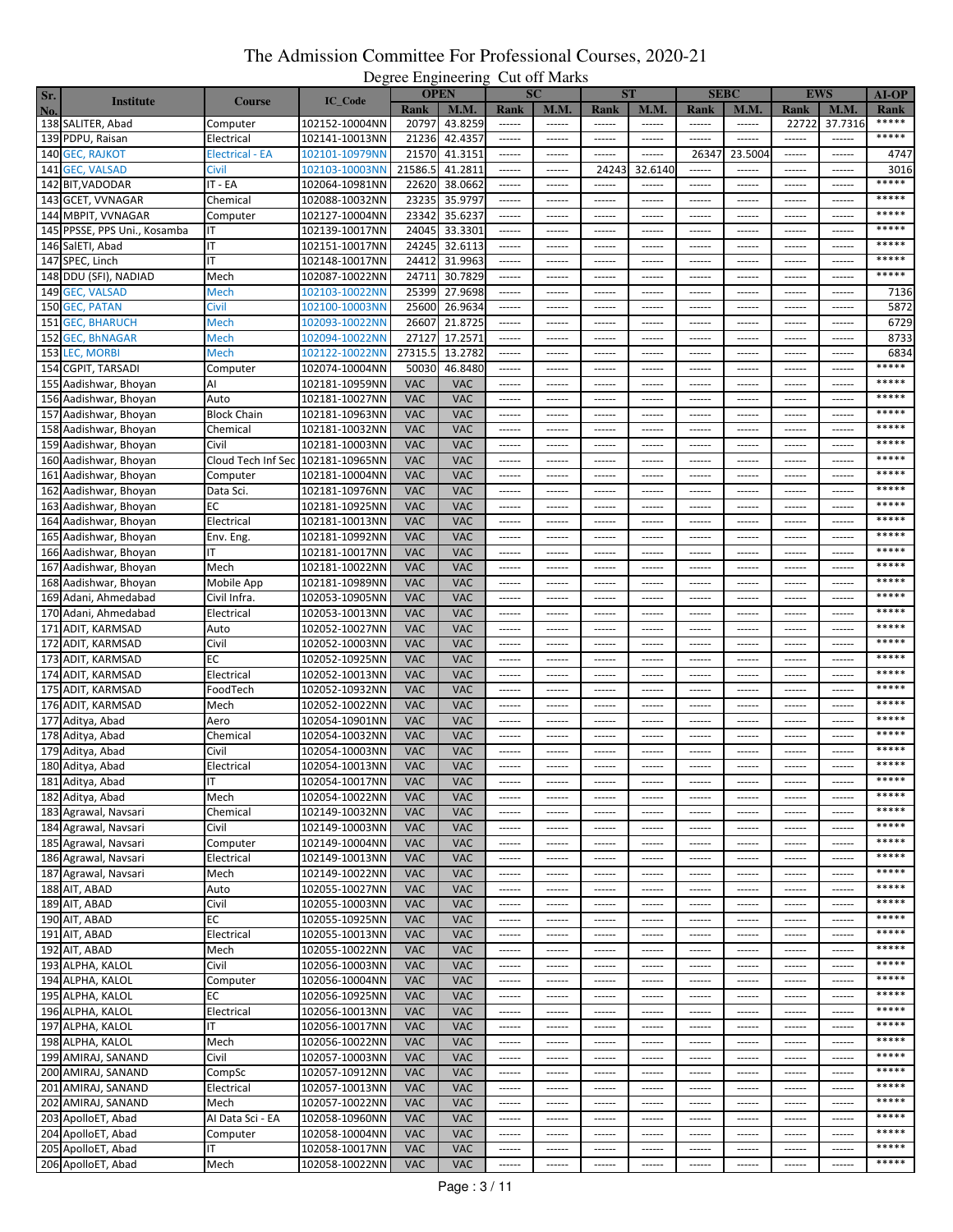|     |                              |                                   |                |             | $P_{\rm v}$<br><b>OPEN</b> |                                                                                                                                                                                                                                                                                                                                                                                                                                                                                        | <b>SC</b>              |                 | <b>ST</b>     |                 | <b>SEBC</b>   |                 | <b>EWS</b>      |               |
|-----|------------------------------|-----------------------------------|----------------|-------------|----------------------------|----------------------------------------------------------------------------------------------------------------------------------------------------------------------------------------------------------------------------------------------------------------------------------------------------------------------------------------------------------------------------------------------------------------------------------------------------------------------------------------|------------------------|-----------------|---------------|-----------------|---------------|-----------------|-----------------|---------------|
| Sr. | <b>Institute</b>             | <b>Course</b>                     | IC_Code        |             |                            |                                                                                                                                                                                                                                                                                                                                                                                                                                                                                        |                        |                 |               |                 |               |                 |                 | <b>AI-OP</b>  |
| No. |                              |                                   |                | <b>Rank</b> | M.M.                       | Rank                                                                                                                                                                                                                                                                                                                                                                                                                                                                                   | <b>M.M.</b>            | Rank            | <b>M.M.</b>   | Rank            | M.M.          | <b>Rank</b>     | M.M             | Rank<br>***** |
|     | 138 SALITER, Abad            | Computer                          | 102152-10004NN | 20797       | 43.8259                    | $\cdots \cdots \cdots$                                                                                                                                                                                                                                                                                                                                                                                                                                                                 |                        |                 | ------        | ------          | ------        | 22722           | 37.7316         |               |
|     | 139 PDPU, Raisan             | Electrical                        | 102141-10013NN | 21236       | 42.4357                    | ------                                                                                                                                                                                                                                                                                                                                                                                                                                                                                 | ------                 | ------          | ------        | ------          | ------        | ------          | ------          | *****         |
|     | 140 GEC, RAJKOT              | <b>Electrical - EA</b>            | 102101-10979NN | 21570       | 41.3151                    | ------                                                                                                                                                                                                                                                                                                                                                                                                                                                                                 | ------                 | ------          | ------        | 26347           | 23.5004       | ------          | ------          | 4747          |
|     | 141 GEC, VALSAD              | Civil                             | 102103-10003NN | 21586.5     | 41.2811                    | ------                                                                                                                                                                                                                                                                                                                                                                                                                                                                                 | $-----1$               | 24243           | 32.6140       | ------          | $-----1$      | ------          | ------          | 3016          |
|     | 142 BIT, VADODAR             | IT - EA                           | 102064-10981NN | 22620       | 38.0662                    | ------                                                                                                                                                                                                                                                                                                                                                                                                                                                                                 | ------                 | ------          | ------        | ------          | ------        |                 |                 | *****         |
|     | 143 GCET, VVNAGAR            | Chemical                          | 102088-10032NN | 23235       | 35.9797                    |                                                                                                                                                                                                                                                                                                                                                                                                                                                                                        | $- - - - - - -$        | $- - - - - - -$ | ------        | $- - - - - -$   | $- - - - - -$ | $- - - - - - -$ | $- - - - - -$   | *****         |
|     | 144 MBPIT, VVNAGAR           | Computer                          | 102127-10004NN | 23342       | 35.6237                    | ------                                                                                                                                                                                                                                                                                                                                                                                                                                                                                 | ------                 | ------          | ------        | $1 - 1 - 1 - 1$ | $- - - - -$   | ------          | ------          | *****         |
|     |                              |                                   |                |             |                            |                                                                                                                                                                                                                                                                                                                                                                                                                                                                                        |                        |                 | ------        |                 |               |                 | $- - - - - -$   | *****         |
|     | 145 PPSSE, PPS Uni., Kosamba | ΙT                                | 102139-10017NN | 24045       | 33.3301                    | $-----1$                                                                                                                                                                                                                                                                                                                                                                                                                                                                               | $- - - - - -$          | $- - - - - -$   |               | $- - - - - -$   | $- - - - - -$ | $- - - - - - -$ |                 | *****         |
|     | 146 SalETI, Abad             | IT                                | 102151-10017NN | 24245       | 32.6113                    | $-----1$                                                                                                                                                                                                                                                                                                                                                                                                                                                                               | $- - - - - - -$        | ------          | ------        | ------          | ------        | ------          | ------          |               |
|     | 147 SPEC, Linch              | ΙT                                | 102148-10017NN | 24412       | 31.9963                    | ------                                                                                                                                                                                                                                                                                                                                                                                                                                                                                 | ------                 | ------          | ------        | ------          | ------        | ------          | ------          | *****         |
|     | 148 DDU (SFI), NADIAD        | Mech                              | 102087-10022NN | 24711       | 30.7829                    | $-----1$                                                                                                                                                                                                                                                                                                                                                                                                                                                                               | $- - - - - - -$        | ------          | ------        | $- - - - - -$   | ------        | ------          | ------          | *****         |
|     | 149 GEC, VALSAD              | Mech                              | 102103-10022NN | 25399       | 27.9698                    | ------                                                                                                                                                                                                                                                                                                                                                                                                                                                                                 | $- - - - - -$          | ------          | ------        | $- - - - - -$   | ------        | ------          | ------          | 7136          |
|     | 150 GEC, PATAN               | Civil                             | 102100-10003NN | 25600       | 26.9634                    | $-----1$                                                                                                                                                                                                                                                                                                                                                                                                                                                                               | ------                 | ------          | ------        | ------          | $- - - - - -$ | $- - - - - - -$ | $- - - - - -$   | 5872          |
|     | 151 GEC, BHARUCH             | Mech                              | 102093-10022NN | 26607       | 21.8725                    | ------                                                                                                                                                                                                                                                                                                                                                                                                                                                                                 | ------                 | ------          | ------        | ------          | ------        | ------          | ------          | 6729          |
|     | 152 GEC, BhNAGAR             | Mech                              | 102094-10022NN | 27127       | 17.2571                    | ------                                                                                                                                                                                                                                                                                                                                                                                                                                                                                 | $- - - - - -$          | $- - - - - -$   | ------        | $- - - - - -$   | $- - - - - -$ | $- - - - - -$   | $- - - - - -$   | 8733          |
|     | 153 LEC, MORBI               | Mech                              | 102122-10022NN | 27315.5     | 13.2782                    | ------                                                                                                                                                                                                                                                                                                                                                                                                                                                                                 | ------                 | ------          | ------        | ------          | $- - - - -$   | ------          | ------          | 6834          |
|     |                              |                                   |                |             |                            |                                                                                                                                                                                                                                                                                                                                                                                                                                                                                        |                        |                 |               |                 |               |                 |                 | *****         |
|     | 154 CGPIT, TARSADI           | Computer                          | 102074-10004NN | 50030       | 46.8480                    |                                                                                                                                                                                                                                                                                                                                                                                                                                                                                        | $- - - - - -$          | $- - - - - -$   | ------        | $- - - - - -$   | $- - - - - -$ | $- - - - - -$   | $- - - - -$     |               |
|     | 155 Aadishwar, Bhoyan        | AI                                | 102181-10959NN | <b>VAC</b>  | <b>VAC</b>                 | ------                                                                                                                                                                                                                                                                                                                                                                                                                                                                                 | $-----$                | ------          | ------        | ------          | ------        | ------          | ------          | *****         |
|     | 156 Aadishwar, Bhoyan        | Auto                              | 102181-10027NN | <b>VAC</b>  | <b>VAC</b>                 | $- - - - - -$                                                                                                                                                                                                                                                                                                                                                                                                                                                                          | ------                 | ------          | ------        | ------          | ------        | ------          | ------          | *****         |
|     | 157 Aadishwar, Bhoyan        | <b>Block Chain</b>                | 102181-10963NN | <b>VAC</b>  | <b>VAC</b>                 |                                                                                                                                                                                                                                                                                                                                                                                                                                                                                        | $- - - - - -$          | ------          | ------        | $- - - - - -$   | $- - - - - -$ | $- - - - - -$   | $- - - - - -$   | *****         |
|     | 158 Aadishwar, Bhoyan        | Chemical                          | 102181-10032NN | <b>VAC</b>  | <b>VAC</b>                 | ------                                                                                                                                                                                                                                                                                                                                                                                                                                                                                 | ------                 | ------          | ------        | ------          | ------        | ------          | ------          | *****         |
|     | 159 Aadishwar, Bhoyan        | Civil                             | 102181-10003NN | <b>VAC</b>  | VAC                        | $- - - - - -$                                                                                                                                                                                                                                                                                                                                                                                                                                                                          | $- - - - - -$          | $- - - - - - -$ | ------        | $- - - - - - -$ | $- - - - - -$ | $- - - - - - -$ | $- - - - - -$   | *****         |
|     | 160 Aadishwar, Bhoyan        | Cloud Tech Inf Sec 102181-10965NN |                | <b>VAC</b>  | <b>VAC</b>                 | ------                                                                                                                                                                                                                                                                                                                                                                                                                                                                                 | ------                 | ------          | ------        | ------          | ------        | ------          | ------          | *****         |
|     | 161 Aadishwar, Bhoyan        | Computer                          | 102181-10004NN | <b>VAC</b>  | <b>VAC</b>                 |                                                                                                                                                                                                                                                                                                                                                                                                                                                                                        | $- - - - - -$          | ------          | ------        | $- - - - - - -$ | ------        | $- - - - - -$   | ------          | *****         |
|     |                              |                                   |                | <b>VAC</b>  | <b>VAC</b>                 |                                                                                                                                                                                                                                                                                                                                                                                                                                                                                        |                        |                 |               |                 |               |                 |                 | *****         |
|     | 162 Aadishwar, Bhoyan        | Data Sci.                         | 102181-10976NN |             |                            | ------                                                                                                                                                                                                                                                                                                                                                                                                                                                                                 | ------                 | ------          | ------        | ------          | ------        | ------          | ------          | *****         |
|     | 163 Aadishwar, Bhoyan        | ЕC                                | 102181-10925NN | <b>VAC</b>  | <b>VAC</b>                 | ------                                                                                                                                                                                                                                                                                                                                                                                                                                                                                 | $- - - - - - -$        | $- - - - - -$   | ------        | ------          | ------        | $- - - - - -$   |                 |               |
|     | 164 Aadishwar, Bhoyan        | Electrical                        | 102181-10013NN | <b>VAC</b>  | <b>VAC</b>                 | ------                                                                                                                                                                                                                                                                                                                                                                                                                                                                                 | ------                 | ------          | ------        | ------          | ------        | ------          | ------          | *****         |
|     | 165 Aadishwar, Bhoyan        | Env. Eng.                         | 102181-10992NN | <b>VAC</b>  | <b>VAC</b>                 | ------                                                                                                                                                                                                                                                                                                                                                                                                                                                                                 | ------                 | ------          | ------        | -----           | ------        | ------          | -----           | *****         |
|     | 166 Aadishwar, Bhoyan        | ıτ                                | 102181-10017NN | <b>VAC</b>  | <b>VAC</b>                 | ------                                                                                                                                                                                                                                                                                                                                                                                                                                                                                 | $-----1$               | $-----$         | ------        | ------          | $- - - - - -$ | ------          | ------          | *****         |
|     | 167 Aadishwar, Bhoyan        | Mech                              | 102181-10022NN | <b>VAC</b>  | <b>VAC</b>                 | ------                                                                                                                                                                                                                                                                                                                                                                                                                                                                                 | ------                 | ------          | ------        | ------          | ------        | ------          | ------          | *****         |
|     | 168 Aadishwar, Bhoyan        | Mobile App                        | 102181-10989NN | <b>VAC</b>  | <b>VAC</b>                 | $- - - - - -$                                                                                                                                                                                                                                                                                                                                                                                                                                                                          | $- - - - - - -$        | ------          | ------        | $- - - - - -$   | $- - - - - -$ | $- - - - - - -$ | $- - - - - -$   | *****         |
|     | 169 Adani, Ahmedabad         | Civil Infra.                      | 102053-10905NN | <b>VAC</b>  | <b>VAC</b>                 | ------                                                                                                                                                                                                                                                                                                                                                                                                                                                                                 | ------                 | ------          | ------        | ------          | ------        | ------          | ------          | *****         |
|     | 170 Adani, Ahmedabad         | Electrical                        | 102053-10013NN | <b>VAC</b>  | VAC                        | $- - - - - -$                                                                                                                                                                                                                                                                                                                                                                                                                                                                          | $- - - - - -$          | $-----1$        | ------        | ------          | $-----1$      | ------          | $-----1$        | *****         |
|     | 171 ADIT, KARMSAD            | Auto                              | 102052-10027NN | <b>VAC</b>  | <b>VAC</b>                 | ------                                                                                                                                                                                                                                                                                                                                                                                                                                                                                 | ------                 | ------          | ------        | ------          | ------        | ------          | ------          | *****         |
| 172 |                              | Civil                             |                | <b>VAC</b>  | <b>VAC</b>                 |                                                                                                                                                                                                                                                                                                                                                                                                                                                                                        | ------                 | ------          | ------        | ------          | ------        |                 | ------          | *****         |
|     | ADIT, KARMSAD                |                                   | 102052-10003NN |             |                            | ------                                                                                                                                                                                                                                                                                                                                                                                                                                                                                 |                        |                 |               |                 |               | ------          |                 | *****         |
|     | 173 ADIT, KARMSAD            | ЕC                                | 102052-10925NN | <b>VAC</b>  | <b>VAC</b>                 | $- - - - - -$                                                                                                                                                                                                                                                                                                                                                                                                                                                                          | $- - - - - -$          | ------          | ------        | ------          | ------        | ------          | ------          | *****         |
|     | 174 ADIT, KARMSAD            | Electrical                        | 102052-10013NN | <b>VAC</b>  | <b>VAC</b>                 | $-----1$                                                                                                                                                                                                                                                                                                                                                                                                                                                                               | $- - - - - -$          | ------          | ------        | ------          | ------        | $- - - - - -$   | ------          |               |
|     | 175 ADIT, KARMSAD            | FoodTech                          | 102052-10932NN | <b>VAC</b>  | <b>VAC</b>                 | ------                                                                                                                                                                                                                                                                                                                                                                                                                                                                                 | ------                 | ------          | ------        | ------          | ------        | ------          | ------          | *****         |
|     | 176 ADIT, KARMSAD            | Mech                              | 102052-10022NN | <b>VAC</b>  | <b>VAC</b>                 | ------                                                                                                                                                                                                                                                                                                                                                                                                                                                                                 | ------                 | ------          | ------        | ------          | ------        | ------          | ------          | *****         |
|     | 177 Aditya, Abad             | Aero                              | 102054-10901NN | <b>VAC</b>  | <b>VAC</b>                 | $-----1$                                                                                                                                                                                                                                                                                                                                                                                                                                                                               | $- - - - - -$          | $- - - - - -$   | ------        | $- - - - - -$   | ------        | $- - - - - - -$ | $- - - - - -$   | *****         |
|     | 178 Aditya, Abad             | Chemical                          | 102054-10032NN | <b>VAC</b>  | <b>VAC</b>                 | ------                                                                                                                                                                                                                                                                                                                                                                                                                                                                                 |                        |                 | ------        |                 |               | ------          | ------          | *****         |
|     | 179 Aditya, Abad             | Civil                             | 102054-10003NN | <b>VAC</b>  | <b>VAC</b>                 | ------                                                                                                                                                                                                                                                                                                                                                                                                                                                                                 | ------                 | ------          | ------        | ------          | $- - - - - -$ | ------          | ------          | *****         |
|     | 180 Aditya, Abad             | Electrical                        | 102054-10013NN | <b>VAC</b>  | <b>VAC</b>                 | ------                                                                                                                                                                                                                                                                                                                                                                                                                                                                                 | ------                 | ------          | ------        | ------          | ------        | ------          | ------          | *****         |
|     | 181 Aditya, Abad             | H L                               | 102054-1001/NN | <b>VAC</b>  | VAC                        | ------                                                                                                                                                                                                                                                                                                                                                                                                                                                                                 | ------                 | ------          | ------        | ------          | ------        | ------          | ------          |               |
|     | 182 Aditya, Abad             | Mech                              | 102054-10022NN | <b>VAC</b>  | <b>VAC</b>                 | $-----1$                                                                                                                                                                                                                                                                                                                                                                                                                                                                               | $-----1$               | $-----1$        | $-----1$      | ------          | $-----1$      | $-----1$        | $-----$         | *****         |
|     | 183 Agrawal, Navsari         | Chemical                          | 102149-10032NN | <b>VAC</b>  | <b>VAC</b>                 | ------                                                                                                                                                                                                                                                                                                                                                                                                                                                                                 | $- - - - - -$          | ------          | ------        | $- - - - - -$   | ------        | $- - - - - -$   | $-----$         | *****         |
|     |                              |                                   |                |             |                            |                                                                                                                                                                                                                                                                                                                                                                                                                                                                                        |                        |                 |               |                 |               |                 |                 | *****         |
|     | 184 Agrawal, Navsari         | Civil                             | 102149-10003NN | <b>VAC</b>  | <b>VAC</b>                 | $- - - - - -$                                                                                                                                                                                                                                                                                                                                                                                                                                                                          | $-----1$               | $-----1$        | ------        | ------          | $-----$       | $- - - - - - -$ | $-----1$        | *****         |
|     | 185 Agrawal, Navsari         | Computer                          | 102149-10004NN | <b>VAC</b>  | <b>VAC</b>                 | ------                                                                                                                                                                                                                                                                                                                                                                                                                                                                                 | $- - - - - -$          | ------          | ------        | $-----1$        | ------        | ------          | ------          |               |
|     | 186 Agrawal, Navsari         | Electrical                        | 102149-10013NN | <b>VAC</b>  | <b>VAC</b>                 | $- - - - - -$                                                                                                                                                                                                                                                                                                                                                                                                                                                                          | $- - - - - -$          | $- - - - - -$   | ------        | ------          | ------        | $- - - - - -$   | $- - - - - -$   | *****         |
|     | 187 Agrawal, Navsari         | Mech                              | 102149-10022NN | <b>VAC</b>  | <b>VAC</b>                 | ------                                                                                                                                                                                                                                                                                                                                                                                                                                                                                 | ------                 | ------          | ------        | ------          | ------        | ------          | ------          | *****         |
|     | 188 AIT, ABAD                | Auto                              | 102055-10027NN | <b>VAC</b>  | <b>VAC</b>                 | ------                                                                                                                                                                                                                                                                                                                                                                                                                                                                                 | $- - - - - -$          | $- - - - - -$   | $- - - - - -$ | $- - - - - -$   | $- - - - - -$ | $- - - - - - -$ | $- - - - - - -$ | *****         |
|     | 189 AIT, ABAD                | Civil                             | 102055-10003NN | <b>VAC</b>  | <b>VAC</b>                 | ------                                                                                                                                                                                                                                                                                                                                                                                                                                                                                 | ------                 | ------          | ------        | ------          | ------        | ------          | ------          | *****         |
|     | 190 AIT, ABAD                | EС                                | 102055-10925NN | <b>VAC</b>  | <b>VAC</b>                 | ------                                                                                                                                                                                                                                                                                                                                                                                                                                                                                 | ------                 | ------          | ------        | ------          | ------        | ------          | ------          | *****         |
|     | 191 AIT, ABAD                | Electrical                        | 102055-10013NN | <b>VAC</b>  | <b>VAC</b>                 | ------                                                                                                                                                                                                                                                                                                                                                                                                                                                                                 | $-----1$               | $-----1$        | $-----1$      | ------          | $-----1$      | $-----1$        | $- - - - - -$   | *****         |
|     | 192 AIT, ABAD                | Mech                              | 102055-10022NN | <b>VAC</b>  | <b>VAC</b>                 | $- - - - - -$                                                                                                                                                                                                                                                                                                                                                                                                                                                                          | ------                 | ------          | ------        | ------          | ------        | ------          | ------          | *****         |
|     | 193 ALPHA, KALOL             | Civil                             | 102056-10003NN | <b>VAC</b>  | <b>VAC</b>                 | $-----1$                                                                                                                                                                                                                                                                                                                                                                                                                                                                               | $- - - - - -$          | $- - - - - -$   | $- - - - - -$ | $- - - - - -$   | $- - - - - -$ | $- - - - - -$   | $- - - - - -$   | *****         |
|     | 194 ALPHA, KALOL             | Computer                          | 102056-10004NN | <b>VAC</b>  | <b>VAC</b>                 | ------                                                                                                                                                                                                                                                                                                                                                                                                                                                                                 | $- - - - - -$          | ------          | ------        | ------          | ------        | ------          | ------          | *****         |
|     |                              | ЕC                                |                |             |                            |                                                                                                                                                                                                                                                                                                                                                                                                                                                                                        |                        |                 |               |                 |               |                 | $- - - - - - -$ | *****         |
|     | 195 ALPHA, KALOL             |                                   | 102056-10925NN | <b>VAC</b>  | <b>VAC</b>                 | $-----1$                                                                                                                                                                                                                                                                                                                                                                                                                                                                               | $-----1$               | $-----1$        | $-----1$      | ------          | $-----1$      | $-----1$        |                 | *****         |
|     | 196 ALPHA, KALOL             | Electrical                        | 102056-10013NN | <b>VAC</b>  | <b>VAC</b>                 | $- - - - - -$                                                                                                                                                                                                                                                                                                                                                                                                                                                                          | $- - - - - -$          | $- - - - - -$   | ------        | $- - - - - -$   | ------        | $- - - - - -$   | ------          | *****         |
|     | 197 ALPHA, KALOL             | ΙT                                | 102056-10017NN | <b>VAC</b>  | <b>VAC</b>                 | $- - - - - -$                                                                                                                                                                                                                                                                                                                                                                                                                                                                          | $- - - - - -$          | $-----1$        | ------        | $- - - - - -$   | $- - - - - -$ | $- - - - - -$   | $- - - - - -$   |               |
|     | 198 ALPHA, KALOL             | Mech                              | 102056-10022NN | <b>VAC</b>  | VAC                        | $\begin{array}{cccccccccc} \multicolumn{2}{c}{} & \multicolumn{2}{c}{} & \multicolumn{2}{c}{} & \multicolumn{2}{c}{} & \multicolumn{2}{c}{} & \multicolumn{2}{c}{} & \multicolumn{2}{c}{} & \multicolumn{2}{c}{} & \multicolumn{2}{c}{} & \multicolumn{2}{c}{} & \multicolumn{2}{c}{} & \multicolumn{2}{c}{} & \multicolumn{2}{c}{} & \multicolumn{2}{c}{} & \multicolumn{2}{c}{} & \multicolumn{2}{c}{} & \multicolumn{2}{c}{} & \multicolumn{2}{c}{} & \multicolumn{2}{c}{} & \mult$ | $-----1$               | $- - - - - -$   | ------        | ------          | $-----1$      | ------          |                 | *****         |
|     | 199 AMIRAJ, SANAND           | Civil                             | 102057-10003NN | <b>VAC</b>  | <b>VAC</b>                 | $\begin{array}{cccccccccc} \multicolumn{2}{c}{} & \multicolumn{2}{c}{} & \multicolumn{2}{c}{} & \multicolumn{2}{c}{} & \multicolumn{2}{c}{} & \multicolumn{2}{c}{} & \multicolumn{2}{c}{} & \multicolumn{2}{c}{} & \multicolumn{2}{c}{} & \multicolumn{2}{c}{} & \multicolumn{2}{c}{} & \multicolumn{2}{c}{} & \multicolumn{2}{c}{} & \multicolumn{2}{c}{} & \multicolumn{2}{c}{} & \multicolumn{2}{c}{} & \multicolumn{2}{c}{} & \multicolumn{2}{c}{} & \multicolumn{2}{c}{} & \mult$ |                        | ------          | ------        | $- - - - - -$   | $- - - - - -$ | $- - - - - -$   | $- - - - - -$   | *****         |
|     | 200 AMIRAJ, SANAND           | CompSc                            | 102057-10912NN | <b>VAC</b>  | <b>VAC</b>                 | $- - - - - -$                                                                                                                                                                                                                                                                                                                                                                                                                                                                          | $-----1$               | ------          | ------        | ------          | ------        | ------          | ------          | *****         |
|     | 201 AMIRAJ, SANAND           | Electrical                        | 102057-10013NN | <b>VAC</b>  | <b>VAC</b>                 | ------                                                                                                                                                                                                                                                                                                                                                                                                                                                                                 | ------                 | ------          | ------        | ------          | ------        | ------          | ------          | *****         |
|     | 202 AMIRAJ, SANAND           | Mech                              | 102057-10022NN | <b>VAC</b>  | <b>VAC</b>                 | $- - - - - -$                                                                                                                                                                                                                                                                                                                                                                                                                                                                          | $- - - - - -$          | $- - - - - -$   | $- - - - - -$ | $- - - - - -$   | $- - - - - -$ | $- - - - - -$   | $- - - - - -$   | *****         |
|     | 203 ApolloET, Abad           | Al Data Sci - EA                  | 102058-10960NN | <b>VAC</b>  | <b>VAC</b>                 | $- - - - - -$                                                                                                                                                                                                                                                                                                                                                                                                                                                                          | ------                 | ------          | ------        | ------          | ------        | ------          | ------          | *****         |
|     | 204 ApolloET, Abad           | Computer                          | 102058-10004NN | <b>VAC</b>  | <b>VAC</b>                 | $- - - - - -$                                                                                                                                                                                                                                                                                                                                                                                                                                                                          | $- - - - - -$          | $- - - - - -$   | $- - - - - -$ | $- - - - - -$   | $- - - - - -$ | $- - - - - -$   | $- - - - - -$   | *****         |
|     | 205 ApolloET, Abad           | ΙT                                | 102058-10017NN | <b>VAC</b>  | <b>VAC</b>                 | ------                                                                                                                                                                                                                                                                                                                                                                                                                                                                                 | $- - - - - -$          | $-----1$        | $- - - - - -$ | ------          | $- - - - - -$ | $- - - - - -$   |                 | *****         |
|     | 206 ApolloET, Abad           | Mech                              | 102058-10022NN | <b>VAC</b>  | <b>VAC</b>                 | $- - - - - -$                                                                                                                                                                                                                                                                                                                                                                                                                                                                          | $\cdots \cdots \cdots$ | ------          |               | ------          | ------        | $- - - - - - -$ | $-----$         | *****         |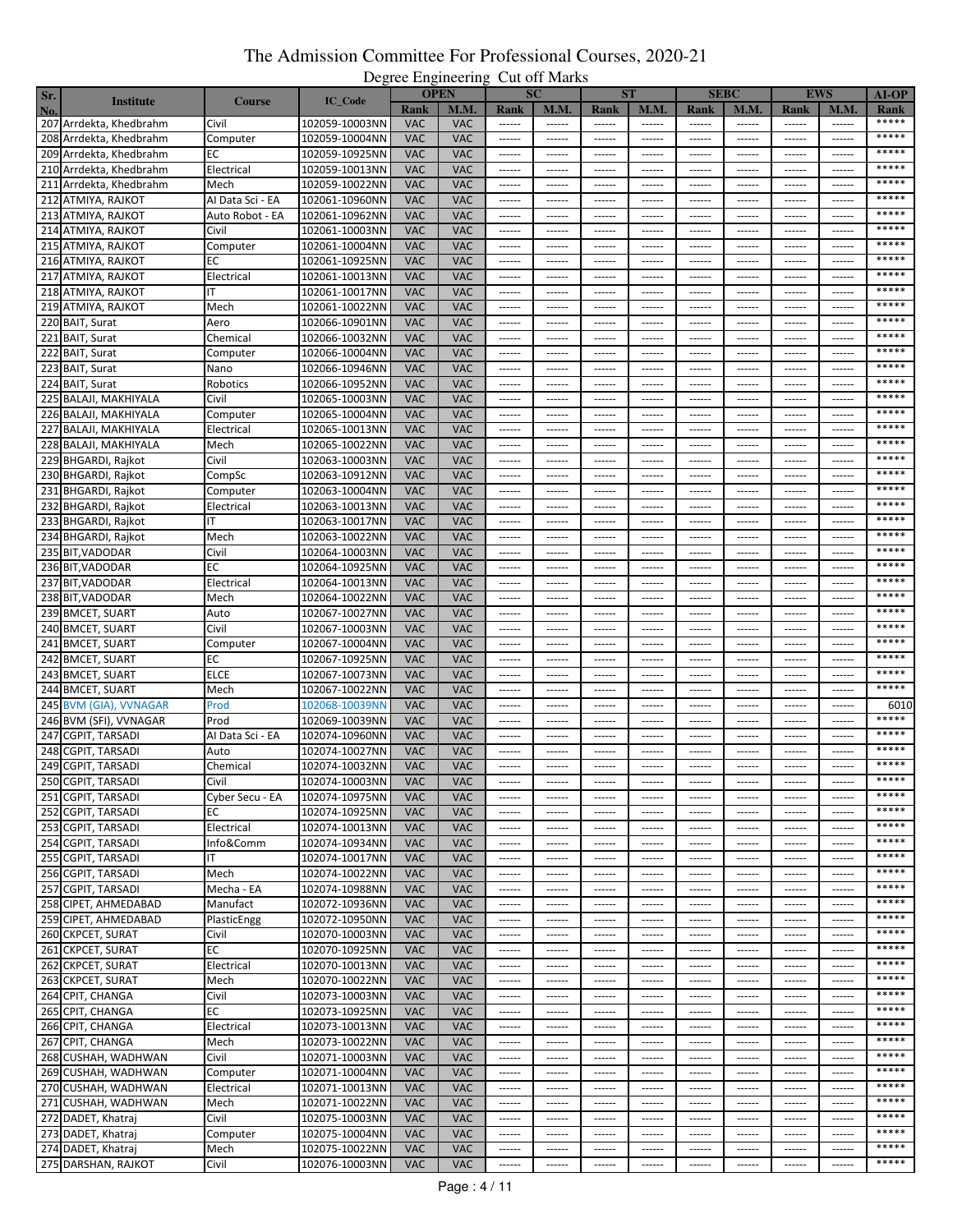|     |                         |                  |                                  |            | $P_{\rm v}$<br><b>OPEN</b> |                                                                                                                                                                                                                                                                                                                                                                                                                                                                                        | $\mathbf{C}$ at $\mathbf{C}$ it in the set<br><b>SC</b> |                        | <b>ST</b>     |                     | <b>SEBC</b>   |                 | <b>EWS</b>               | $AI-OP$       |
|-----|-------------------------|------------------|----------------------------------|------------|----------------------------|----------------------------------------------------------------------------------------------------------------------------------------------------------------------------------------------------------------------------------------------------------------------------------------------------------------------------------------------------------------------------------------------------------------------------------------------------------------------------------------|---------------------------------------------------------|------------------------|---------------|---------------------|---------------|-----------------|--------------------------|---------------|
| Sr. | <b>Institute</b>        | <b>Course</b>    | IC_Code                          | Rank       | <b>M.M.</b>                | Rank                                                                                                                                                                                                                                                                                                                                                                                                                                                                                   | <b>M.M.</b>                                             | Rank                   | <b>M.M.</b>   | Rank                | <b>M.M.</b>   | Rank            | M.M.                     |               |
| No. | 207 Arrdekta, Khedbrahm | Civil            | 102059-10003NN                   | <b>VAC</b> | <b>VAC</b>                 |                                                                                                                                                                                                                                                                                                                                                                                                                                                                                        |                                                         | ------                 | ------        | ------              |               |                 | $\sim$ - $\sim$ - $\sim$ | Rank<br>***** |
|     | 208 Arrdekta, Khedbrahm | Computer         | 102059-10004NN                   | <b>VAC</b> | <b>VAC</b>                 | $-----1$                                                                                                                                                                                                                                                                                                                                                                                                                                                                               | ------                                                  | ------                 | ------        | ------              | ------        | ------          | ------                   | *****         |
|     |                         |                  |                                  |            |                            |                                                                                                                                                                                                                                                                                                                                                                                                                                                                                        |                                                         |                        |               |                     |               |                 |                          | *****         |
|     | 209 Arrdekta, Khedbrahm | EС               | 102059-10925NN                   | <b>VAC</b> | <b>VAC</b>                 | ------                                                                                                                                                                                                                                                                                                                                                                                                                                                                                 | ------                                                  | ------                 | ------        | ------              | ------        | ------          | -----                    | *****         |
|     | 210 Arrdekta, Khedbrahm | Electrical       | 102059-10013NN                   | <b>VAC</b> | <b>VAC</b>                 | ------                                                                                                                                                                                                                                                                                                                                                                                                                                                                                 | ------                                                  | ------                 | ------        | $-----1$            | $-----1$      | ------          | ------                   | *****         |
|     | 211 Arrdekta, Khedbrahm | Mech             | 102059-10022NN                   | <b>VAC</b> | <b>VAC</b>                 | ------                                                                                                                                                                                                                                                                                                                                                                                                                                                                                 | ------                                                  | ------                 | ------        |                     | ------        | -----           |                          |               |
|     | 212 ATMIYA, RAJKOT      | Al Data Sci - EA | 102061-10960NN                   | <b>VAC</b> | <b>VAC</b>                 | $- - - - - -$                                                                                                                                                                                                                                                                                                                                                                                                                                                                          | $- - - - - - -$                                         | $- - - - - -$          | ------        | $- - - - - - -$     | $- - - - - -$ | $- - - - - - -$ | ------                   | *****         |
|     | 213 ATMIYA, RAJKOT      | Auto Robot - EA  | 102061-10962NN                   | <b>VAC</b> | <b>VAC</b>                 | $-----1$                                                                                                                                                                                                                                                                                                                                                                                                                                                                               | ------                                                  | ------                 | ------        | ------              | ------        | ------          | ------                   | *****         |
|     | 214 ATMIYA, RAJKOT      | Civil            | 102061-10003NN                   | <b>VAC</b> | <b>VAC</b>                 |                                                                                                                                                                                                                                                                                                                                                                                                                                                                                        | $- - - - - - -$                                         | $- - - - - -$          | ------        | $-----1$            | $-----1$      | $- - - - - -$   | ------                   | *****         |
|     | 215 ATMIYA, RAJKOT      | Computer         | 102061-10004NN                   | <b>VAC</b> | <b>VAC</b>                 | $-----1$                                                                                                                                                                                                                                                                                                                                                                                                                                                                               | ------                                                  | ------                 | ------        | ------              | ------        | ------          | ------                   | *****         |
|     | 216 ATMIYA, RAJKOT      | EС               | 102061-10925NN                   | <b>VAC</b> | <b>VAC</b>                 | ------                                                                                                                                                                                                                                                                                                                                                                                                                                                                                 | ------                                                  | ------                 | ------        | ------              | ------        | ------          | ------                   | *****         |
|     | 217 ATMIYA, RAJKOT      | Electrical       | 102061-10013NN                   | <b>VAC</b> | <b>VAC</b>                 | $-----1$                                                                                                                                                                                                                                                                                                                                                                                                                                                                               | ------                                                  | ------                 | ------        | ------              | ------        | ------          | ------                   | *****         |
|     | 218 ATMIYA, RAJKOT      | ıτ               | 102061-10017NN                   | <b>VAC</b> | <b>VAC</b>                 | $\begin{array}{cccccccccc} \multicolumn{2}{c}{} & \multicolumn{2}{c}{} & \multicolumn{2}{c}{} & \multicolumn{2}{c}{} & \multicolumn{2}{c}{} & \multicolumn{2}{c}{} & \multicolumn{2}{c}{} & \multicolumn{2}{c}{} & \multicolumn{2}{c}{} & \multicolumn{2}{c}{} & \multicolumn{2}{c}{} & \multicolumn{2}{c}{} & \multicolumn{2}{c}{} & \multicolumn{2}{c}{} & \multicolumn{2}{c}{} & \multicolumn{2}{c}{} & \multicolumn{2}{c}{} & \multicolumn{2}{c}{} & \multicolumn{2}{c}{} & \mult$ | $- - - - - -$                                           | ------                 | ------        | $1 - 1 - 1 - 1 = 1$ | ------        | $- - - - - -$   | ------                   | *****         |
|     | 219 ATMIYA, RAJKOT      | Mech             | 102061-10022NN                   | <b>VAC</b> | <b>VAC</b>                 | $- - - - - -$                                                                                                                                                                                                                                                                                                                                                                                                                                                                          | ------                                                  | ------                 | ------        | ------              | ------        | $- - - - - -$   | ------                   | *****         |
|     | 220 BAIT, Surat         | Aero             | 102066-10901NN                   | <b>VAC</b> | <b>VAC</b>                 | ------                                                                                                                                                                                                                                                                                                                                                                                                                                                                                 | ------                                                  | ------                 | ------        | ------              | ------        | ------          | ------                   | *****         |
|     | 221 BAIT, Surat         | Chemical         | 102066-10032NN                   | <b>VAC</b> | <b>VAC</b>                 | $\cdots \cdots \cdots$                                                                                                                                                                                                                                                                                                                                                                                                                                                                 | $- - - - - -$                                           | $- - - - - -$          | ------        | $- - - - - - -$     | $- - - - - -$ | $- - - - - -$   | ------                   | *****         |
|     | 222 BAIT, Surat         | Computer         | 102066-10004NN                   | <b>VAC</b> | <b>VAC</b>                 | ------                                                                                                                                                                                                                                                                                                                                                                                                                                                                                 |                                                         |                        |               |                     |               |                 |                          | *****         |
|     | 223 BAIT, Surat         | Nano             | 102066-10946NN                   | <b>VAC</b> | <b>VAC</b>                 |                                                                                                                                                                                                                                                                                                                                                                                                                                                                                        | $- - - - - -$                                           | ------                 | ------        | $- - - - - -$       | $- - - - - -$ | $- - - - - -$   | ------                   | *****         |
|     |                         |                  |                                  |            |                            |                                                                                                                                                                                                                                                                                                                                                                                                                                                                                        |                                                         |                        |               |                     |               |                 |                          | *****         |
|     | 224 BAIT, Surat         | Robotics         | 102066-10952NN                   | <b>VAC</b> | VAC                        | ------                                                                                                                                                                                                                                                                                                                                                                                                                                                                                 | ------                                                  | ------                 | $- - - - - -$ | ------              | ------        | ------          | ------                   | *****         |
|     | 225 BALAJI, MAKHIYALA   | Civil            | 102065-10003NN                   | <b>VAC</b> | <b>VAC</b>                 | $- - - - - -$                                                                                                                                                                                                                                                                                                                                                                                                                                                                          | ------                                                  | ------                 | ------        | ------              | ------        | $- - - - - -$   | ------                   |               |
|     | 226 BALAJI, MAKHIYALA   | Computer         | 102065-10004NN                   | <b>VAC</b> | <b>VAC</b>                 | $- - - - - -$                                                                                                                                                                                                                                                                                                                                                                                                                                                                          | $- - - - - - -$                                         | ------                 | ------        | ------              | ------        | ------          | ------                   | *****         |
|     | 227 BALAJI, MAKHIYALA   | Electrical       | 102065-10013NN                   | <b>VAC</b> | <b>VAC</b>                 | ------                                                                                                                                                                                                                                                                                                                                                                                                                                                                                 | ------                                                  | ------                 | ------        | ------              | ------        | ------          | ------                   | *****         |
|     | 228 BALAJI, MAKHIYALA   | Mech             | 102065-10022NN                   | <b>VAC</b> | <b>VAC</b>                 | $- - - - - -$                                                                                                                                                                                                                                                                                                                                                                                                                                                                          | $- - - - - - -$                                         | $- - - - - -$          | ------        | $-----1$            | $-----1$      | $- - - - - - -$ | ------                   | *****         |
|     | 229 BHGARDI, Rajkot     | Civil            | 102063-10003NN                   | <b>VAC</b> | <b>VAC</b>                 | $-----1$                                                                                                                                                                                                                                                                                                                                                                                                                                                                               | ------                                                  | ------                 | ------        | ------              | ------        | ------          | ------                   | *****         |
|     | 230 BHGARDI, Rajkot     | CompSc           | 102063-10912NN                   | <b>VAC</b> | <b>VAC</b>                 |                                                                                                                                                                                                                                                                                                                                                                                                                                                                                        | $- - - - - -$                                           | ------                 | ------        | $- - - - - -$       | $- - - - - -$ | $- - - - - -$   | ------                   | *****         |
|     | 231 BHGARDI, Rajkot     | Computer         | 102063-10004NN                   | <b>VAC</b> | <b>VAC</b>                 | ------                                                                                                                                                                                                                                                                                                                                                                                                                                                                                 | ------                                                  | ------                 | ------        | ------              | ------        | ------          | ------                   | *****         |
|     | 232 BHGARDI, Rajkot     | Electrical       | 102063-10013NN                   | <b>VAC</b> | <b>VAC</b>                 | 1.1.1.1.1                                                                                                                                                                                                                                                                                                                                                                                                                                                                              | $- - - - - -$                                           | $- - - - - -$          | ------        | $- - - - - -$       | $- - - - - -$ | $- - - - - -$   | ------                   | *****         |
|     | 233 BHGARDI, Rajkot     | ΙT               | 102063-10017NN                   | <b>VAC</b> | <b>VAC</b>                 | $- - - - - -$                                                                                                                                                                                                                                                                                                                                                                                                                                                                          | ------                                                  | ------                 | ------        | ------              | ------        | ------          | ------                   | *****         |
|     | 234 BHGARDI, Rajkot     | Mech             | 102063-10022NN                   | <b>VAC</b> | <b>VAC</b>                 | ------                                                                                                                                                                                                                                                                                                                                                                                                                                                                                 | ------                                                  | ------                 | ------        | ------              | ------        | -----           | -----                    | *****         |
|     | 235 BIT, VADODAR        | Civil            | 102064-10003NN                   | <b>VAC</b> | <b>VAC</b>                 | ------                                                                                                                                                                                                                                                                                                                                                                                                                                                                                 | ------                                                  | ------                 | ------        | $-----1$            | $-----1$      | ------          | ------                   | *****         |
|     | 236 BIT, VADODAR        | ЕC               | 102064-10925NN                   | <b>VAC</b> | <b>VAC</b>                 | ------                                                                                                                                                                                                                                                                                                                                                                                                                                                                                 | ------                                                  | ------                 | ------        | ------              | ------        | ------          | ------                   | *****         |
|     | 237 BIT, VADODAR        | Electrical       | 102064-10013NN                   | <b>VAC</b> | <b>VAC</b>                 | $- - - - - -$                                                                                                                                                                                                                                                                                                                                                                                                                                                                          | $- - - - - - -$                                         | $- - - - - -$          | ------        | $- - - - - - -$     | $- - - - - -$ | $- - - - - - -$ | $- - - - - -$            | *****         |
|     |                         |                  |                                  | <b>VAC</b> | <b>VAC</b>                 |                                                                                                                                                                                                                                                                                                                                                                                                                                                                                        |                                                         |                        |               |                     |               |                 |                          | *****         |
|     | 238 BIT, VADODAR        | Mech             | 102064-10022NN                   |            |                            | $-----1$                                                                                                                                                                                                                                                                                                                                                                                                                                                                               | ------                                                  | ------                 | ------        | ------              | ------        | ------          | ------                   | *****         |
|     | 239 BMCET, SUART        | Auto             | 102067-10027NN                   | <b>VAC</b> | <b>VAC</b>                 | $- - - - - -$                                                                                                                                                                                                                                                                                                                                                                                                                                                                          | $- - - - - - -$                                         | $- - - - - -$          | ------        | $- - - - - - -$     | $-----1$      | $- - - - - -$   | ------                   | *****         |
|     | 240 BMCET, SUART        | Civil            | 102067-10003NN                   | <b>VAC</b> | <b>VAC</b>                 | $-----1$                                                                                                                                                                                                                                                                                                                                                                                                                                                                               | ------                                                  | ------                 | ------        | ------              | ------        | ------          | ------                   |               |
|     | 241 BMCET, SUART        | Computer         | 102067-10004NN                   | <b>VAC</b> | <b>VAC</b>                 | ------                                                                                                                                                                                                                                                                                                                                                                                                                                                                                 | ------                                                  | ------                 | ------        | ------              | ------        | ------          | ------                   | *****         |
|     | 242 BMCET, SUART        | ЕC               | 102067-10925NN                   | <b>VAC</b> | <b>VAC</b>                 | $-----1$                                                                                                                                                                                                                                                                                                                                                                                                                                                                               | $- - - - - -$                                           | ------                 | ------        | $- - - - - -$       | ------        | $- - - - - - -$ | ------                   | *****         |
|     | 243 BMCET, SUART        | <b>ELCE</b>      | 102067-10073NN                   | <b>VAC</b> | <b>VAC</b>                 | $\begin{array}{cccccccccc} \multicolumn{2}{c}{} & \multicolumn{2}{c}{} & \multicolumn{2}{c}{} & \multicolumn{2}{c}{} & \multicolumn{2}{c}{} & \multicolumn{2}{c}{} & \multicolumn{2}{c}{} & \multicolumn{2}{c}{} & \multicolumn{2}{c}{} & \multicolumn{2}{c}{} & \multicolumn{2}{c}{} & \multicolumn{2}{c}{} & \multicolumn{2}{c}{} & \multicolumn{2}{c}{} & \multicolumn{2}{c}{} & \multicolumn{2}{c}{} & \multicolumn{2}{c}{} & \multicolumn{2}{c}{} & \multicolumn{2}{c}{} & \mult$ | $- - - - - -$                                           | ------                 | ------        | $1 - 1 - 1 - 1 = 0$ | ------        | ------          | ------                   | *****         |
|     | 244 BMCET, SUART        | Mech             | 102067-10022NN                   | <b>VAC</b> | <b>VAC</b>                 | $- - - - - -$                                                                                                                                                                                                                                                                                                                                                                                                                                                                          | ------                                                  | ------                 | ------        | ------              | ------        | $- - - - - -$   | ------                   | *****         |
|     | 245 BVM (GIA), VVNAGAR  | Prod             | 102068-10039NN                   | <b>VAC</b> | <b>VAC</b>                 | ------                                                                                                                                                                                                                                                                                                                                                                                                                                                                                 | ------                                                  | ------                 | ------        | ------              | ------        | -----           | ------                   | 6010          |
|     | 246 BVM (SFI), VVNAGAR  | Prod             | 102069-10039NN                   | <b>VAC</b> | <b>VAC</b>                 | 1.1.1.1.1                                                                                                                                                                                                                                                                                                                                                                                                                                                                              | $- - - - - -$                                           | $- - - - - -$          | ------        | $- - - - - - -$     | $- - - - - -$ | $- - - - - -$   | ------                   | *****         |
|     | 247 CGPIT, TARSADI      | Al Data Sci - EA | 102074-10960NN                   | <b>VAC</b> | <b>VAC</b>                 | ------                                                                                                                                                                                                                                                                                                                                                                                                                                                                                 | ------                                                  |                        |               |                     | ------        |                 |                          | *****         |
|     | 248 CGPIT, TARSADI      | Auto             | 102074-10027NN                   | <b>VAC</b> | <b>VAC</b>                 | ------                                                                                                                                                                                                                                                                                                                                                                                                                                                                                 | ------                                                  | ------                 | ------        | ------              | ------        | $- - - - - -$   | ------                   | *****         |
|     | 249 CGPIT, TARSADI      | Chemical         | 102074-10032NN                   | <b>VAC</b> | VAC                        | ------                                                                                                                                                                                                                                                                                                                                                                                                                                                                                 | ------                                                  | ------                 | ------        | ------              | ------        | ------          | ------                   | *****         |
|     | 250 CGPIT, TARSADI      | Civil            | 102074-10003NN                   | <b>VAC</b> | VAC                        | ------                                                                                                                                                                                                                                                                                                                                                                                                                                                                                 | ------                                                  | ------                 | ------        | ------              | ------        | ------          | ------                   |               |
|     | 251 CGPIT, TARSADI      | Cyber Secu - EA  | 102074-10975NN                   | <b>VAC</b> | <b>VAC</b>                 | $-----1$                                                                                                                                                                                                                                                                                                                                                                                                                                                                               | ------                                                  | $-----1$               | ------        | $- - - - - -$       | $-----1$      | $- - - - - - -$ |                          | *****         |
|     | 252 CGPIT, TARSADI      | EС               | 102074-10925NN                   | <b>VAC</b> | <b>VAC</b>                 | $-----1$                                                                                                                                                                                                                                                                                                                                                                                                                                                                               | $- - - - - -$                                           | $- - - - - -$          | ------        | $- - - - - -$       | $- - - - - -$ | ------          | ------                   | *****         |
|     |                         | Electrical       |                                  |            | <b>VAC</b>                 |                                                                                                                                                                                                                                                                                                                                                                                                                                                                                        | $- - - - - -$                                           |                        |               |                     |               |                 |                          | *****         |
|     | 253 CGPIT, TARSADI      | Info&Comm        | 102074-10013NN<br>102074-10934NN | <b>VAC</b> | <b>VAC</b>                 |                                                                                                                                                                                                                                                                                                                                                                                                                                                                                        |                                                         | ------                 | ------        | $-----1$            | $-----1$      | $- - - - - -$   | ------                   | *****         |
|     | 254 CGPIT, TARSADI      |                  |                                  | <b>VAC</b> |                            | $\begin{array}{cccccccccc} \multicolumn{2}{c}{} & \multicolumn{2}{c}{} & \multicolumn{2}{c}{} & \multicolumn{2}{c}{} & \multicolumn{2}{c}{} & \multicolumn{2}{c}{} & \multicolumn{2}{c}{} & \multicolumn{2}{c}{} & \multicolumn{2}{c}{} & \multicolumn{2}{c}{} & \multicolumn{2}{c}{} & \multicolumn{2}{c}{} & \multicolumn{2}{c}{} & \multicolumn{2}{c}{} & \multicolumn{2}{c}{} & \multicolumn{2}{c}{} & \multicolumn{2}{c}{} & \multicolumn{2}{c}{} & \multicolumn{2}{c}{} & \mult$ | $- - - - - -$                                           | ------                 | ------        | $- - - - - -$       | $- - - - - -$ | ------          | ------                   | *****         |
|     | 255 CGPIT, TARSADI      | ΙT               | 102074-10017NN                   | <b>VAC</b> | <b>VAC</b>                 | $\begin{array}{cccccccccc} \multicolumn{2}{c}{} & \multicolumn{2}{c}{} & \multicolumn{2}{c}{} & \multicolumn{2}{c}{} & \multicolumn{2}{c}{} & \multicolumn{2}{c}{} & \multicolumn{2}{c}{} & \multicolumn{2}{c}{} & \multicolumn{2}{c}{} & \multicolumn{2}{c}{} & \multicolumn{2}{c}{} & \multicolumn{2}{c}{} & \multicolumn{2}{c}{} & \multicolumn{2}{c}{} & \multicolumn{2}{c}{} & \multicolumn{2}{c}{} & \multicolumn{2}{c}{} & \multicolumn{2}{c}{} & \multicolumn{2}{c}{} & \mult$ | $- - - - - -$                                           | $- - - - - -$          | ------        | $- - - - - -$       | $- - - - - -$ | $- - - - - -$   | $- - - - - -$            | *****         |
|     | 256 CGPIT, TARSADI      | Mech             | 102074-10022NN                   | <b>VAC</b> | <b>VAC</b>                 | ------                                                                                                                                                                                                                                                                                                                                                                                                                                                                                 | ------                                                  | ------                 | ------        | ------              | ------        | ------          | ------                   |               |
|     | 257 CGPIT, TARSADI      | Mecha - EA       | 102074-10988NN                   | <b>VAC</b> | <b>VAC</b>                 | $- - - - - -$                                                                                                                                                                                                                                                                                                                                                                                                                                                                          | $\cdots \cdots \cdots$                                  | $\cdots \cdots \cdots$ | $- - - - - -$ | $- - - - - -$       |               | $- - - - - -$   | $- - - - - -$            | *****         |
|     | 258 CIPET, AHMEDABAD    | Manufact         | 102072-10936NN                   | <b>VAC</b> | <b>VAC</b>                 | $-----1$                                                                                                                                                                                                                                                                                                                                                                                                                                                                               | ------                                                  | ------                 | ------        | -------             |               | ------          | ------                   | *****         |
|     | 259 CIPET, AHMEDABAD    | PlasticEngg      | 102072-10950NN                   | <b>VAC</b> | <b>VAC</b>                 | ------                                                                                                                                                                                                                                                                                                                                                                                                                                                                                 | ------                                                  | ------                 | ------        | ------              | ------        | ------          | ------                   | *****         |
|     | 260 CKPCET, SURAT       | Civil            | 102070-10003NN                   | <b>VAC</b> | <b>VAC</b>                 | $\cdots \cdots \cdots$                                                                                                                                                                                                                                                                                                                                                                                                                                                                 | $\cdots \cdots \cdots$                                  | ------                 | ------        | $- - - - - -$       | $-----1$      | $- - - - - -$   | ------                   | *****         |
|     | 261 CKPCET, SURAT       | ЕC               | 102070-10925NN                   | <b>VAC</b> | <b>VAC</b>                 | ------                                                                                                                                                                                                                                                                                                                                                                                                                                                                                 | ------                                                  | ------                 | ------        | ------              | ------        | ------          | ------                   | *****         |
|     | 262 CKPCET, SURAT       | Electrical       | 102070-10013NN                   | <b>VAC</b> | <b>VAC</b>                 | $- - - - - -$                                                                                                                                                                                                                                                                                                                                                                                                                                                                          | $- - - - - -$                                           | $- - - - - -$          | ------        | $- - - - - -$       | $- - - - - -$ | $- - - - - - -$ | $- - - - - -$            | *****         |
|     | 263 CKPCET, SURAT       | Mech             | 102070-10022NN                   | <b>VAC</b> | <b>VAC</b>                 | $-----1$                                                                                                                                                                                                                                                                                                                                                                                                                                                                               | $- - - - - -$                                           | ------                 | ------        | $- - - - - -$       | $- - - - - -$ | ------          | ------                   | *****         |
|     | 264 CPIT, CHANGA        | Civil            | 102073-10003NN                   | <b>VAC</b> | <b>VAC</b>                 |                                                                                                                                                                                                                                                                                                                                                                                                                                                                                        | $- - - - - -$                                           | ------                 | ------        | $-----1$            | $-----1$      | $- - - - - -$   | $-----1$                 | *****         |
|     | 265 CPIT, CHANGA        | ЕC               | 102073-10925NN                   | <b>VAC</b> | <b>VAC</b>                 | $-----1$                                                                                                                                                                                                                                                                                                                                                                                                                                                                               | $- - - - - -$                                           | ------                 | ------        | $- - - - - -$       | ------        | ------          | ------                   | *****         |
|     | 266 CPIT, CHANGA        | Electrical       | 102073-10013NN                   | <b>VAC</b> | <b>VAC</b>                 | ------                                                                                                                                                                                                                                                                                                                                                                                                                                                                                 | $- - - - - -$                                           | ------                 | ------        | $- - - - - -$       | $-----1$      | ------          | ------                   | *****         |
|     | 267 CPIT, CHANGA        | Mech             | 102073-10022NN                   | <b>VAC</b> | <b>VAC</b>                 | $- - - - - -$                                                                                                                                                                                                                                                                                                                                                                                                                                                                          | $- - - - - -$                                           | $- - - - - -$          | $- - - - - -$ | $- - - - - -$       | $- - - - - -$ | ------          | ------                   | *****         |
|     | 268 CUSHAH, WADHWAN     | Civil            | 102071-10003NN                   | <b>VAC</b> | <b>VAC</b>                 | ------                                                                                                                                                                                                                                                                                                                                                                                                                                                                                 |                                                         | $- - - - - -$          | ------        | $-----1$            | ------        | $- - - - - - -$ | $- - - - - -$            | *****         |
|     | 269 CUSHAH, WADHWAN     | Computer         | 102071-10004NN                   | <b>VAC</b> | <b>VAC</b>                 | $-----1$                                                                                                                                                                                                                                                                                                                                                                                                                                                                               | $- - - - - -$                                           | ------                 | ------        | -------             |               | $- - - - - -$   | ------                   | *****         |
|     |                         | Electrical       | 102071-10013NN                   | <b>VAC</b> | <b>VAC</b>                 | ------                                                                                                                                                                                                                                                                                                                                                                                                                                                                                 | ------                                                  | ------                 | ------        | ------              | ------        | ------          | ------                   | *****         |
|     | 270 CUSHAH, WADHWAN     |                  |                                  |            |                            |                                                                                                                                                                                                                                                                                                                                                                                                                                                                                        |                                                         |                        |               |                     |               |                 |                          | *****         |
|     | 271 CUSHAH, WADHWAN     | Mech             | 102071-10022NN                   | <b>VAC</b> | <b>VAC</b>                 |                                                                                                                                                                                                                                                                                                                                                                                                                                                                                        | $- - - - - -$                                           | $- - - - - -$          | ------        | $-----1$            | $-----1$      | $- - - - - -$   | $- - - - - -$            | *****         |
|     | 272 DADET, Khatraj      | Civil            | 102075-10003NN                   | <b>VAC</b> | <b>VAC</b>                 | $- - - - - -$                                                                                                                                                                                                                                                                                                                                                                                                                                                                          | ------                                                  | ------                 | ------        | ------              | ------        | ------          | ------                   | *****         |
|     | 273 DADET, Khatraj      | Computer         | 102075-10004NN                   | <b>VAC</b> | <b>VAC</b>                 | $\begin{array}{cccccccccc} \multicolumn{2}{c}{} & \multicolumn{2}{c}{} & \multicolumn{2}{c}{} & \multicolumn{2}{c}{} & \multicolumn{2}{c}{} & \multicolumn{2}{c}{} & \multicolumn{2}{c}{} & \multicolumn{2}{c}{} & \multicolumn{2}{c}{} & \multicolumn{2}{c}{} & \multicolumn{2}{c}{} & \multicolumn{2}{c}{} & \multicolumn{2}{c}{} & \multicolumn{2}{c}{} & \multicolumn{2}{c}{} & \multicolumn{2}{c}{} & \multicolumn{2}{c}{} & \multicolumn{2}{c}{} & \multicolumn{2}{c}{} & \mult$ | $- - - - - -$                                           | $- - - - - -$          | ------        | $-----1$            | $- - - - - -$ | $- - - - - -$   | ------                   |               |
|     | 274 DADET, Khatraj      | Mech             | 102075-10022NN                   | <b>VAC</b> | <b>VAC</b>                 | $-----1$                                                                                                                                                                                                                                                                                                                                                                                                                                                                               | $- - - - - -$                                           | $- - - - - -$          | ------        | $- - - - - -$       | $- - - - - -$ | ------          | ------                   | *****         |
|     | 275 DARSHAN, RAJKOT     | Civil            | 102076-10003NN                   | <b>VAC</b> | <b>VAC</b>                 | $\cdots \cdots \cdots$                                                                                                                                                                                                                                                                                                                                                                                                                                                                 | $-----1$                                                | ------                 | ------        | $- - - - - -$       | $-----$       | $- - - - - - -$ | ------                   | *****         |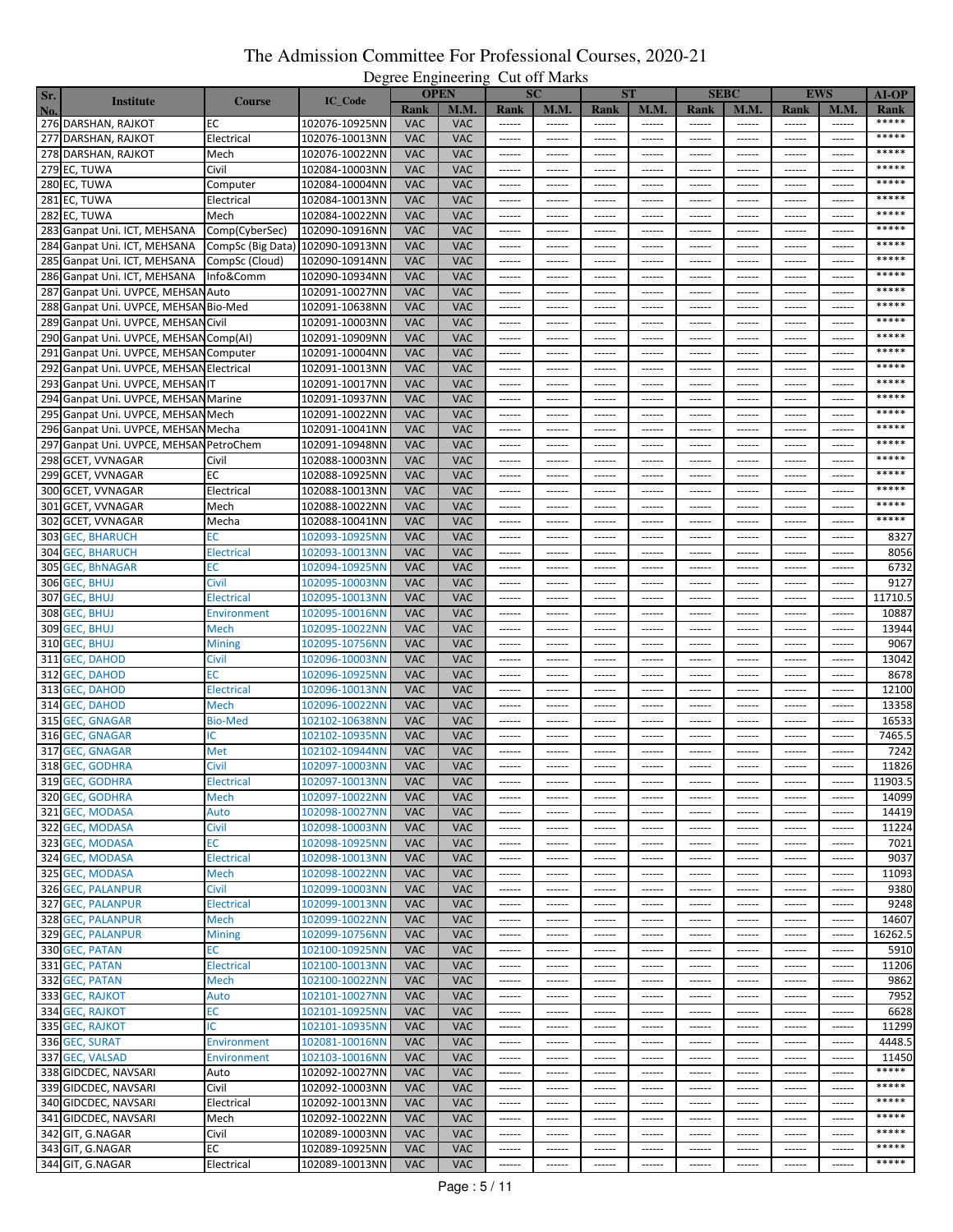| Sr. |                                                               |                    |                |            | <b>OPEN</b> |                        | <b>SC</b>       |               | <b>ST</b>     |                 | <b>SEBC</b>   |                 | <b>EWS</b>    | $AI-OP$ |
|-----|---------------------------------------------------------------|--------------------|----------------|------------|-------------|------------------------|-----------------|---------------|---------------|-----------------|---------------|-----------------|---------------|---------|
| No. | <b>Institute</b>                                              | <b>Course</b>      | IC_Code        | Rank       | M.M.        | Rank                   | <b>M.M.</b>     | Rank          | <b>M.M.</b>   | <b>Rank</b>     | M.M.          | <b>Rank</b>     | M.M           | Rank    |
|     | 276 DARSHAN, RAJKOT                                           | ЕC                 | 102076-10925NN | <b>VAC</b> | VAC         |                        | ------          | ------        | ------        | ------          | $-----$       | ------          | ------        | *****   |
|     | 277 DARSHAN, RAJKOT                                           | Electrical         | 102076-10013NN | <b>VAC</b> | <b>VAC</b>  | ------                 | $- - - - - -$   | $- - - - - -$ | $- - - - - -$ | $- - - - - -$   | ------        | ------          | ------        | *****   |
|     | 278 DARSHAN, RAJKOT                                           | Mech               | 102076-10022NN | <b>VAC</b> | <b>VAC</b>  | ------                 | ------          | ------        | ------        | ------          | ------        | $- - - - - -$   | ------        | *****   |
|     | 279 EC, TUWA                                                  | Civil              | 102084-10003NN | <b>VAC</b> | <b>VAC</b>  | ------                 | ------          | ------        | ------        | ------          | ------        | ------          | ------        | *****   |
|     |                                                               |                    |                | <b>VAC</b> | <b>VAC</b>  | $- - - - - -$          | $- - - - - -$   | $- - - - - -$ | $- - - - - -$ | $- - - - - -$   | $- - - - - -$ | $- - - - - -$   | ------        | *****   |
|     | 280 EC, TUWA                                                  | Computer           | 102084-10004NN |            |             |                        |                 |               |               |                 |               |                 |               | *****   |
|     | 281 EC, TUWA                                                  | Electrical         | 102084-10013NN | <b>VAC</b> | <b>VAC</b>  | ------                 | ------          | ------        | ------        | ------          | ------        | ------          | $- - - - - -$ | *****   |
|     | 282 EC, TUWA                                                  | Mech               | 102084-10022NN | <b>VAC</b> | <b>VAC</b>  | ------                 | $- - - - - - -$ | $- - - - - -$ | $- - - - - -$ | $- - - - - -$   | $- - - - - -$ | $- - - - - -$   | $- - - - - -$ | *****   |
|     | 283 Ganpat Uni. ICT, MEHSANA                                  | Comp(CyberSec)     | 102090-10916NN | <b>VAC</b> | <b>VAC</b>  | ------                 | ------          | ------        | ------        | ------          | ------        | ------          | ------        | *****   |
|     | 284 Ganpat Uni. ICT, MEHSANA CompSc (Big Data) 102090-10913NN |                    |                | <b>VAC</b> | <b>VAC</b>  | $- - - - - -$          | $- - - - - -$   | ------        | $- - - - - -$ | $- - - - - - -$ | $- - - - - -$ | $- - - - - -$   | ------        |         |
|     | 285 Ganpat Uni. ICT, MEHSANA CompSc (Cloud)                   |                    | 102090-10914NN | <b>VAC</b> | <b>VAC</b>  | ------                 | ------          | $- - - - - -$ | ------        | $- - - - - -$   | ------        | ------          | $- - - - - -$ | *****   |
|     | 286 Ganpat Uni. ICT, MEHSANA                                  | Info&Comm          | 102090-10934NN | <b>VAC</b> | <b>VAC</b>  | ------                 | ------          | ------        | ------        | ------          | ------        | ------          | $- - - - -$   | *****   |
|     | 287 Ganpat Uni. UVPCE, MEHSAN Auto                            |                    | 102091-10027NN | <b>VAC</b> | <b>VAC</b>  |                        | ------          | ------        | ------        | ------          | ------        | $- - - - - -$   | ------        | *****   |
|     | 288 Ganpat Uni. UVPCE, MEHSAN Bio-Med                         |                    | 102091-10638NN | <b>VAC</b> | <b>VAC</b>  | ------                 | ------          | ------        | ------        | ------          | ------        | ------          | ------        | *****   |
|     | 289 Ganpat Uni. UVPCE, MEHSAN Civil                           |                    | 102091-10003NN | <b>VAC</b> | <b>VAC</b>  | ------                 | $- - - - - - -$ | $- - - - - -$ | $- - - - - -$ | $- - - - - -$   | $- - - - - -$ | $- - - - - -$   | $- - - - - -$ | *****   |
|     | 290 Ganpat Uni. UVPCE, MEHSAN Comp(AI)                        |                    | 102091-10909NN | <b>VAC</b> | <b>VAC</b>  | ------                 | ------          | ------        | ------        | ------          | ------        | ------          | ------        | *****   |
|     | 291 Ganpat Uni. UVPCE, MEHSAN Computer                        |                    | 102091-10004NN | <b>VAC</b> | <b>VAC</b>  | $- - - - - -$          | ------          | ------        | ------        | ------          | ------        | ------          | ------        | *****   |
|     | 292 Ganpat Uni. UVPCE, MEHSAN Electrical                      |                    | 102091-10013NN | <b>VAC</b> | <b>VAC</b>  | ------                 | ------          | ------        | ------        | ------          | ------        | ------          | ------        | *****   |
|     | 293 Ganpat Uni. UVPCE, MEHSANIT                               |                    | 102091-10017NN | <b>VAC</b> | <b>VAC</b>  | ------                 | ------          | ------        | ------        | ------          | ------        | ------          | ------        | *****   |
|     | 294 Ganpat Uni. UVPCE, MEHSAN Marine                          |                    | 102091-10937NN | <b>VAC</b> | <b>VAC</b>  | ------                 | ------          | ------        | ------        | ------          | ------        | ------          | ------        | *****   |
|     | 295 Ganpat Uni. UVPCE, MEHSAN Mech                            |                    | 102091-10022NN | <b>VAC</b> | <b>VAC</b>  | ------                 | $- - - - - -$   | ------        | $- - - - - -$ | $- - - - - -$   | ------        | $- - - - - -$   | ------        | *****   |
|     | 296 Ganpat Uni. UVPCE, MEHSAN Mecha                           |                    | 102091-10041NN | <b>VAC</b> | <b>VAC</b>  | ------                 | ------          | ------        | ------        | ------          | ------        | ------          | ------        | *****   |
|     | 297 Ganpat Uni. UVPCE, MEHSAN PetroChem                       |                    | 102091-10948NN | <b>VAC</b> | <b>VAC</b>  | ------                 | ------          | ------        | ------        | ------          | ------        | ------          | $- - - - -$   | *****   |
|     | 298 GCET, VVNAGAR                                             | Civil              | 102088-10003NN | <b>VAC</b> | <b>VAC</b>  | 1.1.1.1.1              | $- - - - - -$   | ------        | $- - - - - -$ | $- - - - - -$   | $- - - - - -$ | $- - - - - -$   | ------        | *****   |
|     | 299 GCET, VVNAGAR                                             | ЕC                 | 102088-10925NN | <b>VAC</b> | <b>VAC</b>  | ------                 | ------          | ------        | ------        | ------          | ------        | ------          | $- - - - - -$ | *****   |
|     | 300 GCET, VVNAGAR                                             | Electrical         | 102088-10013NN | <b>VAC</b> | <b>VAC</b>  | ------                 | ------          | ------        | $- - - - - -$ | ------          | ------        |                 | ------        | *****   |
| 301 | <b>GCET, VVNAGAR</b>                                          | Mech               | 102088-10022NN | <b>VAC</b> | <b>VAC</b>  | ------                 | ------          | ------        | ------        | ------          | ------        | ------          | ------        | *****   |
|     | 302 GCET, VVNAGAR                                             | Mecha              | 102088-10041NN | <b>VAC</b> | <b>VAC</b>  | ------                 | ------          | ------        | $- - - - - -$ | $- - - - - -$   | ------        | ------          | ------        | *****   |
|     |                                                               | EС                 |                | <b>VAC</b> | <b>VAC</b>  |                        |                 |               |               |                 |               |                 |               |         |
|     | 303 GEC, BHARUCH                                              |                    | 102093-10925NN |            |             | ------                 | $- - - - - -$   | ------        | ------        | ------          | ------        | ------          | ------        | 8327    |
|     | 304 GEC, BHARUCH                                              | Electrical         | 102093-10013NN | <b>VAC</b> | <b>VAC</b>  | ------                 | ------          | ------        | ------        | ------          | ------        | ------          | $- - - - - -$ | 8056    |
|     | 305 GEC, BhNAGAR                                              | EС                 | 102094-10925NN | <b>VAC</b> | <b>VAC</b>  | $- - - - - -$          | $- - - - - -$   | $- - - - - -$ | $- - - - - -$ | $- - - - - -$   | $- - - - - -$ | $- - - - - - -$ | ------        | 6732    |
|     | 306 GEC, BHUJ                                                 | Civil              | 102095-10003NN | <b>VAC</b> | <b>VAC</b>  | ------                 | ------          | ------        | ------        | ------          | ------        | ------          | ------        | 9127    |
|     | 307 GEC, BHUJ                                                 | <b>Electrical</b>  | 102095-10013NN | <b>VAC</b> | <b>VAC</b>  | $- - - - - -$          | $- - - - - - -$ | $- - - - - -$ | $- - - - - -$ | $- - - - - -$   | $- - - - - -$ | $- - - - - -$   | $- - - - - -$ | 11710.5 |
|     | 308 GEC, BHUJ                                                 | <b>Environment</b> | 102095-10016NN | <b>VAC</b> | <b>VAC</b>  | ------                 | ------          | ------        | ------        | ------          | ------        | ------          | ------        | 10887   |
|     | 309 GEC, BHUJ                                                 | Mech               | 102095-10022NN | <b>VAC</b> | <b>VAC</b>  | $-----$                | $- - - - - -$   | ------        | $- - - - - -$ | $- - - - - - -$ | $- - - - - -$ | $1 - 1 - 1 - 1$ | ------        | 13944   |
|     | 310 GEC, BHUJ                                                 | Mining             | 102095-10756NN | <b>VAC</b> | <b>VAC</b>  | ------                 | ------          | ------        | $- - - - - -$ | $- - - - - -$   | ------        | ------          | $- - - - - -$ | 9067    |
|     | 311 GEC, DAHOD                                                | Civil              | 102096-10003NN | <b>VAC</b> | <b>VAC</b>  | ------                 | ------          | ------        | ------        | ------          | ------        | ------          | $- - - - - -$ | 13042   |
|     | 312 GEC, DAHOD                                                | ЕC                 | 102096-10925NN | <b>VAC</b> | <b>VAC</b>  |                        | ------          | ------        | $-----1$      | ------          | ------        | $1 - 1 - 1 - 1$ | ------        | 8678    |
|     | 313 GEC, DAHOD                                                | Electrical         | 102096-10013NN | <b>VAC</b> | <b>VAC</b>  | ------                 | ------          | ------        | ------        | ------          | ------        | ------          | ------        | 12100   |
|     | 314 GEC, DAHOD                                                | Mech               | 102096-10022NN | <b>VAC</b> | <b>VAC</b>  | ------                 | $- - - - - - -$ | $- - - - - -$ | $- - - - - -$ | $- - - - - -$   | $- - - - -$   | $- - - - - -$   | $- - - - -$   | 13358   |
|     | 315 GEC, GNAGAR                                               | <b>Bio-Med</b>     | 102102-10638NN | <b>VAC</b> | <b>VAC</b>  | ------                 | ------          | ------        | ------        | ------          | ------        | ------          | ------        | 16533   |
|     | 316 GEC, GNAGAR                                               | ΙC                 | 102102-10935NN | <b>VAC</b> | <b>VAC</b>  |                        | $-----1$        | ------        | ------        | ------          | ------        | ------          | ------        | 7465.5  |
| 317 | <b>GEC, GNAGAR</b>                                            | Met                | 102102-10944NN | <b>VAC</b> | <b>VAC</b>  | ------                 | ------          | ------        | ------        | ------          | ------        | ------          | $---$         | 7242    |
|     | 318 GEC, GODHRA                                               | Civil              | 102097-10003NN | <b>VAC</b> | <b>VAC</b>  | ------                 | ------          |               | ------        | ------          | ------        | ------          | ------        | 11826   |
|     | 319 GEC, GODHRA                                               | ыестгісан          | 102097-10013NN | <b>VAC</b> | <b>VAC</b>  |                        |                 |               |               |                 |               |                 | ------        | 11903.5 |
|     | 320 GEC, GODHRA                                               | Mech               | 102097-10022NN | <b>VAC</b> | <b>VAC</b>  |                        |                 |               | $- - - - - -$ | $- - - - - -$   |               |                 |               | 14099   |
|     | 321 GEC, MODASA                                               | Auto               | 102098-10027NN | <b>VAC</b> | <b>VAC</b>  | ------                 | ------          | ------        | ------        | ------          | ------        | ------          | ------        | 14419   |
|     | 322 GEC, MODASA                                               | Civil              | 102098-10003NN | <b>VAC</b> | <b>VAC</b>  | ------                 | ------          | ------        | ------        | ------          | ------        | ------          | ------        | 11224   |
|     | 323 GEC, MODASA                                               | ЕC                 | 102098-10925NN | <b>VAC</b> | <b>VAC</b>  |                        |                 |               | $- - - - - -$ | $- - - - - - -$ | $- - - - - -$ | $- - - - - -$   |               | 7021    |
|     | 324 GEC, MODASA                                               | <b>Electrical</b>  | 102098-10013NN | <b>VAC</b> | <b>VAC</b>  | ------                 | ------          | ------        | ------        | ------          | ------        | ------          | ------        | 9037    |
|     | 325 GEC, MODASA                                               | Mech               | 102098-10022NN | <b>VAC</b> | <b>VAC</b>  | 1.1.1.1.1              | $- - - - - -$   | $- - - - - -$ | $- - - - - -$ | $- - - - - -$   | $- - - - - -$ | $1 - 1 - 1 - 1$ | ------        | 11093   |
|     | <b>326 GEC, PALANPUR</b>                                      | Civil              | 102099-10003NN | <b>VAC</b> | <b>VAC</b>  | $- - - - - -$          | $- - - - - -$   |               | $- - - - - -$ | $- - - - - -$   | ------        | ------          | ------        | 9380    |
|     | 327 GEC, PALANPUR                                             | <b>Electrical</b>  | 102099-10013NN | <b>VAC</b> | <b>VAC</b>  | $- - - - - -$          | $- - - - - -$   |               | $- - - - - -$ | $- - - - - -$   | ------        | ------          | ------        | 9248    |
|     | 328 GEC, PALANPUR                                             | Mech               | 102099-10022NN | <b>VAC</b> | <b>VAC</b>  | $- - - - - -$          | ------          | ------        | $- - - - - -$ | $- - - - - -$   | ------        | ------          | ------        | 14607   |
|     | 329 GEC, PALANPUR                                             | <b>Mining</b>      | 102099-10756NN | <b>VAC</b> | <b>VAC</b>  | ------                 | ------          | ------        | ------        | ------          | ------        | ------          | ------        | 16262.5 |
|     | 330 GEC, PATAN                                                | ЕC                 | 102100-10925NN | <b>VAC</b> | <b>VAC</b>  |                        | ------          | ------        | $-----1$      | ------          | $-----1$      | $-----1$        | ------        | 5910    |
|     | 331 GEC, PATAN                                                | <b>Electrical</b>  | 102100-10013NN | <b>VAC</b> | <b>VAC</b>  | $- - - - - -$          | ------          | ------        | ------        | $- - - - - -$   | ------        | ------          | ------        | 11206   |
|     | 332 GEC, PATAN                                                |                    |                |            |             | $- - - - - -$          | $- - - - - -$   | $- - - - - -$ | $- - - - - -$ | $- - - - - -$   | $- - - - - -$ | $- - - - - - -$ | $- - - - - -$ |         |
|     |                                                               | Mech               | 102100-10022NN | <b>VAC</b> | <b>VAC</b>  |                        |                 |               |               |                 |               |                 |               | 9862    |
|     | 333 GEC, RAJKOT                                               | Auto               | 102101-10027NN | <b>VAC</b> | <b>VAC</b>  | ------                 | ------          | ------        | ------        | ------          | ------        | ------          | ------        | 7952    |
|     | 334 GEC, RAJKOT                                               | ЕC                 | 102101-10925NN | <b>VAC</b> | <b>VAC</b>  | $\cdots \cdots \cdots$ | $-----1$        |               | $- - - - - -$ | $- - - - - - -$ | $- - - - - -$ | $- - - - - -$   | $- - - - - -$ | 6628    |
|     | 335 GEC, RAJKOT                                               | ΙC                 | 102101-10935NN | <b>VAC</b> | <b>VAC</b>  | $- - - - - -$          | $- - - - - -$   | $- - - - - -$ | $- - - - - -$ | $- - - - - -$   | $- - - - - -$ | $- - - - - -$   | ------        | 11299   |
|     | 336 GEC, SURAT                                                | <b>Environment</b> | 102081-10016NN | <b>VAC</b> | <b>VAC</b>  | ------                 | ------          | ------        | ------        | ------          | ------        | ------          | ------        | 4448.5  |
|     | 337 GEC, VALSAD                                               | <b>Environment</b> | 102103-10016NN | <b>VAC</b> | <b>VAC</b>  | $\cdots \cdots \cdots$ | ------          | ------        | $-----1$      | $- - - - - -$   | $- - - - - -$ | $- - - - - -$   | $-----1$      | 11450   |
|     | 338 GIDCDEC, NAVSARI                                          | Auto               | 102092-10027NN | <b>VAC</b> | <b>VAC</b>  | ------                 | ------          | $- - - - - -$ | ------        | ------          | ------        | ------          | ------        | *****   |
|     | 339 GIDCDEC, NAVSARI                                          | Civil              | 102092-10003NN | <b>VAC</b> | <b>VAC</b>  | $- - - - - -$          | $- - - - - - -$ | $- - - - - -$ | $- - - - - -$ | $- - - - - -$   | $- - - - - -$ | $- - - - - - -$ | $- - - - - -$ | *****   |
|     | 340 GIDCDEC, NAVSARI                                          | Electrical         | 102092-10013NN | <b>VAC</b> | <b>VAC</b>  | ------                 | ------          | ------        | ------        | $-----1$        | ------        | ------          | ------        | *****   |
|     | 341 GIDCDEC, NAVSARI                                          | Mech               | 102092-10022NN | <b>VAC</b> | <b>VAC</b>  | $- - - - - -$          | ------          | $- - - - - -$ | $- - - - - -$ | $-----1$        | $-----$       | $- - - - - -$   | $- - - - - -$ | *****   |
|     | 342 GIT, G.NAGAR                                              | Civil              | 102089-10003NN | <b>VAC</b> | <b>VAC</b>  | ------                 | ------          | ------        | ------        | $-----1$        | ------        | ------          | ------        | *****   |
|     | 343 GIT, G.NAGAR                                              | ЕC                 | 102089-10925NN | <b>VAC</b> | <b>VAC</b>  | ------                 | ------          | ------        | ------        | ------          | ------        | ------          | ------        | *****   |
|     | 344 GIT, G.NAGAR                                              | Electrical         | 102089-10013NN | <b>VAC</b> | VAC         | ------                 | $- - - - - -$   | ------        | ------        | ------          | ------        | ------          | ------        | *****   |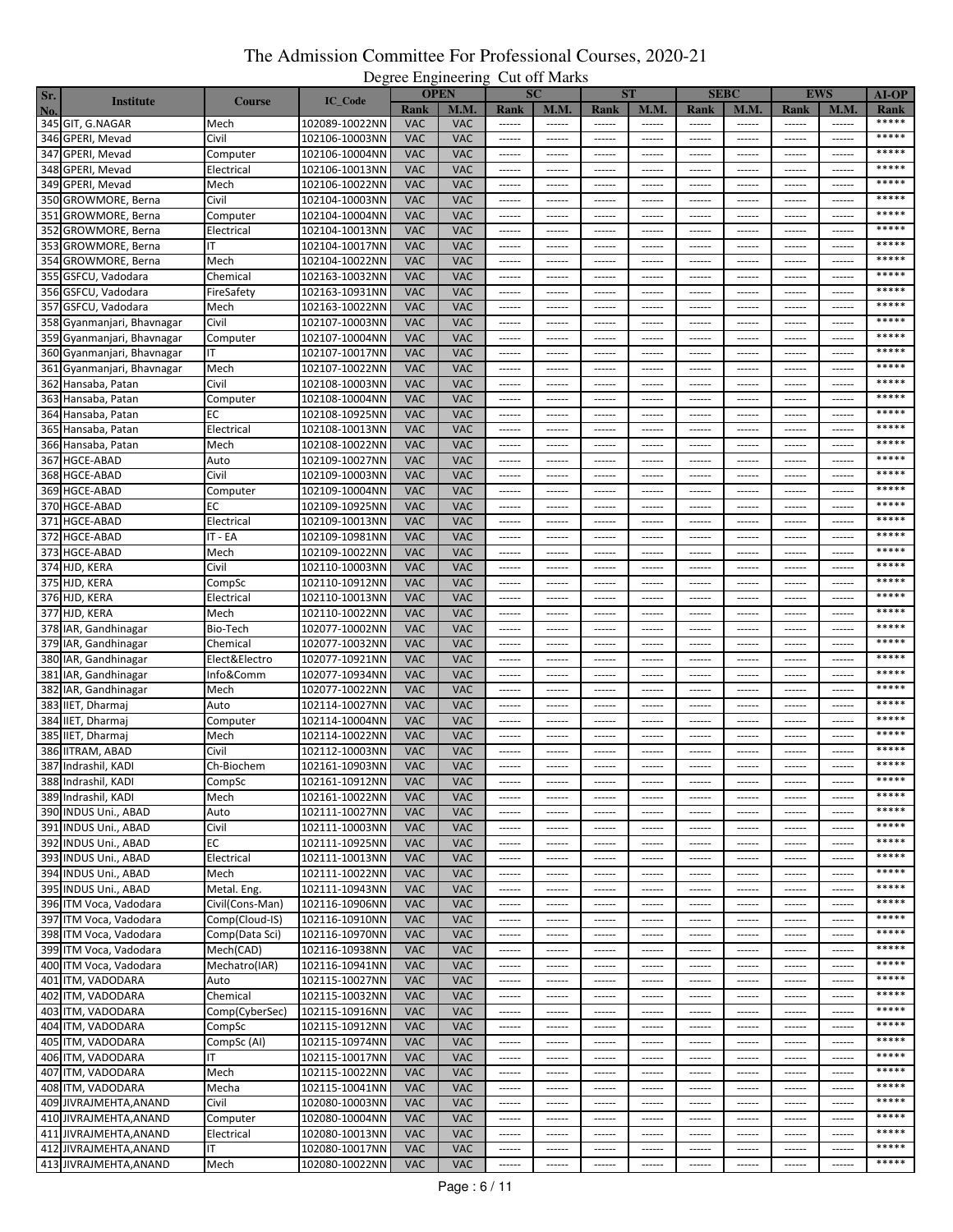| Sr. |                            |                 |                |            | <b>OPEN</b> |                                                                                                                                                                                                                                                                                                                                                                                                                                                                                        | <b>SC</b>       |               | <b>ST</b>     |                     | <b>SEBC</b>                                                                                                                                                                                                                                                                                                                                                                                                                                                                            |                 | <b>EWS</b>    | $AI-OP$ |
|-----|----------------------------|-----------------|----------------|------------|-------------|----------------------------------------------------------------------------------------------------------------------------------------------------------------------------------------------------------------------------------------------------------------------------------------------------------------------------------------------------------------------------------------------------------------------------------------------------------------------------------------|-----------------|---------------|---------------|---------------------|----------------------------------------------------------------------------------------------------------------------------------------------------------------------------------------------------------------------------------------------------------------------------------------------------------------------------------------------------------------------------------------------------------------------------------------------------------------------------------------|-----------------|---------------|---------|
| No. | <b>Institute</b>           | <b>Course</b>   | IC_Code        | Rank       | M.M.        | Rank                                                                                                                                                                                                                                                                                                                                                                                                                                                                                   | <b>M.M.</b>     | Rank          | M.M.          | <b>Rank</b>         | M.M.                                                                                                                                                                                                                                                                                                                                                                                                                                                                                   | Rank            | M.M.          | Rank    |
|     | 345 GIT, G.NAGAR           | Mech            | 102089-10022NN | <b>VAC</b> | <b>VAC</b>  | ------                                                                                                                                                                                                                                                                                                                                                                                                                                                                                 | ------          | ------        | ------        |                     | ------                                                                                                                                                                                                                                                                                                                                                                                                                                                                                 | $-----1$        | ------        | *****   |
|     |                            |                 |                |            |             |                                                                                                                                                                                                                                                                                                                                                                                                                                                                                        |                 |               |               |                     |                                                                                                                                                                                                                                                                                                                                                                                                                                                                                        |                 | $- - - - - -$ | *****   |
|     | 346 GPERI, Mevad           | Civil           | 102106-10003NN | <b>VAC</b> | <b>VAC</b>  | $-----1$                                                                                                                                                                                                                                                                                                                                                                                                                                                                               | ------          | ------        | ------        | $- - - - - -$       | $- - - - - -$                                                                                                                                                                                                                                                                                                                                                                                                                                                                          | $- - - - - -$   |               | *****   |
|     | 347 GPERI, Mevad           | Computer        | 102106-10004NN | <b>VAC</b> | <b>VAC</b>  | $-----1$                                                                                                                                                                                                                                                                                                                                                                                                                                                                               | ------          | ------        | ------        | $1 - 1 - 1 - 1 = 1$ | $- - - - - -$                                                                                                                                                                                                                                                                                                                                                                                                                                                                          | $- - - - - -$   | ------        |         |
|     | 348 GPERI, Mevad           | Electrical      | 102106-10013NN | <b>VAC</b> | <b>VAC</b>  | ------                                                                                                                                                                                                                                                                                                                                                                                                                                                                                 | ------          | ------        | ------        | ------              | ------                                                                                                                                                                                                                                                                                                                                                                                                                                                                                 | ------          | ------        | *****   |
|     | 349 GPERI, Mevad           | Mech            | 102106-10022NN | <b>VAC</b> | <b>VAC</b>  | $- - - - - -$                                                                                                                                                                                                                                                                                                                                                                                                                                                                          | $- - - - - -$   | $- - - - - -$ | ------        | $- - - - - -$       | $- - - - - -$                                                                                                                                                                                                                                                                                                                                                                                                                                                                          | $- - - - - - -$ | ------        | *****   |
|     | 350 GROWMORE, Berna        | Civil           | 102104-10003NN | <b>VAC</b> | <b>VAC</b>  | ------                                                                                                                                                                                                                                                                                                                                                                                                                                                                                 | ------          | ------        | ------        | ------              | ------                                                                                                                                                                                                                                                                                                                                                                                                                                                                                 | ------          | ------        | *****   |
|     | 351 GROWMORE, Berna        | Computer        | 102104-10004NN | <b>VAC</b> | <b>VAC</b>  | $- - - - - -$                                                                                                                                                                                                                                                                                                                                                                                                                                                                          | $- - - - - - -$ | ------        | ------        | $- - - - - - -$     | $- - - - - -$                                                                                                                                                                                                                                                                                                                                                                                                                                                                          | $- - - - - - -$ | $- - - - - -$ | *****   |
|     | 352 GROWMORE, Berna        | Electrical      | 102104-10013NN | <b>VAC</b> | <b>VAC</b>  | ------                                                                                                                                                                                                                                                                                                                                                                                                                                                                                 | ------          | ------        | ------        | ------              | ------                                                                                                                                                                                                                                                                                                                                                                                                                                                                                 | ------          | ------        | *****   |
|     | 353 GROWMORE, Berna        |                 | 102104-10017NN | <b>VAC</b> | <b>VAC</b>  | $-----1$                                                                                                                                                                                                                                                                                                                                                                                                                                                                               | $- - - - - -$   | ------        | ------        | $- - - - - -$       | $- - - - - -$                                                                                                                                                                                                                                                                                                                                                                                                                                                                          | $- - - - - -$   | ------        | *****   |
|     | 354 GROWMORE, Berna        | Mech            | 102104-10022NN | <b>VAC</b> | <b>VAC</b>  |                                                                                                                                                                                                                                                                                                                                                                                                                                                                                        | ------          | ------        | ------        | ------              | ------                                                                                                                                                                                                                                                                                                                                                                                                                                                                                 | $- - - - - - -$ | ------        | *****   |
|     |                            |                 | 102163-10032NN | <b>VAC</b> | <b>VAC</b>  |                                                                                                                                                                                                                                                                                                                                                                                                                                                                                        |                 |               |               |                     |                                                                                                                                                                                                                                                                                                                                                                                                                                                                                        |                 |               | *****   |
|     | 355 GSFCU, Vadodara        | Chemical        |                |            |             | ------                                                                                                                                                                                                                                                                                                                                                                                                                                                                                 | ------          | ------        | ------        | ------              | ------                                                                                                                                                                                                                                                                                                                                                                                                                                                                                 | -----           | -----         | *****   |
|     | 356 GSFCU, Vadodara        | FireSafety      | 102163-10931NN | <b>VAC</b> | <b>VAC</b>  | ------                                                                                                                                                                                                                                                                                                                                                                                                                                                                                 | ------          | ------        | ------        | $- - - - - -$       |                                                                                                                                                                                                                                                                                                                                                                                                                                                                                        | $1 - 1 - 1 - 1$ | ------        |         |
|     | 357 GSFCU, Vadodara        | Mech            | 102163-10022NN | <b>VAC</b> | <b>VAC</b>  | $- - - - - -$                                                                                                                                                                                                                                                                                                                                                                                                                                                                          | ------          | ------        | ------        | ------              | ------                                                                                                                                                                                                                                                                                                                                                                                                                                                                                 | ------          | ------        | *****   |
|     | 358 Gyanmanjari, Bhavnagar | Civil           | 102107-10003NN | <b>VAC</b> | <b>VAC</b>  | $- - - - - -$                                                                                                                                                                                                                                                                                                                                                                                                                                                                          | $- - - - - - -$ | $- - - - - -$ | $- - - - - -$ | $- - - - - - -$     | $- - - - - -$                                                                                                                                                                                                                                                                                                                                                                                                                                                                          | $- - - - - - -$ | $- - - - - -$ | *****   |
|     | 359 Gyanmanjari, Bhavnagar | Computer        | 102107-10004NN | <b>VAC</b> | <b>VAC</b>  | ------                                                                                                                                                                                                                                                                                                                                                                                                                                                                                 | ------          | ------        | ------        | ------              | ------                                                                                                                                                                                                                                                                                                                                                                                                                                                                                 | ------          | ------        | *****   |
|     | 360 Gyanmanjari, Bhavnagar | ΙT              | 102107-10017NN | <b>VAC</b> | <b>VAC</b>  | $- - - - - -$                                                                                                                                                                                                                                                                                                                                                                                                                                                                          | $- - - - - - -$ | ------        | ------        | $-----1$            | $-----1$                                                                                                                                                                                                                                                                                                                                                                                                                                                                               | $-----1$        | ------        | *****   |
|     | 361 Gyanmanjari, Bhavnagar | Mech            | 102107-10022NN | <b>VAC</b> | <b>VAC</b>  | ------                                                                                                                                                                                                                                                                                                                                                                                                                                                                                 | ------          | ------        | ------        | ------              | ------                                                                                                                                                                                                                                                                                                                                                                                                                                                                                 | ------          | ------        | *****   |
|     | 362 Hansaba, Patan         | Civil           | 102108-10003NN | <b>VAC</b> | <b>VAC</b>  | ------                                                                                                                                                                                                                                                                                                                                                                                                                                                                                 | ------          | ------        | ------        | ------              | ------                                                                                                                                                                                                                                                                                                                                                                                                                                                                                 | ------          | ------        | *****   |
|     | 363 Hansaba, Patan         | Computer        | 102108-10004NN | <b>VAC</b> | <b>VAC</b>  | $-----1$                                                                                                                                                                                                                                                                                                                                                                                                                                                                               | $- - - - - - -$ | ------        | ------        | $-----1$            | ------                                                                                                                                                                                                                                                                                                                                                                                                                                                                                 | ------          | ------        | *****   |
|     | 364 Hansaba, Patan         | EС              | 102108-10925NN | <b>VAC</b> | <b>VAC</b>  | ------                                                                                                                                                                                                                                                                                                                                                                                                                                                                                 | $- - - - - -$   | ------        | ------        | $- - - - - -$       | ------                                                                                                                                                                                                                                                                                                                                                                                                                                                                                 | $- - - - - -$   | ------        | *****   |
|     |                            |                 |                |            |             |                                                                                                                                                                                                                                                                                                                                                                                                                                                                                        |                 |               |               |                     |                                                                                                                                                                                                                                                                                                                                                                                                                                                                                        |                 |               | *****   |
|     | 365 Hansaba, Patan         | Electrical      | 102108-10013NN | <b>VAC</b> | <b>VAC</b>  | ------                                                                                                                                                                                                                                                                                                                                                                                                                                                                                 | ------          | ------        | ------        | ------              | ------                                                                                                                                                                                                                                                                                                                                                                                                                                                                                 | ------          | ------        |         |
|     | 366 Hansaba, Patan         | Mech            | 102108-10022NN | <b>VAC</b> | <b>VAC</b>  | ------                                                                                                                                                                                                                                                                                                                                                                                                                                                                                 | ------          | ------        | ------        | ------              | ------                                                                                                                                                                                                                                                                                                                                                                                                                                                                                 | -----           | ------        | *****   |
|     | 367 HGCE-ABAD              | Auto            | 102109-10027NN | <b>VAC</b> | <b>VAC</b>  | ------                                                                                                                                                                                                                                                                                                                                                                                                                                                                                 | $- - - - - -$   | ------        | ------        | $- - - - - -$       | $- - - - - -$                                                                                                                                                                                                                                                                                                                                                                                                                                                                          | $- - - - - -$   | ------        | *****   |
|     | 368 HGCE-ABAD              | Civil           | 102109-10003NN | <b>VAC</b> | <b>VAC</b>  | ------                                                                                                                                                                                                                                                                                                                                                                                                                                                                                 |                 |               |               |                     | ------                                                                                                                                                                                                                                                                                                                                                                                                                                                                                 | -----           |               | *****   |
|     | 369 HGCE-ABAD              | Computer        | 102109-10004NN | <b>VAC</b> | <b>VAC</b>  |                                                                                                                                                                                                                                                                                                                                                                                                                                                                                        | $1 - 1 - 1 - 1$ | ------        | ------        | $- - - - - -$       |                                                                                                                                                                                                                                                                                                                                                                                                                                                                                        |                 | ------        | *****   |
|     | 370 HGCE-ABAD              | ЕC              | 102109-10925NN | <b>VAC</b> | VAC         | $-----1$                                                                                                                                                                                                                                                                                                                                                                                                                                                                               | ------          | ------        | ------        | $1 - 1 - 1 - 1 = 0$ | ------                                                                                                                                                                                                                                                                                                                                                                                                                                                                                 | ------          | ------        | *****   |
|     | 371 HGCE-ABAD              | Electrical      | 102109-10013NN | <b>VAC</b> | <b>VAC</b>  | $- - - - - -$                                                                                                                                                                                                                                                                                                                                                                                                                                                                          | ------          | ------        | ------        | $- - - - - -$       | ------                                                                                                                                                                                                                                                                                                                                                                                                                                                                                 | ------          | ------        | *****   |
|     | 372 HGCE-ABAD              | IT - EA         | 102109-10981NN | <b>VAC</b> | <b>VAC</b>  | $-----1$                                                                                                                                                                                                                                                                                                                                                                                                                                                                               | ------          | ------        | ------        | $1 - 1 - 1 - 1 = 0$ | $- - - - - -$                                                                                                                                                                                                                                                                                                                                                                                                                                                                          | $- - - - - -$   | ------        | *****   |
|     | 373 HGCE-ABAD              | Mech            | 102109-10022NN | <b>VAC</b> | <b>VAC</b>  | ------                                                                                                                                                                                                                                                                                                                                                                                                                                                                                 | ------          | ------        | ------        | ------              | ------                                                                                                                                                                                                                                                                                                                                                                                                                                                                                 | ------          | ------        | *****   |
|     |                            |                 |                |            |             |                                                                                                                                                                                                                                                                                                                                                                                                                                                                                        |                 |               |               |                     |                                                                                                                                                                                                                                                                                                                                                                                                                                                                                        |                 |               | *****   |
|     | 374 HJD, KERA              | Civil           | 102110-10003NN | <b>VAC</b> | <b>VAC</b>  | $- - - - - -$                                                                                                                                                                                                                                                                                                                                                                                                                                                                          | $- - - - - -$   | $- - - - - -$ | ------        | $- - - - - -$       | $- - - - - -$                                                                                                                                                                                                                                                                                                                                                                                                                                                                          | $- - - - - - -$ | ------        | *****   |
|     | 375 HJD, KERA              | CompSc          | 102110-10912NN | <b>VAC</b> | <b>VAC</b>  | $-----1$                                                                                                                                                                                                                                                                                                                                                                                                                                                                               | ------          | ------        | ------        | ------              | ------                                                                                                                                                                                                                                                                                                                                                                                                                                                                                 | ------          | ------        |         |
|     | 376 HJD, KERA              | Electrical      | 102110-10013NN | <b>VAC</b> | <b>VAC</b>  | $- - - - - -$                                                                                                                                                                                                                                                                                                                                                                                                                                                                          | $- - - - - - -$ | ------        | ------        | $- - - - - - -$     | $- - - - - -$                                                                                                                                                                                                                                                                                                                                                                                                                                                                          | $- - - - - - -$ | ------        | *****   |
|     | 377 HJD, KERA              | Mech            | 102110-10022NN | <b>VAC</b> | <b>VAC</b>  | ------                                                                                                                                                                                                                                                                                                                                                                                                                                                                                 | ------          | ------        | ------        | ------              | ------                                                                                                                                                                                                                                                                                                                                                                                                                                                                                 | ------          | ------        | *****   |
|     | 378 IAR, Gandhinagar       | Bio-Tech        | 102077-10002NN | <b>VAC</b> | <b>VAC</b>  | $\cdots \cdots \cdots$                                                                                                                                                                                                                                                                                                                                                                                                                                                                 | $- - - - - -$   | ------        | ------        | $- - - - - -$       | $- - - - - -$                                                                                                                                                                                                                                                                                                                                                                                                                                                                          | $- - - - - -$   | ------        | *****   |
|     | 379 IAR, Gandhinagar       | Chemical        | 102077-10032NN | <b>VAC</b> | <b>VAC</b>  | $-----1$                                                                                                                                                                                                                                                                                                                                                                                                                                                                               | ------          | ------        | ------        | ------              | ------                                                                                                                                                                                                                                                                                                                                                                                                                                                                                 | $- - - - - -$   | ------        | *****   |
|     | 380 IAR, Gandhinagar       | Elect&Electro   | 102077-10921NN | <b>VAC</b> | <b>VAC</b>  | ------                                                                                                                                                                                                                                                                                                                                                                                                                                                                                 | ------          | ------        | ------        | ------              | ------                                                                                                                                                                                                                                                                                                                                                                                                                                                                                 | -----           | ------        | *****   |
|     | 381 IAR, Gandhinagar       | Info&Comm       | 102077-10934NN | <b>VAC</b> | <b>VAC</b>  | ------                                                                                                                                                                                                                                                                                                                                                                                                                                                                                 | ------          | ------        | ------        |                     |                                                                                                                                                                                                                                                                                                                                                                                                                                                                                        | $- - - - - -$   | ------        | *****   |
|     | 382 IAR, Gandhinagar       | Mech            | 102077-10022NN | <b>VAC</b> | <b>VAC</b>  | $- - - - - -$                                                                                                                                                                                                                                                                                                                                                                                                                                                                          | ------          | ------        | ------        | ------              | ------                                                                                                                                                                                                                                                                                                                                                                                                                                                                                 | ------          | ------        | *****   |
|     | 383 IIET, Dharmaj          | Auto            |                | <b>VAC</b> | <b>VAC</b>  | $- - - - - -$                                                                                                                                                                                                                                                                                                                                                                                                                                                                          | $- - - - - - -$ | $- - - - - -$ | ------        | $- - - - - - -$     | $- - - - - -$                                                                                                                                                                                                                                                                                                                                                                                                                                                                          | $- - - - - - -$ | $- - - - - -$ | *****   |
|     |                            |                 | 102114-10027NN |            |             |                                                                                                                                                                                                                                                                                                                                                                                                                                                                                        |                 |               |               |                     |                                                                                                                                                                                                                                                                                                                                                                                                                                                                                        |                 |               | *****   |
| 384 | IIET, Dharmai              | Computer        | 102114-10004NN | <b>VAC</b> | <b>VAC</b>  | ------                                                                                                                                                                                                                                                                                                                                                                                                                                                                                 | ------          | ------        | ------        | ------              | ------                                                                                                                                                                                                                                                                                                                                                                                                                                                                                 | ------          | ------        | *****   |
|     | 385 IIET, Dharmaj          | Mech            | 102114-10022NN | <b>VAC</b> | <b>VAC</b>  |                                                                                                                                                                                                                                                                                                                                                                                                                                                                                        | $- - - - - -$   | $- - - - - -$ | ------        | $- - - - - -$       | $-----1$                                                                                                                                                                                                                                                                                                                                                                                                                                                                               | ------          | $- - - - - -$ |         |
|     | 386 IITRAM, ABAD           | Civil           | 102112-10003NN | <b>VAC</b> | <b>VAC</b>  | ------                                                                                                                                                                                                                                                                                                                                                                                                                                                                                 | ------          | ------        | ------        | ------              | ------                                                                                                                                                                                                                                                                                                                                                                                                                                                                                 | ------          | ------        | *****   |
|     | 387 Indrashil, KADI        | Ch-Biochem      | 102161-10903NN | <b>VAC</b> | <b>VAC</b>  | ------                                                                                                                                                                                                                                                                                                                                                                                                                                                                                 | ------          | ------        | ------        | ------              | ------                                                                                                                                                                                                                                                                                                                                                                                                                                                                                 | ------          | ------        | *****   |
|     | 388 Indrashil, KADI        | CompSc          | 102161-10912NN | <b>VAC</b> | <b>VAC</b>  |                                                                                                                                                                                                                                                                                                                                                                                                                                                                                        |                 |               |               |                     |                                                                                                                                                                                                                                                                                                                                                                                                                                                                                        |                 |               | *****   |
|     | 389 Indrashil, KADI        | Mech            | 102161-10022NN | <b>VAC</b> | <b>VAC</b>  | $- - - - - -$                                                                                                                                                                                                                                                                                                                                                                                                                                                                          | $- - - - - -$   | ------        | $- - - - - -$ | $- - - - - -$       | $\begin{array}{cccccccccc} \multicolumn{2}{c}{} & \multicolumn{2}{c}{} & \multicolumn{2}{c}{} & \multicolumn{2}{c}{} & \multicolumn{2}{c}{} & \multicolumn{2}{c}{} & \multicolumn{2}{c}{} & \multicolumn{2}{c}{} & \multicolumn{2}{c}{} & \multicolumn{2}{c}{} & \multicolumn{2}{c}{} & \multicolumn{2}{c}{} & \multicolumn{2}{c}{} & \multicolumn{2}{c}{} & \multicolumn{2}{c}{} & \multicolumn{2}{c}{} & \multicolumn{2}{c}{} & \multicolumn{2}{c}{} & \multicolumn{2}{c}{} & \mult$ | $- - - - - -$   | $- - - - - -$ | *****   |
|     | 390 INDUS Uni., ABAD       | Auto            | 102111-10027NN | <b>VAC</b> | <b>VAC</b>  | ------                                                                                                                                                                                                                                                                                                                                                                                                                                                                                 | ------          | ------        | ------        | ------              |                                                                                                                                                                                                                                                                                                                                                                                                                                                                                        | ------          | ------        | *****   |
|     | 391 INDUS Uni., ABAD       | Civil           | 102111-10003NN | <b>VAC</b> | <b>VAC</b>  | ------                                                                                                                                                                                                                                                                                                                                                                                                                                                                                 | ------          | ------        | ------        | ------              | ------                                                                                                                                                                                                                                                                                                                                                                                                                                                                                 | ------          | ------        | *****   |
|     | 392 INDUS Uni., ABAD       | ЕC              | 102111-10925NN | <b>VAC</b> | <b>VAC</b>  |                                                                                                                                                                                                                                                                                                                                                                                                                                                                                        | $- - - - - -$   | $- - - - - -$ | ------        | ------              | $- - - - - -$                                                                                                                                                                                                                                                                                                                                                                                                                                                                          | $- - - - - - -$ | $- - - - - -$ | *****   |
|     |                            |                 |                |            |             |                                                                                                                                                                                                                                                                                                                                                                                                                                                                                        |                 |               |               |                     |                                                                                                                                                                                                                                                                                                                                                                                                                                                                                        |                 |               | *****   |
|     | 393 INDUS Uni., ABAD       | Electrical      | 102111-10013NN | <b>VAC</b> | <b>VAC</b>  | ------                                                                                                                                                                                                                                                                                                                                                                                                                                                                                 | ------          | ------        | ------        | ------              | ------                                                                                                                                                                                                                                                                                                                                                                                                                                                                                 | ------          | ------        | *****   |
|     | 394 INDUS Uni., ABAD       | Mech            | 102111-10022NN | <b>VAC</b> | <b>VAC</b>  | $- - - - - -$                                                                                                                                                                                                                                                                                                                                                                                                                                                                          | $- - - - - -$   | ------        | ------        | $- - - - - -$       | $- - - - - -$                                                                                                                                                                                                                                                                                                                                                                                                                                                                          | $1 - 1 - 1 - 1$ | ------        |         |
|     | 395 INDUS Uni., ABAD       | Metal. Eng.     | 102111-10943NN | <b>VAC</b> | <b>VAC</b>  | $-----1$                                                                                                                                                                                                                                                                                                                                                                                                                                                                               | $- - - - - -$   | ------        | ------        | $- - - - - -$       | $- - - - - -$                                                                                                                                                                                                                                                                                                                                                                                                                                                                          | ------          | ------        | *****   |
|     | 396 ITM Voca, Vadodara     | Civil(Cons-Man) | 102116-10906NN | <b>VAC</b> | <b>VAC</b>  | $\begin{array}{cccccccccc} \multicolumn{2}{c}{} & \multicolumn{2}{c}{} & \multicolumn{2}{c}{} & \multicolumn{2}{c}{} & \multicolumn{2}{c}{} & \multicolumn{2}{c}{} & \multicolumn{2}{c}{} & \multicolumn{2}{c}{} & \multicolumn{2}{c}{} & \multicolumn{2}{c}{} & \multicolumn{2}{c}{} & \multicolumn{2}{c}{} & \multicolumn{2}{c}{} & \multicolumn{2}{c}{} & \multicolumn{2}{c}{} & \multicolumn{2}{c}{} & \multicolumn{2}{c}{} & \multicolumn{2}{c}{} & \multicolumn{2}{c}{} & \mult$ | $- - - - - -$   | ------        | ------        | $- - - - - -$       | $- - - - - -$                                                                                                                                                                                                                                                                                                                                                                                                                                                                          | ------          | ------        | *****   |
|     | 397 ITM Voca, Vadodara     | Comp(Cloud-IS)  | 102116-10910NN | <b>VAC</b> | <b>VAC</b>  | $- - - - - -$                                                                                                                                                                                                                                                                                                                                                                                                                                                                          | ------          | ------        | ------        | $- - - - - -$       | $-----1$                                                                                                                                                                                                                                                                                                                                                                                                                                                                               | $-----1$        | ------        | *****   |
|     | 398 ITM Voca, Vadodara     | Comp(Data Sci)  | 102116-10970NN | <b>VAC</b> | <b>VAC</b>  | ------                                                                                                                                                                                                                                                                                                                                                                                                                                                                                 | ------          | ------        | ------        | ------              | ------                                                                                                                                                                                                                                                                                                                                                                                                                                                                                 | ------          | ------        | *****   |
|     | 399 ITM Voca, Vadodara     | Mech(CAD)       | 102116-10938NN | <b>VAC</b> | <b>VAC</b>  |                                                                                                                                                                                                                                                                                                                                                                                                                                                                                        | $- - - - - -$   | $- - - - - -$ | ------        | $-----1$            | $-----1$                                                                                                                                                                                                                                                                                                                                                                                                                                                                               | $- - - - - -$   | ------        | *****   |
|     | 400 ITM Voca, Vadodara     | Mechatro(IAR)   | 102116-10941NN | <b>VAC</b> | <b>VAC</b>  | $\begin{array}{cccccccccc} \multicolumn{2}{c}{} & \multicolumn{2}{c}{} & \multicolumn{2}{c}{} & \multicolumn{2}{c}{} & \multicolumn{2}{c}{} & \multicolumn{2}{c}{} & \multicolumn{2}{c}{} & \multicolumn{2}{c}{} & \multicolumn{2}{c}{} & \multicolumn{2}{c}{} & \multicolumn{2}{c}{} & \multicolumn{2}{c}{} & \multicolumn{2}{c}{} & \multicolumn{2}{c}{} & \multicolumn{2}{c}{} & \multicolumn{2}{c}{} & \multicolumn{2}{c}{} & \multicolumn{2}{c}{} & \multicolumn{2}{c}{} & \mult$ | $- - - - - -$   | ------        | ------        | ------              | ------                                                                                                                                                                                                                                                                                                                                                                                                                                                                                 | ------          | ------        | *****   |
|     | 401 ITM, VADODARA          | Auto            | 102115-10027NN | <b>VAC</b> | <b>VAC</b>  | $- - - - - -$                                                                                                                                                                                                                                                                                                                                                                                                                                                                          | $- - - - - -$   | $- - - - - -$ | ------        | $- - - - - -$       | $- - - - - -$                                                                                                                                                                                                                                                                                                                                                                                                                                                                          | $- - - - - - -$ | $- - - - - -$ | *****   |
|     |                            |                 |                |            |             |                                                                                                                                                                                                                                                                                                                                                                                                                                                                                        |                 |               |               |                     |                                                                                                                                                                                                                                                                                                                                                                                                                                                                                        |                 |               | *****   |
|     | 402 ITM, VADODARA          | Chemical        | 102115-10032NN | <b>VAC</b> | <b>VAC</b>  | ------                                                                                                                                                                                                                                                                                                                                                                                                                                                                                 | ------          | ------        | ------        | ------              | ------                                                                                                                                                                                                                                                                                                                                                                                                                                                                                 | ------          | ------        | *****   |
|     | 403 ITM, VADODARA          | Comp(CyberSec)  | 102115-10916NN | <b>VAC</b> | <b>VAC</b>  |                                                                                                                                                                                                                                                                                                                                                                                                                                                                                        |                 | $- - - - - -$ | $- - - - - -$ | $- - - - - -$       | $- - - - - -$                                                                                                                                                                                                                                                                                                                                                                                                                                                                          | $- - - - - - -$ | $- - - - - -$ |         |
|     | 404 ITM, VADODARA          | CompSc          | 102115-10912NN | <b>VAC</b> | <b>VAC</b>  | $\begin{array}{cccccccccc} \multicolumn{2}{c}{} & \multicolumn{2}{c}{} & \multicolumn{2}{c}{} & \multicolumn{2}{c}{} & \multicolumn{2}{c}{} & \multicolumn{2}{c}{} & \multicolumn{2}{c}{} & \multicolumn{2}{c}{} & \multicolumn{2}{c}{} & \multicolumn{2}{c}{} & \multicolumn{2}{c}{} & \multicolumn{2}{c}{} & \multicolumn{2}{c}{} & \multicolumn{2}{c}{} & \multicolumn{2}{c}{} & \multicolumn{2}{c}{} & \multicolumn{2}{c}{} & \multicolumn{2}{c}{} & \multicolumn{2}{c}{} & \mult$ | $- - - - - -$   | ------        | ------        | $- - - - - -$       | $- - - - - -$                                                                                                                                                                                                                                                                                                                                                                                                                                                                          | ------          | $- - - - - -$ | *****   |
|     | 405 ITM, VADODARA          | CompSc (AI)     | 102115-10974NN | <b>VAC</b> | <b>VAC</b>  | ------                                                                                                                                                                                                                                                                                                                                                                                                                                                                                 | ------          | ------        | ------        | ------              | ------                                                                                                                                                                                                                                                                                                                                                                                                                                                                                 | ------          | ------        | *****   |
|     | 406 ITM, VADODARA          | IΤ              | 102115-10017NN | <b>VAC</b> | <b>VAC</b>  | $\cdots \cdots \cdots$                                                                                                                                                                                                                                                                                                                                                                                                                                                                 | 1.1.1.1.1       | ------        | ------        | $- - - - - -$       | $-----1$                                                                                                                                                                                                                                                                                                                                                                                                                                                                               | $- - - - - -$   | ------        | *****   |
|     | 407 ITM, VADODARA          | Mech            | 102115-10022NN | <b>VAC</b> | <b>VAC</b>  | ------                                                                                                                                                                                                                                                                                                                                                                                                                                                                                 | ------          | ------        | ------        | ------              | ------                                                                                                                                                                                                                                                                                                                                                                                                                                                                                 | ------          | ------        | *****   |
|     | 408 ITM, VADODARA          | Mecha           | 102115-10041NN | <b>VAC</b> | <b>VAC</b>  | $- - - - - -$                                                                                                                                                                                                                                                                                                                                                                                                                                                                          | $- - - - - - -$ | $- - - - - -$ | ------        | $- - - - - -$       | $- - - - - -$                                                                                                                                                                                                                                                                                                                                                                                                                                                                          | $- - - - - -$   | $- - - - - -$ | $*****$ |
|     | 409 JIVRAJMEHTA, ANAND     | Civil           | 102080-10003NN | <b>VAC</b> | <b>VAC</b>  | $-----1$                                                                                                                                                                                                                                                                                                                                                                                                                                                                               | ------          | ------        | ------        | ------              | ------                                                                                                                                                                                                                                                                                                                                                                                                                                                                                 | ------          | ------        | *****   |
|     | 410 JIVRAJMEHTA, ANAND     | Computer        | 102080-10004NN | <b>VAC</b> | <b>VAC</b>  | $-----1$                                                                                                                                                                                                                                                                                                                                                                                                                                                                               | $- - - - - -$   | ------        | ------        | $-----1$            | $-----$                                                                                                                                                                                                                                                                                                                                                                                                                                                                                | $- - - - - -$   | ------        | *****   |
|     | 411 JIVRAJMEHTA, ANAND     | Electrical      | 102080-10013NN | <b>VAC</b> | <b>VAC</b>  | $-----1$                                                                                                                                                                                                                                                                                                                                                                                                                                                                               | $- - - - - -$   | ------        | ------        | ------              | ------                                                                                                                                                                                                                                                                                                                                                                                                                                                                                 | ------          | ------        | *****   |
|     |                            |                 |                |            |             |                                                                                                                                                                                                                                                                                                                                                                                                                                                                                        |                 |               |               |                     |                                                                                                                                                                                                                                                                                                                                                                                                                                                                                        |                 |               | *****   |
|     | 412 JIVRAJMEHTA, ANAND     | ΙT              | 102080-10017NN | <b>VAC</b> | <b>VAC</b>  | ------                                                                                                                                                                                                                                                                                                                                                                                                                                                                                 | ------          | ------        | ------        | ------              | ------                                                                                                                                                                                                                                                                                                                                                                                                                                                                                 | ------          | ------        |         |
|     | 413 JIVRAJMEHTA, ANAND     | Mech            | 102080-10022NN | <b>VAC</b> | VAC         | $\cdots \cdots \cdots$                                                                                                                                                                                                                                                                                                                                                                                                                                                                 | ------          | ------        | ------        | ------              | $-----$                                                                                                                                                                                                                                                                                                                                                                                                                                                                                | ------          | ------        | *****   |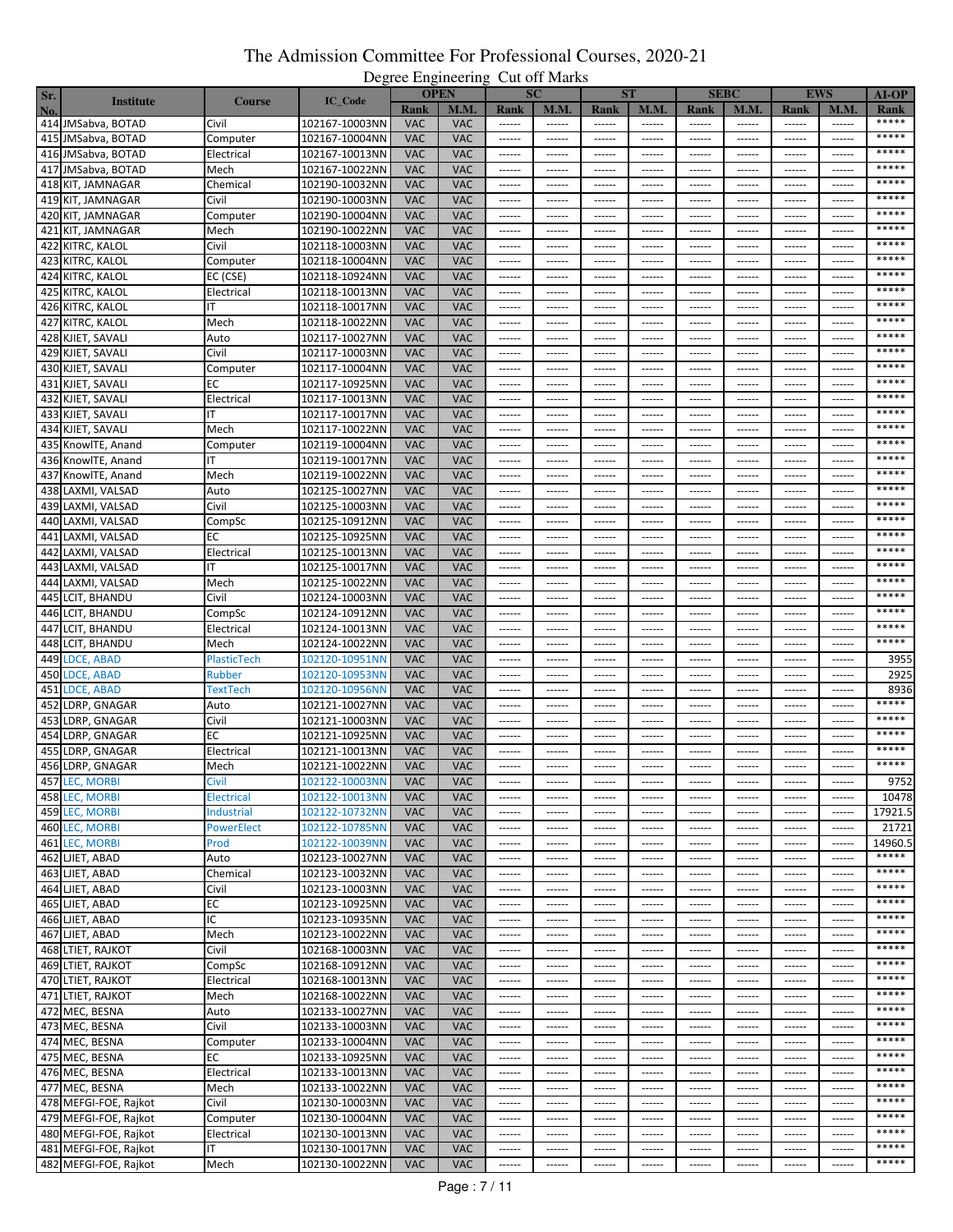| Sr. |                       |                    |                |            | <b>OPEN</b> |                        | <b>SC</b>       |                        | <b>ST</b>     |                 | <b>SEBC</b>   |                 | <b>EWS</b>    | $AI-OP$       |
|-----|-----------------------|--------------------|----------------|------------|-------------|------------------------|-----------------|------------------------|---------------|-----------------|---------------|-----------------|---------------|---------------|
| No. | <b>Institute</b>      | <b>Course</b>      | IC_Code        | Rank       | M.M.        | Rank                   | <b>M.M.</b>     | Rank                   | <b>M.M.</b>   | <b>Rank</b>     | M.M.          | Rank            | M.M           | Rank          |
|     | 414 JMSabva, BOTAD    | Civil              | 102167-10003NN | <b>VAC</b> | VAC         |                        | ------          | ------                 | ------        | ------          | ------        | ------          | ------        | *****         |
|     | 415 JMSabva, BOTAD    | Computer           | 102167-10004NN | <b>VAC</b> | <b>VAC</b>  | $- - - - - -$          | ------          | ------                 | $- - - - - -$ | $- - - - - -$   | ------        | $- - - - - -$   | ------        | *****         |
|     | 416 JMSabva, BOTAD    | Electrical         | 102167-10013NN | <b>VAC</b> | <b>VAC</b>  | ------                 | $- - - - - -$   | ------                 | ------        | ------          | ------        | ------          | ------        | *****         |
|     | 417 JMSabva, BOTAD    | Mech               | 102167-10022NN | <b>VAC</b> | <b>VAC</b>  | ------                 | ------          | ------                 | ------        | ------          | ------        | ------          | ------        | *****         |
|     | 418 KIT, JAMNAGAR     | Chemical           | 102190-10032NN | <b>VAC</b> | <b>VAC</b>  | $- - - - - -$          | $- - - - - - -$ | $- - - - - -$          | $- - - - - -$ | $- - - - - -$   | $- - - - - -$ | $- - - - - - -$ | $- - - - - -$ | *****         |
|     |                       |                    |                | <b>VAC</b> |             |                        |                 |                        |               |                 |               |                 |               | *****         |
|     | 419 KIT, JAMNAGAR     | Civil              | 102190-10003NN |            | VAC         | ------                 | ------          | ------                 | ------        | ------          | ------        | ------          | $- - - - - -$ | *****         |
|     | 420 KIT, JAMNAGAR     | Computer           | 102190-10004NN | <b>VAC</b> | <b>VAC</b>  | ------                 | ------          | $- - - - - -$          | $- - - - - -$ | $- - - - - -$   | $- - - - - -$ | $- - - - - -$   | $- - - - - -$ | *****         |
|     | 421 KIT, JAMNAGAR     | Mech               | 102190-10022NN | <b>VAC</b> | <b>VAC</b>  | ------                 | ------          | ------                 | ------        | ------          | ------        | ------          | ------        |               |
|     | 422 KITRC, KALOL      | Civil              | 102118-10003NN | <b>VAC</b> | <b>VAC</b>  | $- - - - - -$          | $- - - - - -$   | ------                 | $- - - - - -$ | $-----1$        | $- - - - - -$ | $- - - - - -$   | ------        | *****         |
|     | 423 KITRC, KALOL      | Computer           | 102118-10004NN | <b>VAC</b> | <b>VAC</b>  | ------                 | ------          | $- - - - - -$          | ------        | ------          | ------        | ------          | $- - - - - -$ | *****         |
|     | 424 KITRC, KALOL      | EC (CSE)           | 102118-10924NN | <b>VAC</b> | <b>VAC</b>  | ------                 | ------          | ------                 | ------        | ------          | -----         | ------          | -----         | *****         |
|     | 425 KITRC, KALOL      | Electrical         | 102118-10013NN | <b>VAC</b> | <b>VAC</b>  | ------                 | ------          | ------                 | $-----1$      | ------          | ------        | $1 - 1 - 1 - 1$ | ------        | *****         |
|     | 426 KITRC, KALOL      | IΤ                 | 102118-10017NN | <b>VAC</b> | <b>VAC</b>  | ------                 | ------          | ------                 | ------        | ------          | ------        | ------          | ------        | *****         |
|     | 427 KITRC, KALOL      | Mech               | 102118-10022NN | <b>VAC</b> | <b>VAC</b>  | $- - - - - -$          | ------          | $- - - - - -$          | $- - - - - -$ | $- - - - - -$   | $- - - - - -$ | ------          | $- - - - - -$ | *****         |
|     | 428 KJIET, SAVALI     | Auto               | 102117-10027NN | <b>VAC</b> | <b>VAC</b>  | ------                 | ------          | ------                 | ------        | ------          | ------        | ------          | ------        | *****         |
|     | 429 KJIET, SAVALI     | Civil              | 102117-10003NN | <b>VAC</b> | <b>VAC</b>  | $-----1$               | ------          | ------                 | ------        | ------          | ------        | ------          | ------        | *****         |
|     | 430 KJIET, SAVALI     | Computer           | 102117-10004NN | <b>VAC</b> | <b>VAC</b>  | ------                 | ------          | ------                 | ------        | ------          | ------        | ------          | ------        | *****         |
|     | 431 KJIET, SAVALI     | ЕC                 | 102117-10925NN | <b>VAC</b> | <b>VAC</b>  | ------                 | ------          | ------                 | ------        | ------          | ------        | ------          | ------        | *****         |
|     | 432 KJIET, SAVALI     | Electrical         | 102117-10013NN | <b>VAC</b> | <b>VAC</b>  | ------                 | ------          | ------                 | ------        | ------          | ------        | ------          | ------        | *****         |
|     | 433 KJIET, SAVALI     |                    | 102117-10017NN | <b>VAC</b> | <b>VAC</b>  | $- - - - - -$          | $- - - - - -$   | ------                 | $- - - - - -$ | $- - - - - -$   | ------        | ------          | ------        | *****         |
|     |                       | Mech               | 102117-10022NN | <b>VAC</b> | <b>VAC</b>  | ------                 |                 |                        |               |                 |               | ------          | ------        | *****         |
|     | 434 KJIET, SAVALI     |                    |                |            |             |                        | ------          | ------                 | ------        | ------          | ------        |                 |               | *****         |
|     | 435 KnowlTE, Anand    | Computer           | 102119-10004NN | <b>VAC</b> | <b>VAC</b>  | ------                 | ------          | ------                 | ------        | ------          | ------        | ------          | $- - - - -$   | *****         |
|     | 436 KnowlTE, Anand    | ΙT                 | 102119-10017NN | <b>VAC</b> | <b>VAC</b>  | ------                 | $- - - - - -$   | $- - - - - -$          | $- - - - - -$ | $- - - - - -$   | $- - - - - -$ | $- - - - - -$   | ------        |               |
|     | 437 KnowlTE, Anand    | Mech               | 102119-10022NN | <b>VAC</b> | <b>VAC</b>  | ------                 | ------          |                        | ------        | ------          | ------        |                 |               | *****         |
|     | 438 LAXMI, VALSAD     | Auto               | 102125-10027NN | <b>VAC</b> | <b>VAC</b>  | ------                 | ------          | ------                 | $- - - - - -$ | $- - - - - -$   | $- - - - - -$ | $- - - - - -$   | $- - - - - -$ | *****         |
|     | 439 LAXMI, VALSAD     | Civil              | 102125-10003NN | <b>VAC</b> | <b>VAC</b>  | ------                 | ------          | ------                 | ------        | ------          | ------        | ------          | ------        | *****         |
|     | 440 LAXMI, VALSAD     | CompSc             | 102125-10912NN | <b>VAC</b> | <b>VAC</b>  | ------                 | ------          | ------                 | ------        | ------          | ------        | ------          | $- - - - - -$ | *****         |
| 441 | LAXMI, VALSAD         | EС                 | 102125-10925NN | <b>VAC</b> | <b>VAC</b>  | ------                 | ------          | ------                 | ------        | ------          | ------        | ------          | ------        | *****         |
| 442 | LAXMI, VALSAD         | Electrical         | 102125-10013NN | <b>VAC</b> | <b>VAC</b>  | ------                 | ------          | ------                 | ------        | ------          | ------        | ------          | ------        | *****         |
|     | 443 LAXMI, VALSAD     | ΙT                 | 102125-10017NN | <b>VAC</b> | <b>VAC</b>  | ------                 | $- - - - - -$   | $- - - - - -$          | $- - - - - -$ | $- - - - - -$   | $- - - - - -$ | $- - - - - - -$ | $- - - - - -$ | *****         |
|     | 444 LAXMI, VALSAD     | Mech               | 102125-10022NN | <b>VAC</b> | <b>VAC</b>  | ------                 | ------          | ------                 | ------        | ------          | ------        | ------          | $- - - - - -$ | *****         |
|     | 445 LCIT, BHANDU      | Civil              | 102124-10003NN | <b>VAC</b> | <b>VAC</b>  | ------                 | ------          | $- - - - - -$          | $- - - - - -$ | $- - - - - -$   | $- - - - - -$ | $- - - - - -$   | $- - - - - -$ | *****         |
|     | 446 LCIT, BHANDU      | CompSc             | 102124-10912NN | <b>VAC</b> | <b>VAC</b>  | ------                 | ------          | ------                 | ------        | ------          | ------        | ------          | ------        | *****         |
|     | 447 LCIT, BHANDU      | Electrical         | 102124-10013NN | <b>VAC</b> | <b>VAC</b>  | $- - - - - -$          | $- - - - - -$   | ------                 | $- - - - - -$ | $- - - - - -$   | $- - - - - -$ | $- - - - - -$   | ------        | *****         |
|     | 448 LCIT, BHANDU      | Mech               | 102124-10022NN | <b>VAC</b> | <b>VAC</b>  | ------                 | ------          | $- - - - - -$          | ------        | $- - - - - -$   | ------        | ------          | ------        | *****         |
|     | 449 LDCE, ABAD        | <b>PlasticTech</b> | 102120-10951NN | <b>VAC</b> | <b>VAC</b>  | ------                 | ------          | ------                 | ------        | ------          | ------        | ------          | $- - - - - -$ | 3955          |
|     | 450 LDCE, ABAD        | Rubber             | 102120-10953NN | <b>VAC</b> | <b>VAC</b>  | ------                 | ------          | ------                 | $-----1$      | ------          | ------        | $1 - 1 - 1 - 1$ | ------        | 2925          |
|     |                       |                    | 102120-10956NN | <b>VAC</b> | <b>VAC</b>  |                        |                 |                        |               |                 |               |                 |               |               |
|     | 451 LDCE, ABAD        | TextTech           |                |            |             | ------                 | ------          | ------                 | ------        | ------          | ------        | ------          | ------        | 8936<br>***** |
|     | 452 LDRP, GNAGAR      | Auto               | 102121-10027NN | <b>VAC</b> | VAC         | ------                 | $- - - - - - -$ | $- - - - - -$          | $- - - - - -$ | $- - - - - -$   | $- - - - -$   | $- - - - - -$   | $- - - - -$   | *****         |
| 453 | LDRP, GNAGAR          | Civil              | 102121-10003NN | <b>VAC</b> | <b>VAC</b>  | ------                 | ------          | ------                 | ------        | ------          | ------        | ------          | ------        | *****         |
|     | 454 LDRP, GNAGAR      | ЕC                 | 102121-10925NN | <b>VAC</b> | <b>VAC</b>  | $-----1$               | $-----1$        | ------                 | ------        | ------          | ------        | ------          | ------        |               |
| 455 | LDRP, GNAGAR          | Electrical         | 102121-10013NN | <b>VAC</b> | <b>VAC</b>  | ------                 | ------          | ------                 | ------        | ------          | ------        | ------          | ------        | *****         |
|     | 456 LDRP, GNAGAR      | Mech               | 102121-10022NN | <b>VAC</b> | <b>VAC</b>  | ------                 | ------          | ------                 | ------        | ------          | ------        | ------          | ------        | *****         |
|     | 457 LEC, MORBI        | CIVII              | 102122-10003NN | <b>VAC</b> | <b>VAC</b>  |                        |                 |                        |               |                 |               |                 |               | 9752          |
|     | 458 LEC, MORBI        | Electrical         | 102122-10013NN | <b>VAC</b> | <b>VAC</b>  | $- - - - - -$          | $- - - - - -$   | $\cdots \cdots \cdots$ | $- - - - - -$ | $- - - - - - -$ | $- - - - - -$ |                 |               | 10478         |
|     | 459 LEC, MORBI        | Industrial         | 102122-10732NN | <b>VAC</b> | <b>VAC</b>  | ------                 | ------          | ------                 | ------        | ------          | ------        | ------          | ------        | 17921.5       |
|     | 460 LEC, MORBI        | <b>PowerElect</b>  | 102122-10785NN | <b>VAC</b> | <b>VAC</b>  | ------                 | ------          | ------                 | ------        | ------          | ------        | ------          | ------        | 21721         |
|     | 461 LEC, MORBI        | Prod               | 102122-10039NN | <b>VAC</b> | <b>VAC</b>  |                        |                 | $- - - - - -$          | ------        | $- - - - - - -$ | $- - - - - -$ | ------          | $- - - - - -$ | 14960.5       |
|     | 462 LJIET, ABAD       | Auto               | 102123-10027NN | <b>VAC</b> | <b>VAC</b>  | ------                 | ------          | ------                 | ------        | ------          | ------        | ------          | ------        | *****         |
|     | 463 LJIET, ABAD       | Chemical           | 102123-10032NN | <b>VAC</b> | <b>VAC</b>  | $- - - - - -$          | $- - - - - -$   | $- - - - - -$          | $- - - - - -$ | $- - - - - -$   | $- - - - - -$ | $1 - 1 - 1 - 1$ | 1.1.1.1.1     | *****         |
|     | 464 LJIET, ABAD       | Civil              | 102123-10003NN | <b>VAC</b> | <b>VAC</b>  | $- - - - - -$          | $- - - - - -$   | ------                 | $- - - - - -$ | $- - - - - -$   | ------        | ------          | ------        | *****         |
|     | 465 LJIET, ABAD       | ЕC                 | 102123-10925NN | <b>VAC</b> | <b>VAC</b>  | $- - - - - -$          | $- - - - - -$   | $- - - - - -$          | $- - - - - -$ | $- - - - - -$   | ------        | ------          | $- - - - - -$ | *****         |
|     | 466 LJIET, ABAD       | ΙC                 | 102123-10935NN | <b>VAC</b> | <b>VAC</b>  | ------                 | ------          | ------                 | ------        | $- - - - - -$   | ------        | ------          | ------        | *****         |
|     | 467 LJIET, ABAD       | Mech               | 102123-10022NN | <b>VAC</b> | <b>VAC</b>  | ------                 | ------          | ------                 | ------        | ------          | ------        | ------          | ------        | *****         |
|     |                       |                    |                |            |             |                        |                 |                        |               |                 |               |                 |               | *****         |
|     | 468 LTIET, RAJKOT     | Civil              | 102168-10003NN | <b>VAC</b> | <b>VAC</b>  | $-----$                | $- - - - - -$   | $- - - - - -$          | $-----1$      | ------          | $-----1$      | $-----1$        | ------        | *****         |
|     | 469 LTIET, RAJKOT     | CompSc             | 102168-10912NN | <b>VAC</b> | <b>VAC</b>  | ------                 | ------          | ------                 | ------        | ------          | ------        | ------          | ------        | *****         |
|     | 470 LTIET, RAJKOT     | Electrical         | 102168-10013NN | <b>VAC</b> | <b>VAC</b>  | $- - - - - -$          | $- - - - - -$   | $- - - - - -$          | $- - - - - -$ | $- - - - - -$   | $- - - - - -$ | $- - - - - - -$ | $- - - - - -$ |               |
|     | 471 LTIET, RAJKOT     | Mech               | 102168-10022NN | <b>VAC</b> | <b>VAC</b>  | ------                 | ------          | ------                 | ------        | ------          | ------        | ------          | ------        | *****         |
|     | 472 MEC, BESNA        | Auto               | 102133-10027NN | <b>VAC</b> | <b>VAC</b>  |                        |                 |                        | $- - - - - -$ | $- - - - - - -$ | $- - - - - -$ | $- - - - - -$   | $-----1$      | *****         |
|     | 473 MEC, BESNA        | Civil              | 102133-10003NN | <b>VAC</b> | <b>VAC</b>  | $- - - - - -$          | $- - - - - -$   | $- - - - - -$          | $- - - - - -$ | $- - - - - -$   | ------        | $- - - - - -$   | $- - - - - -$ | *****         |
|     | 474 MEC, BESNA        | Computer           | 102133-10004NN | <b>VAC</b> | <b>VAC</b>  | ------                 | ------          | ------                 | ------        | ------          | ------        | ------          | ------        | *****         |
|     | 475 MEC, BESNA        | EС                 | 102133-10925NN | <b>VAC</b> | <b>VAC</b>  | $\cdots \cdots \cdots$ | ------          | ------                 | $-----1$      | $- - - - - -$   | $- - - - - -$ | $- - - - - -$   | ------        | *****         |
|     | 476 MEC, BESNA        | Electrical         | 102133-10013NN | <b>VAC</b> | <b>VAC</b>  | ------                 | ------          | ------                 | ------        | ------          | ------        | ------          | ------        | *****         |
|     | 477 MEC, BESNA        | Mech               | 102133-10022NN | <b>VAC</b> | <b>VAC</b>  | $- - - - - -$          | $- - - - - - -$ | $- - - - - -$          | $- - - - - -$ | $- - - - - -$   | $- - - - - -$ | $- - - - - - -$ | $- - - - - -$ | *****         |
|     | 478 MEFGI-FOE, Rajkot | Civil              | 102130-10003NN | <b>VAC</b> | <b>VAC</b>  | ------                 | ------          | ------                 | ------        | ------          | ------        | ------          | ------        | *****         |
|     | 479 MEFGI-FOE, Rajkot | Computer           | 102130-10004NN | <b>VAC</b> | <b>VAC</b>  | $-----$                | ------          | ------                 | $-----1$      | $-----1$        | $-----1$      | $-----1$        | ------        | *****         |
|     | 480 MEFGI-FOE, Rajkot | Electrical         | 102130-10013NN | <b>VAC</b> | <b>VAC</b>  | ------                 | ------          | ------                 | ------        | ------          | ------        | ------          | ------        | *****         |
|     | 481 MEFGI-FOE, Rajkot | ΙT                 | 102130-10017NN | <b>VAC</b> | <b>VAC</b>  | ------                 | ------          | ------                 | ------        | ------          | ------        | ------          | ------        | *****         |
|     | 482 MEFGI-FOE, Rajkot | Mech               | 102130-10022NN | <b>VAC</b> | VAC         | ------                 | ------          | ------                 | ------        | ------          | ------        | ------          | ------        | *****         |
|     |                       |                    |                |            |             |                        |                 |                        |               |                 |               |                 |               |               |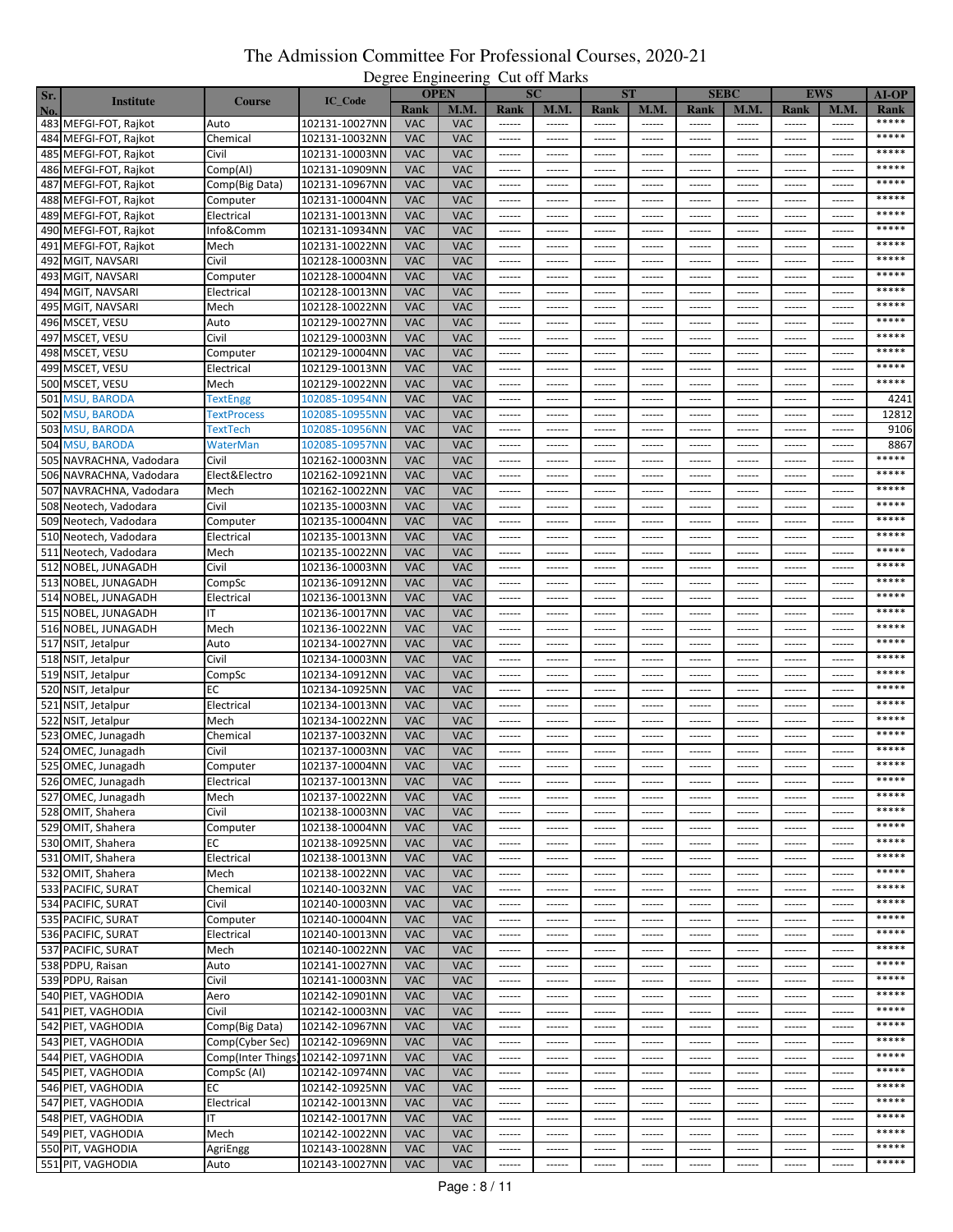| Sr. |                         |                    |                |            | -----------<br><b>OPEN</b> |                                                                                                                                                                                                                                                                                                                                                                                                                                                                                        | <b>SC</b>       |                        | <b>ST</b>     |                     | <b>SEBC</b>   |                 | <b>EWS</b>    | <b>AI-OP</b> |
|-----|-------------------------|--------------------|----------------|------------|----------------------------|----------------------------------------------------------------------------------------------------------------------------------------------------------------------------------------------------------------------------------------------------------------------------------------------------------------------------------------------------------------------------------------------------------------------------------------------------------------------------------------|-----------------|------------------------|---------------|---------------------|---------------|-----------------|---------------|--------------|
|     | <b>Institute</b>        | <b>Course</b>      | IC_Code        | Rank       | M.M.                       | Rank                                                                                                                                                                                                                                                                                                                                                                                                                                                                                   | <b>M.M.</b>     | Rank                   | <b>M.M.</b>   | Rank                | M.M.          | Rank            | M.M.          | Rank         |
| No. | 483 MEFGI-FOT, Rajkot   | Auto               | 102131-10027NN | <b>VAC</b> | <b>VAC</b>                 |                                                                                                                                                                                                                                                                                                                                                                                                                                                                                        | ------          | ------                 | ------        | $-----$             |               |                 | ------        | *****        |
|     | 484 MEFGI-FOT, Rajkot   | Chemical           | 102131-10032NN | <b>VAC</b> | <b>VAC</b>                 | ------                                                                                                                                                                                                                                                                                                                                                                                                                                                                                 | ------          | ------                 | ------        | ------              | ------        | ------          | ------        | *****        |
|     |                         | Civil              |                | <b>VAC</b> | <b>VAC</b>                 | $- - - - - -$                                                                                                                                                                                                                                                                                                                                                                                                                                                                          | $- - - - - -$   | ------                 | ------        | ------              | ------        | $- - - - - - -$ | ------        | *****        |
|     | 485 MEFGI-FOT, Rajkot   |                    | 102131-10003NN |            |                            |                                                                                                                                                                                                                                                                                                                                                                                                                                                                                        |                 |                        |               |                     |               |                 |               | *****        |
|     | 486 MEFGI-FOT, Rajkot   | Comp(AI)           | 102131-10909NN | <b>VAC</b> | <b>VAC</b>                 | ------                                                                                                                                                                                                                                                                                                                                                                                                                                                                                 | ------          | ------                 | ------        | ------              | ------        | ------          | ------        | *****        |
|     | 487 MEFGI-FOT, Rajkot   | Comp(Big Data)     | 102131-10967NN | <b>VAC</b> | <b>VAC</b>                 | ------                                                                                                                                                                                                                                                                                                                                                                                                                                                                                 | ------          | ------                 | ------        | $-----1$            | ------        | ------          | ------        |              |
|     | 488 MEFGI-FOT, Rajkot   | Computer           | 102131-10004NN | <b>VAC</b> | <b>VAC</b>                 | $- - - - - -$                                                                                                                                                                                                                                                                                                                                                                                                                                                                          | ------          | ------                 | ------        | ------              | ------        | $- - - - -$     | ------        | *****        |
|     | 489 MEFGI-FOT, Rajkot   | Electrical         | 102131-10013NN | <b>VAC</b> | <b>VAC</b>                 | ------                                                                                                                                                                                                                                                                                                                                                                                                                                                                                 | ------          | ------                 | ------        |                     |               | $1 - 1 - 1 - 1$ | ------        | *****        |
|     | 490 MEFGI-FOT, Rajkot   | Info&Comm          | 102131-10934NN | <b>VAC</b> | <b>VAC</b>                 | $-----1$                                                                                                                                                                                                                                                                                                                                                                                                                                                                               | $- - - - - -$   | ------                 | ------        | $-----1$            | $-----1$      | ------          | ------        | *****        |
|     | 491 MEFGI-FOT, Rajkot   | Mech               | 102131-10022NN | <b>VAC</b> | <b>VAC</b>                 | $-----1$                                                                                                                                                                                                                                                                                                                                                                                                                                                                               | $- - - - - -$   | ------                 | ------        | ------              | ------        | ------          | ------        | *****        |
|     | 492 MGIT, NAVSARI       | Civil              | 102128-10003NN | <b>VAC</b> | <b>VAC</b>                 | $- - - - - -$                                                                                                                                                                                                                                                                                                                                                                                                                                                                          | $- - - - - - -$ | ------                 | ------        | $- - - - - - -$     | $- - - - - -$ | $- - - - - - -$ | ------        | *****        |
|     | 493 MGIT, NAVSARI       | Computer           | 102128-10004NN | <b>VAC</b> | <b>VAC</b>                 | ------                                                                                                                                                                                                                                                                                                                                                                                                                                                                                 | ------          |                        |               |                     | -----         |                 |               | *****        |
|     | 494 MGIT, NAVSARI       | Electrical         | 102128-10013NN | <b>VAC</b> | <b>VAC</b>                 | ------                                                                                                                                                                                                                                                                                                                                                                                                                                                                                 | $- - - - - -$   | ------                 | ------        | $- - - - - -$       | $- - - - - -$ | $- - - - - -$   | ------        | *****        |
|     | 495 MGIT, NAVSARI       | Mech               | 102128-10022NN | <b>VAC</b> | <b>VAC</b>                 | ------                                                                                                                                                                                                                                                                                                                                                                                                                                                                                 | ------          | ------                 | ------        | ------              | ------        | ------          | ------        | *****        |
|     | 496 MSCET, VESU         | Auto               | 102129-10027NN | <b>VAC</b> | <b>VAC</b>                 |                                                                                                                                                                                                                                                                                                                                                                                                                                                                                        | ------          | ------                 | ------        | ------              | ------        | ------          | ------        | *****        |
|     | 497 MSCET, VESU         | Civil              | 102129-10003NN | <b>VAC</b> | <b>VAC</b>                 | $-----1$                                                                                                                                                                                                                                                                                                                                                                                                                                                                               | ------          | ------                 | ------        | $1 - 1 - 1 - 1 = 1$ | $- - - - - -$ | $- - - - - -$   | ------        | *****        |
|     | 498 MSCET, VESU         | Computer           | 102129-10004NN | <b>VAC</b> | <b>VAC</b>                 | ------                                                                                                                                                                                                                                                                                                                                                                                                                                                                                 | ------          | ------                 | ------        | ------              | ------        |                 | ------        | *****        |
|     | 499 MSCET, VESU         | Electrical         | 102129-10013NN | <b>VAC</b> | <b>VAC</b>                 |                                                                                                                                                                                                                                                                                                                                                                                                                                                                                        | $- - - - - -$   | ------                 | ------        | ------              | ------        | $- - - - - -$   | ------        | *****        |
|     |                         |                    |                |            |                            |                                                                                                                                                                                                                                                                                                                                                                                                                                                                                        |                 |                        |               |                     |               |                 |               | *****        |
|     | 500 MSCET, VESU         | Mech               | 102129-10022NN | <b>VAC</b> | <b>VAC</b>                 | ------                                                                                                                                                                                                                                                                                                                                                                                                                                                                                 | ------          | ------                 | ------        | ------              | ------        | ------          | ------        |              |
|     | 501 MSU, BARODA         | <b>TextEngg</b>    | 102085-10954NN | <b>VAC</b> | <b>VAC</b>                 | $- - - - - -$                                                                                                                                                                                                                                                                                                                                                                                                                                                                          | $- - - - - - -$ | $- - - - - -$          | ------        | $- - - - - -$       | $- - - - - -$ | $- - - - - - -$ | ------        | 4241         |
| 502 | <b>MSU, BARODA</b>      | <b>TextProcess</b> | 102085-10955NN | <b>VAC</b> | <b>VAC</b>                 | $-----1$                                                                                                                                                                                                                                                                                                                                                                                                                                                                               | ------          | ------                 | ------        | ------              | ------        | ------          | ------        | 12812        |
|     | 503 MSU, BARODA         | TextTech           | 102085-10956NN | <b>VAC</b> | <b>VAC</b>                 |                                                                                                                                                                                                                                                                                                                                                                                                                                                                                        | $- - - - - -$   | ------                 | ------        | $- - - - - -$       | $- - - - - -$ | $- - - - - -$   | $- - - - - -$ | 9106         |
|     | 504 MSU, BARODA         | WaterMan           | 102085-10957NN | <b>VAC</b> | <b>VAC</b>                 | $-----1$                                                                                                                                                                                                                                                                                                                                                                                                                                                                               | ------          | ------                 | ------        | ------              | ------        | ------          | -----         | 8867         |
|     | 505 NAVRACHNA, Vadodara | Civil              | 102162-10003NN | <b>VAC</b> | <b>VAC</b>                 | $\begin{array}{cccccccccc} \multicolumn{2}{c}{} & \multicolumn{2}{c}{} & \multicolumn{2}{c}{} & \multicolumn{2}{c}{} & \multicolumn{2}{c}{} & \multicolumn{2}{c}{} & \multicolumn{2}{c}{} & \multicolumn{2}{c}{} & \multicolumn{2}{c}{} & \multicolumn{2}{c}{} & \multicolumn{2}{c}{} & \multicolumn{2}{c}{} & \multicolumn{2}{c}{} & \multicolumn{2}{c}{} & \multicolumn{2}{c}{} & \multicolumn{2}{c}{} & \multicolumn{2}{c}{} & \multicolumn{2}{c}{} & \multicolumn{2}{c}{} & \mult$ | ------          | ------                 | ------        | $1 - 1 - 1 - 1 = 1$ | ------        | ------          | ------        | *****        |
|     | 506 NAVRACHNA, Vadodara | Elect&Electro      | 102162-10921NN | <b>VAC</b> | <b>VAC</b>                 |                                                                                                                                                                                                                                                                                                                                                                                                                                                                                        | ------          | ------                 | ------        | ------              | ------        | $- - - - - -$   | ------        | *****        |
|     | 507 NAVRACHNA, Vadodara | Mech               | 102162-10022NN | <b>VAC</b> | <b>VAC</b>                 | ------                                                                                                                                                                                                                                                                                                                                                                                                                                                                                 | ------          | ------                 | ------        | ------              | ------        | ------          | ------        | *****        |
|     | 508 Neotech, Vadodara   | Civil              | 102135-10003NN | <b>VAC</b> | <b>VAC</b>                 | 1.1.1.1.1                                                                                                                                                                                                                                                                                                                                                                                                                                                                              | $- - - - - -$   | ------                 | ------        | $- - - - - -$       | $- - - - - -$ | $- - - - - -$   | ------        | *****        |
|     | 509 Neotech, Vadodara   | Computer           | 102135-10004NN | <b>VAC</b> | <b>VAC</b>                 | ------                                                                                                                                                                                                                                                                                                                                                                                                                                                                                 | ------          | ------                 | ------        | ------              | ------        | ------          | ------        | *****        |
|     | 510 Neotech, Vadodara   | Electrical         | 102135-10013NN | <b>VAC</b> | <b>VAC</b>                 | $- - - - - -$                                                                                                                                                                                                                                                                                                                                                                                                                                                                          | $- - - - - -$   | ------                 | ------        | ------              | ------        | $- - - - - -$   | ------        | *****        |
|     | 511 Neotech, Vadodara   | Mech               | 102135-10022NN | <b>VAC</b> | <b>VAC</b>                 | ------                                                                                                                                                                                                                                                                                                                                                                                                                                                                                 | ------          | ------                 | ------        | ------              | ------        | ------          | ------        | *****        |
|     | 512 NOBEL, JUNAGADH     | Civil              | 102136-10003NN | <b>VAC</b> | <b>VAC</b>                 | ------                                                                                                                                                                                                                                                                                                                                                                                                                                                                                 | ------          | ------                 | ------        | $-----1$            | ------        | ------          | ------        | *****        |
|     | 513 NOBEL, JUNAGADH     | CompSc             | 102136-10912NN | <b>VAC</b> | <b>VAC</b>                 | $- - - - - -$                                                                                                                                                                                                                                                                                                                                                                                                                                                                          | ------          | ------                 | $- - - - - -$ | ------              | ------        |                 | ------        | *****        |
|     |                         |                    |                | <b>VAC</b> | <b>VAC</b>                 | ------                                                                                                                                                                                                                                                                                                                                                                                                                                                                                 | ------          | ------                 | ------        |                     |               | $- - - - - -$   | ------        | *****        |
|     | 514 NOBEL, JUNAGADH     | Electrical         | 102136-10013NN |            |                            |                                                                                                                                                                                                                                                                                                                                                                                                                                                                                        |                 |                        |               | $1 - 1 - 1 - 1 = 1$ | ------        |                 |               | *****        |
|     | 515 NOBEL, JUNAGADH     | ΙT                 | 102136-10017NN | <b>VAC</b> | <b>VAC</b>                 | $-----1$                                                                                                                                                                                                                                                                                                                                                                                                                                                                               | ------          | ------                 | ------        | $-----1$            | $-----1$      | ------          | ------        | *****        |
|     | 516 NOBEL, JUNAGADH     | Mech               | 102136-10022NN | <b>VAC</b> | <b>VAC</b>                 | $-----1$                                                                                                                                                                                                                                                                                                                                                                                                                                                                               | $- - - - - -$   | ------                 | ------        | ------              | ------        | ------          | ------        |              |
|     | 517 NSIT, Jetalpur      | Auto               | 102134-10027NN | <b>VAC</b> | <b>VAC</b>                 | $- - - - - -$                                                                                                                                                                                                                                                                                                                                                                                                                                                                          | $- - - - - - -$ | ------                 | ------        | $- - - - - - -$     | $- - - - - -$ | $- - - - - - -$ | ------        | *****        |
|     | 518 NSIT, Jetalpur      | Civil              | 102134-10003NN | <b>VAC</b> | <b>VAC</b>                 | ------                                                                                                                                                                                                                                                                                                                                                                                                                                                                                 | ------          | ------                 |               | -----               | -----         |                 |               | *****        |
|     | 519 NSIT, Jetalpur      | CompSc             | 102134-10912NN | <b>VAC</b> | <b>VAC</b>                 | ------                                                                                                                                                                                                                                                                                                                                                                                                                                                                                 | $- - - - - -$   | ------                 | ------        | $- - - - - -$       | $- - - - - -$ | $- - - - - -$   | ------        | *****        |
|     | 520 NSIT, Jetalpur      | EС                 | 102134-10925NN | <b>VAC</b> | <b>VAC</b>                 | ------                                                                                                                                                                                                                                                                                                                                                                                                                                                                                 | ------          | ------                 | ------        | ------              | ------        | ------          | ------        | *****        |
|     | 521 NSIT, Jetalpur      | Electrical         | 102134-10013NN | <b>VAC</b> | <b>VAC</b>                 |                                                                                                                                                                                                                                                                                                                                                                                                                                                                                        | ------          | ------                 | ------        | ------              | ------        | ------          | ------        | *****        |
|     | 522 NSIT, Jetalpur      | Mech               | 102134-10022NN | <b>VAC</b> | <b>VAC</b>                 | ------                                                                                                                                                                                                                                                                                                                                                                                                                                                                                 | ------          | ------                 | ------        | $1 - 1 - 1 - 1 = 1$ | $- - - - - -$ | $- - - - - -$   | ------        | *****        |
|     | 523 OMEC, Junagadh      | Chemical           | 102137-10032NN | <b>VAC</b> | <b>VAC</b>                 | ------                                                                                                                                                                                                                                                                                                                                                                                                                                                                                 | ------          |                        |               | ------              | ------        |                 | ------        | *****        |
|     | 524 OMEC, Junagadh      | Civil              | 102137-10003NN | <b>VAC</b> | <b>VAC</b>                 | ------                                                                                                                                                                                                                                                                                                                                                                                                                                                                                 | ------          | ------                 | ------        | ------              | ------        | ------          | ------        | *****        |
|     | 525 OMEC, Junagadh      | Computer           | 102137-10004NN | <b>VAC</b> | <b>VAC</b>                 | ------                                                                                                                                                                                                                                                                                                                                                                                                                                                                                 | ------          | ------                 | ------        | ------              | ------        | ------          | ------        | *****        |
|     | 526 OMEC, Junagadh      | Electrical         | 102137-10013NN | <b>VAC</b> | <b>VAC</b>                 | ------                                                                                                                                                                                                                                                                                                                                                                                                                                                                                 | ------          | ------                 | ------        | ------              | ------        | ------          | ------        |              |
|     | 527 OMEC, Junagadh      | Mech               | 102137-10022NN | <b>VAC</b> | <b>VAC</b>                 | $\begin{array}{cccccccccc} \multicolumn{2}{c}{} & \multicolumn{2}{c}{} & \multicolumn{2}{c}{} & \multicolumn{2}{c}{} & \multicolumn{2}{c}{} & \multicolumn{2}{c}{} & \multicolumn{2}{c}{} & \multicolumn{2}{c}{} & \multicolumn{2}{c}{} & \multicolumn{2}{c}{} & \multicolumn{2}{c}{} & \multicolumn{2}{c}{} & \multicolumn{2}{c}{} & \multicolumn{2}{c}{} & \multicolumn{2}{c}{} & \multicolumn{2}{c}{} & \multicolumn{2}{c}{} & \multicolumn{2}{c}{} & \multicolumn{2}{c}{} & \mult$ | $- - - - - - -$ | $- - - - - -$          | ------        | $- - - - - -$       | $- - - - - -$ | $- - - - - - -$ | ------        | *****        |
|     | 528 OMIT, Shahera       | Civil              | 102138-10003NN | <b>VAC</b> | <b>VAC</b>                 | $\begin{array}{cccccccccc} \multicolumn{2}{c}{} & \multicolumn{2}{c}{} & \multicolumn{2}{c}{} & \multicolumn{2}{c}{} & \multicolumn{2}{c}{} & \multicolumn{2}{c}{} & \multicolumn{2}{c}{} & \multicolumn{2}{c}{} & \multicolumn{2}{c}{} & \multicolumn{2}{c}{} & \multicolumn{2}{c}{} & \multicolumn{2}{c}{} & \multicolumn{2}{c}{} & \multicolumn{2}{c}{} & \multicolumn{2}{c}{} & \multicolumn{2}{c}{} & \multicolumn{2}{c}{} & \multicolumn{2}{c}{} & \multicolumn{2}{c}{} & \mult$ | $- - - - - -$   | $- - - - - -$          | ------        | $- - - - - -$       | $- - - - - -$ | $- - - - - -$   | $- - - - - -$ | *****        |
|     | 529 OMIT, Shahera       | Computer           | 102138-10004NN | <b>VAC</b> | <b>VAC</b>                 | $-----1$                                                                                                                                                                                                                                                                                                                                                                                                                                                                               | $- - - - - -$   | ------                 | ------        | ------              | ------        | ------          | ------        | *****        |
|     | 530 OMIT, Shahera       | EС                 | 102138-10925NN | <b>VAC</b> | VAC                        | $-----1$                                                                                                                                                                                                                                                                                                                                                                                                                                                                               | $- - - - - - -$ | $- - - - - -$          | ------        | $-----1$            | $-----1$      | $- - - - - - -$ | ------        | *****        |
|     | 531 OMIT, Shahera       |                    | 102138-10013NN | <b>VAC</b> | <b>VAC</b>                 | $- - - - - -$                                                                                                                                                                                                                                                                                                                                                                                                                                                                          | $- - - - - - -$ | ------                 |               |                     | $- - - - - -$ | $- - - - - - -$ | ------        | *****        |
|     |                         | Electrical         |                |            |                            |                                                                                                                                                                                                                                                                                                                                                                                                                                                                                        |                 |                        | ------        | $- - - - - -$       |               |                 |               | *****        |
|     | 532 OMIT, Shahera       | Mech               | 102138-10022NN | <b>VAC</b> | <b>VAC</b>                 | ------                                                                                                                                                                                                                                                                                                                                                                                                                                                                                 | ------          | ------                 | ------        | ------              | ------        | ------          | ------        | *****        |
|     | 533 PACIFIC, SURAT      | Chemical           | 102140-10032NN | <b>VAC</b> | <b>VAC</b>                 | $\cdots \cdots \cdots$                                                                                                                                                                                                                                                                                                                                                                                                                                                                 | $- - - - - -$   | $\cdots \cdots \cdots$ | ------        | $- - - - - -$       | $- - - - - -$ | $- - - - - -$   | $- - - - - -$ |              |
|     | 534 PACIFIC, SURAT      | Civil              | 102140-10003NN | <b>VAC</b> | <b>VAC</b>                 | ------                                                                                                                                                                                                                                                                                                                                                                                                                                                                                 | ------          | ------                 | ------        | ------              | ------        | ------          | ------        | *****        |
|     | 535 PACIFIC, SURAT      | Computer           | 102140-10004NN | <b>VAC</b> | <b>VAC</b>                 | $\begin{array}{cccccccccc} \multicolumn{2}{c}{} & \multicolumn{2}{c}{} & \multicolumn{2}{c}{} & \multicolumn{2}{c}{} & \multicolumn{2}{c}{} & \multicolumn{2}{c}{} & \multicolumn{2}{c}{} & \multicolumn{2}{c}{} & \multicolumn{2}{c}{} & \multicolumn{2}{c}{} & \multicolumn{2}{c}{} & \multicolumn{2}{c}{} & \multicolumn{2}{c}{} & \multicolumn{2}{c}{} & \multicolumn{2}{c}{} & \multicolumn{2}{c}{} & \multicolumn{2}{c}{} & \multicolumn{2}{c}{} & \multicolumn{2}{c}{} & \mult$ | $- - - - - -$   | ------                 | ------        | $- - - - - -$       | $- - - - - -$ | $- - - - - - -$ | ------        | *****        |
|     | 536 PACIFIC, SURAT      | Electrical         | 102140-10013NN | <b>VAC</b> | <b>VAC</b>                 | ------                                                                                                                                                                                                                                                                                                                                                                                                                                                                                 | ------          | ------                 | ------        | ------              | ------        | ------          | ------        | *****        |
|     | 537 PACIFIC, SURAT      | Mech               | 102140-10022NN | <b>VAC</b> | <b>VAC</b>                 | ------                                                                                                                                                                                                                                                                                                                                                                                                                                                                                 | ------          | ------                 | ------        | $- - - - - -$       | $-----$       | ------          | ------        | *****        |
|     | 538 PDPU, Raisan        | Auto               | 102141-10027NN | <b>VAC</b> | <b>VAC</b>                 | $- - - - - -$                                                                                                                                                                                                                                                                                                                                                                                                                                                                          | $- - - - - - -$ | ------                 | ------        | $- - - - - -$       | $- - - - - -$ | $- - - - - -$   | ------        | *****        |
|     | 539 PDPU, Raisan        | Civil              | 102141-10003NN | <b>VAC</b> | <b>VAC</b>                 | ------                                                                                                                                                                                                                                                                                                                                                                                                                                                                                 | $- - - - - -$   | $- - - - - -$          | ------        | $-----1$            | $-----1$      | $- - - - - -$   | ------        | *****        |
|     | 540 PIET, VAGHODIA      | Aero               | 102142-10901NN | <b>VAC</b> | <b>VAC</b>                 | $\begin{array}{cccccccccc} \multicolumn{2}{c}{} & \multicolumn{2}{c}{} & \multicolumn{2}{c}{} & \multicolumn{2}{c}{} & \multicolumn{2}{c}{} & \multicolumn{2}{c}{} & \multicolumn{2}{c}{} & \multicolumn{2}{c}{} & \multicolumn{2}{c}{} & \multicolumn{2}{c}{} & \multicolumn{2}{c}{} & \multicolumn{2}{c}{} & \multicolumn{2}{c}{} & \multicolumn{2}{c}{} & \multicolumn{2}{c}{} & \multicolumn{2}{c}{} & \multicolumn{2}{c}{} & \multicolumn{2}{c}{} & \multicolumn{2}{c}{} & \mult$ | ------          | ------                 | ------        | $- - - - - -$       | $-----1$      | ------          | ------        | *****        |
|     | 541 PIET, VAGHODIA      | Civil              | 102142-10003NN | <b>VAC</b> | VAC                        | $-----1$                                                                                                                                                                                                                                                                                                                                                                                                                                                                               | $- - - - - -$   | $- - - - - -$          | ------        | $- - - - - -$       | $- - - - - -$ | $- - - - - -$   | ------        | *****        |
|     | 542 PIET, VAGHODIA      | Comp(Big Data)     | 102142-10967NN | <b>VAC</b> | <b>VAC</b>                 | $-----1$                                                                                                                                                                                                                                                                                                                                                                                                                                                                               | ------          | ------                 | ------        | $- - - - - -$       | $-----1$      | $-----1$        | ------        | *****        |
|     | 543 PIET, VAGHODIA      | Comp(Cyber Sec)    | 102142-10969NN | <b>VAC</b> | <b>VAC</b>                 | ------                                                                                                                                                                                                                                                                                                                                                                                                                                                                                 | ------          | ------                 | ------        | ------              | ------        | ------          | ------        | *****        |
|     | 544 PIET, VAGHODIA      | Comp(Inter Things) | 102142-10971NN | <b>VAC</b> | <b>VAC</b>                 | $\cdots \cdots \cdots$                                                                                                                                                                                                                                                                                                                                                                                                                                                                 | $- - - - - -$   | $\cdots \cdots \cdots$ | $- - - - - -$ | $- - - - - -$       | $- - - - - -$ | $- - - - - -$   | $- - - - - -$ | *****        |
|     | 545 PIET, VAGHODIA      | CompSc (AI)        | 102142-10974NN | <b>VAC</b> | <b>VAC</b>                 | $- - - - - -$                                                                                                                                                                                                                                                                                                                                                                                                                                                                          | ------          | ------                 | ------        | ------              | ------        | ------          | ------        | *****        |
|     | 546 PIET, VAGHODIA      | EС                 | 102142-10925NN | <b>VAC</b> | <b>VAC</b>                 | $-----1$                                                                                                                                                                                                                                                                                                                                                                                                                                                                               | $- - - - - -$   | ------                 | ------        | $- - - - - -$       |               | $- - - - - -$   | ------        | *****        |
|     |                         |                    |                |            |                            |                                                                                                                                                                                                                                                                                                                                                                                                                                                                                        |                 |                        |               |                     |               |                 |               | *****        |
|     | 547 PIET, VAGHODIA      | Electrical         | 102142-10013NN | <b>VAC</b> | <b>VAC</b>                 | $-----1$                                                                                                                                                                                                                                                                                                                                                                                                                                                                               | $- - - - - -$   | $- - - - - -$          | ------        | $-----1$            | $-----1$      | $- - - - - - -$ | ------        | *****        |
|     | 548 PIET, VAGHODIA      | ΙT                 | 102142-10017NN | <b>VAC</b> | <b>VAC</b>                 | ------                                                                                                                                                                                                                                                                                                                                                                                                                                                                                 | ------          | ------                 | ------        | ------              | ------        | ------          | ------        | *****        |
|     | 549 PIET, VAGHODIA      | Mech               | 102142-10022NN | <b>VAC</b> | <b>VAC</b>                 | $- - - - - -$                                                                                                                                                                                                                                                                                                                                                                                                                                                                          | $- - - - - - -$ | ------                 | ------        | $- - - - - -$       | $- - - - - -$ | $- - - - - - -$ | ------        |              |
|     | 550 PIT, VAGHODIA       | AgriEngg           | 102143-10028NN | <b>VAC</b> | <b>VAC</b>                 | ------                                                                                                                                                                                                                                                                                                                                                                                                                                                                                 | ------          | ------                 | ------        | ------              | ------        | ------          | ------        | *****        |
|     | 551 PIT, VAGHODIA       | Auto               | 102143-10027NN | <b>VAC</b> | VAC                        | $-----1$                                                                                                                                                                                                                                                                                                                                                                                                                                                                               | $- - - - - -$   | ------                 | ------        | $- - - - - -$       | $-----1$      | $-----1$        | ------        | *****        |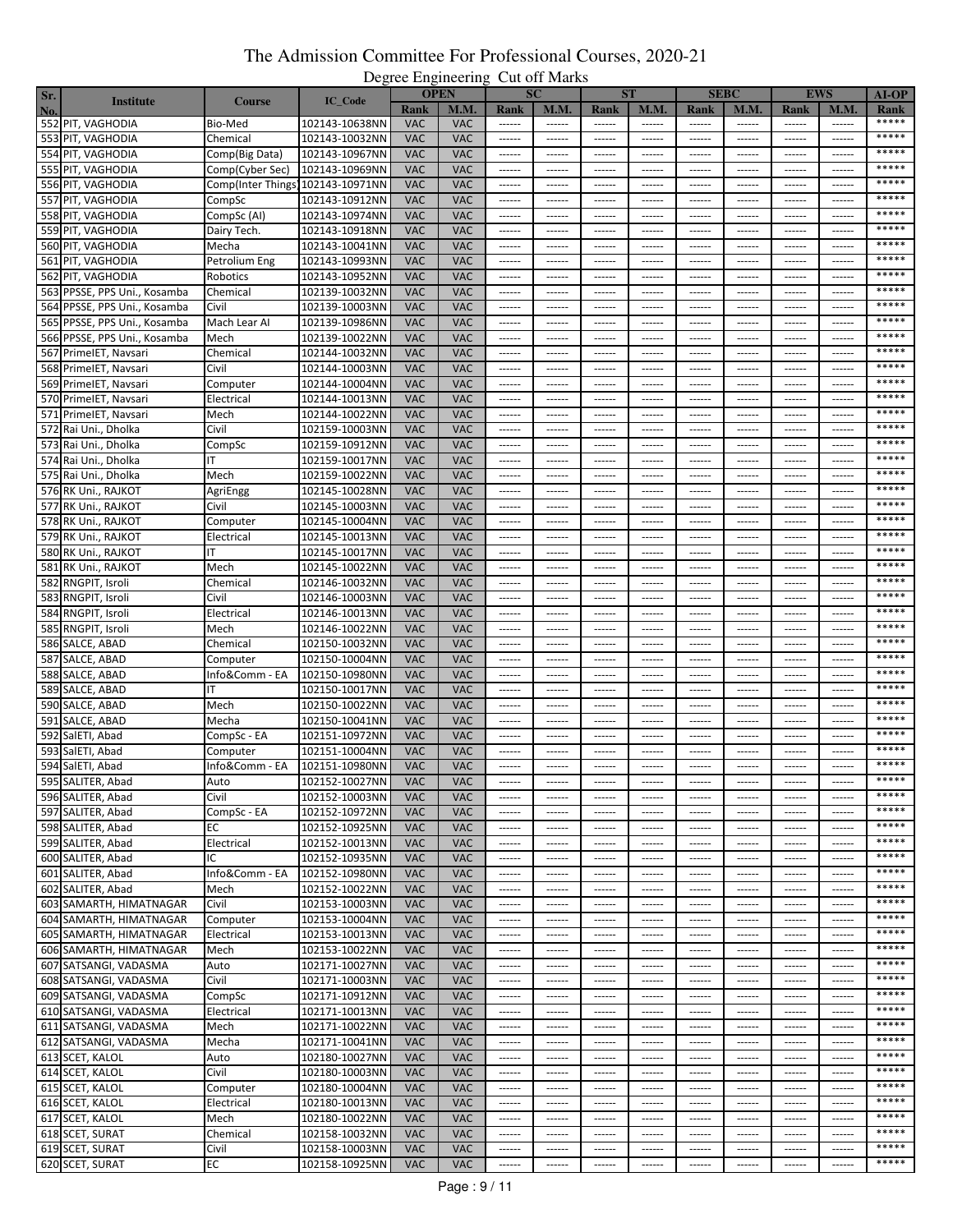| Sr. |                              |                                   |                |            | <u>- 2010 - 11511120 1111</u><br><b>OPEN</b> | $\ddotsc$              | <b>SC</b>     | <b>ST</b>     |               |                 | <b>SEBC</b>   |                 | <b>EWS</b>    | <b>AI-OP</b> |
|-----|------------------------------|-----------------------------------|----------------|------------|----------------------------------------------|------------------------|---------------|---------------|---------------|-----------------|---------------|-----------------|---------------|--------------|
| No. | <b>Institute</b>             | <b>Course</b>                     | IC_Code        | Rank       | <b>M.M.</b>                                  | Rank                   | <b>M.M.</b>   | Rank          | <b>M.M.</b>   | Rank            | M.M.          | Rank            | M.M.          | Rank         |
|     | 552 PIT, VAGHODIA            | Bio-Med                           | 102143-10638NN | <b>VAC</b> | <b>VAC</b>                                   |                        |               | $-----$       | ------        | $-----$         | ------        | 1.1.1.1.1       | ------        | *****        |
|     | 553 PIT, VAGHODIA            | Chemical                          | 102143-10032NN | <b>VAC</b> | <b>VAC</b>                                   | ------                 | ------        | ------        | ------        | ------          | ------        | ------          | ------        | *****        |
|     | 554 PIT, VAGHODIA            | Comp(Big Data)                    | 102143-10967NN | <b>VAC</b> | <b>VAC</b>                                   | $- - - - - -$          | ------        | ------        | ------        | $- - - - - -$   | $- - - - - -$ | $- - - - - -$   | ------        | *****        |
|     | 555 PIT, VAGHODIA            | Comp(Cyber Sec)                   | 102143-10969NN | <b>VAC</b> | <b>VAC</b>                                   | ------                 | ------        | ------        | ------        | ------          | ------        | ------          | ------        | *****        |
|     | 556 PIT, VAGHODIA            | Comp(Inter Things) 102143-10971NN |                | <b>VAC</b> | <b>VAC</b>                                   | ------                 | ------        | ------        | ------        | ------          | ------        | ------          | ------        | *****        |
|     | 557 PIT, VAGHODIA            |                                   | 102143-10912NN | <b>VAC</b> | <b>VAC</b>                                   |                        | ------        | ------        | ------        | $- - - - - -$   | $- - - - - -$ | ------          | ------        | *****        |
|     |                              | CompSc                            |                | <b>VAC</b> | <b>VAC</b>                                   |                        |               |               |               |                 |               |                 |               | *****        |
|     | 558 PIT, VAGHODIA            | CompSc (AI)                       | 102143-10974NN |            |                                              | ------                 | ------        | ------        | ------        | $- - - - - -$   | ------        | ------          | ------        | *****        |
|     | 559 PIT, VAGHODIA            | Dairy Tech.                       | 102143-10918NN | <b>VAC</b> | <b>VAC</b>                                   | $-----1$               | ------        | ------        | ------        | $-----$         | ------        | ------          | ------        | *****        |
|     | 560 PIT, VAGHODIA            | Mecha                             | 102143-10041NN | <b>VAC</b> | <b>VAC</b>                                   | $-----1$               | ------        | ------        | ------        | $- - - - - -$   | ------        | ------          | ------        | *****        |
|     | 561 PIT, VAGHODIA            | Petrolium Eng                     | 102143-10993NN | <b>VAC</b> | VAC                                          | ------                 | ------        | ------        | ------        | $- - - - - -$   | $- - - - - -$ | $- - - - - -$   | ------        |              |
|     | 562 PIT, VAGHODIA            | Robotics                          | 102143-10952NN | <b>VAC</b> | <b>VAC</b>                                   | ------                 | ------        | ------        | ------        | ------          | -----         | -----           | -----         | *****        |
|     | 563 PPSSE, PPS Uni., Kosamba | Chemical                          | 102139-10032NN | <b>VAC</b> | <b>VAC</b>                                   | $-----1$               | $- - - - - -$ | ------        | ------        | $-----$         | $-----1$      | $-----1$        | ------        | *****        |
|     | 564 PPSSE, PPS Uni., Kosamba | Civil                             | 102139-10003NN | <b>VAC</b> | <b>VAC</b>                                   | ------                 | ------        | ------        | ------        | $- - - - - -$   | ------        | ------          |               | *****        |
|     | 565 PPSSE, PPS Uni., Kosamba | Mach Lear Al                      | 102139-10986NN | <b>VAC</b> | <b>VAC</b>                                   | ------                 | ------        | ------        | ------        | $- - - - - -$   | ------        | ------          | ------        | *****        |
|     | 566 PPSSE, PPS Uni., Kosamba | Mech                              | 102139-10022NN | <b>VAC</b> | <b>VAC</b>                                   | $-----1$               | $- - - - - -$ | ------        | ------        | $-----1$        | $-----1$      | $- - - - - -$   | ------        | *****        |
|     | 567 PrimeIET, Navsari        | Chemical                          | 102144-10032NN | <b>VAC</b> | <b>VAC</b>                                   | ------                 | ------        | ------        | ------        | ------          | ------        | ------          | ------        | *****        |
|     | 568 PrimeIET, Navsari        | Civil                             | 102144-10003NN | <b>VAC</b> | <b>VAC</b>                                   | $- - - - - -$          | ------        | ------        | ------        | ------          | ------        | ------          | ------        | *****        |
|     | 569 PrimeIET, Navsari        | Computer                          | 102144-10004NN | <b>VAC</b> | <b>VAC</b>                                   | ------                 | ------        | ------        | ------        | $- - - - - -$   | ------        | ------          | ------        | *****        |
|     | 570 PrimeIET, Navsari        | Electrical                        | 102144-10013NN | <b>VAC</b> | <b>VAC</b>                                   | $- - - - - -$          | ------        | ------        | ------        | $-----$         | $-----1$      | $- - - - - - -$ | ------        | *****        |
|     | 571 PrimeIET, Navsari        | Mech                              | 102144-10022NN | <b>VAC</b> | <b>VAC</b>                                   | ------                 | ------        | ------        | ------        | ------          | ------        | ------          | ------        | *****        |
|     | 572 Rai Uni., Dholka         | Civil                             | 102159-10003NN | <b>VAC</b> | <b>VAC</b>                                   |                        | ------        | ------        | ------        | $- - - - - -$   | $- - - - - -$ | $- - - - - -$   | ------        | *****        |
|     | 573 Rai Uni., Dholka         | CompSc                            | 102159-10912NN | <b>VAC</b> | <b>VAC</b>                                   | ------                 | ------        | ------        | ------        | $- - - - - -$   | ------        | ------          | -----         | *****        |
|     | 574 Rai Uni., Dholka         | ıτ                                | 102159-10017NN | <b>VAC</b> | <b>VAC</b>                                   |                        | $- - - - - -$ | ------        | ------        | $- - - - - -$   | $- - - - - -$ | $- - - - - -$   | ------        | *****        |
|     | 575 Rai Uni., Dholka         | Mech                              | 102159-10022NN | <b>VAC</b> | <b>VAC</b>                                   | ------                 | ------        | ------        | ------        | ------          | ------        | ------          | ------        | *****        |
|     | 576 RK Uni., RAJKOT          | AgriEngg                          | 102145-10028NN | <b>VAC</b> | <b>VAC</b>                                   | ------                 | ------        | ------        | ------        | ------          | ------        | -----           | -----         | *****        |
|     | 577 RK Uni., RAJKOT          | Civil                             | 102145-10003NN | <b>VAC</b> | <b>VAC</b>                                   | $-----1$               | $- - - - - -$ | ------        | ------        | $- - - - - -$   | $- - - - - -$ | $- - - - - -$   | ------        | *****        |
|     | 578 RK Uni., RAJKOT          | Computer                          | 102145-10004NN | <b>VAC</b> | <b>VAC</b>                                   | ------                 | ------        | ------        |               |                 |               |                 | ------        | *****        |
|     | 579 RK Uni., RAJKOT          | Electrical                        | 102145-10013NN | <b>VAC</b> | <b>VAC</b>                                   |                        | ------        | ------        | ------        | $- - - - - -$   | $- - - - - -$ | $- - - - - -$   | ------        | *****        |
|     | 580 RK Uni., RAJKOT          | ΙT                                | 102145-10017NN | <b>VAC</b> | <b>VAC</b>                                   | $-----1$               | ------        | ------        | ------        | ------          | ------        | ------          | ------        | *****        |
|     | 581 RK Uni., RAJKOT          | Mech                              | 102145-10022NN | <b>VAC</b> | <b>VAC</b>                                   | $- - - - - -$          | ------        | ------        | ------        | $- - - - - - -$ | $- - - - - -$ | ------          | ------        | *****        |
|     | 582 RNGPIT, Isroli           | Chemical                          | 102146-10032NN | <b>VAC</b> | <b>VAC</b>                                   | $- - - - - -$          | ------        | ------        | ------        | ------          | ------        | $- - - - - - -$ | ------        | *****        |
|     | 583 RNGPIT, Isroli           | Civil                             | 102146-10003NN | <b>VAC</b> | <b>VAC</b>                                   | ------                 | ------        | ------        | ------        | $- - - - - -$   | ------        | $- - - - - -$   | ------        | *****        |
|     | 584 RNGPIT, Isroli           | Electrical                        | 102146-10013NN | <b>VAC</b> | <b>VAC</b>                                   | $-----1$               | ------        | ------        | ------        | $- - - - - - -$ | $- - - - - -$ | ------          | ------        | *****        |
|     | 585 RNGPIT, Isroli           | Mech                              | 102146-10022NN | <b>VAC</b> | <b>VAC</b>                                   | $- - - - - -$          | ------        | ------        | ------        | $- - - - - -$   | ------        | ------          | ------        | *****        |
|     | 586 SALCE, ABAD              | Chemical                          | 102150-10032NN | <b>VAC</b> | <b>VAC</b>                                   | $- - - - - -$          | ------        | ------        | ------        | $- - - - - - -$ | $- - - - - -$ | $- - - - - -$   | $- - - - - -$ | *****        |
|     | 587 SALCE, ABAD              | Computer                          | 102150-10004NN | <b>VAC</b> | <b>VAC</b>                                   | ------                 | ------        | ------        | ------        | $- - - - - -$   | -----         | -----           | ------        | *****        |
|     | 588 SALCE, ABAD              | Info&Comm - EA                    | 102150-10980NN | <b>VAC</b> | <b>VAC</b>                                   | 1.1.1.1.1              | $- - - - - -$ | ------        | ------        | $- - - - - -$   | $- - - - - -$ | $1 - 1 - 1 - 1$ | ------        | *****        |
|     | 589 SALCE, ABAD              | ΙT                                | 102150-10017NN | <b>VAC</b> | <b>VAC</b>                                   | ------                 | ------        | ------        | ------        | $1 - 1 - 1 - 1$ | ------        | ------          | ------        | *****        |
|     | 590 SALCE, ABAD              | Mech                              | 102150-10022NN | <b>VAC</b> | <b>VAC</b>                                   |                        | ------        | $- - - - - -$ | ------        | $- - - - - -$   | $- - - - - -$ | ------          | ------        | *****        |
|     | 591 SALCE, ABAD              | Mecha                             | 102150-10041NN | <b>VAC</b> | <b>VAC</b>                                   | ------                 | ------        | ------        | ------        | $- - - - - - -$ | $- - - - - -$ | ------          | ------        | *****        |
|     | 592 SalETI, Abad             |                                   | 102151-10972NN | <b>VAC</b> | <b>VAC</b>                                   | $- - - - - -$          | ------        | ------        | ------        | ------          | ------        | ------          | ------        | *****        |
|     |                              | CompSc - EA<br>Computer           | 102151-10004NN | <b>VAC</b> | <b>VAC</b>                                   | ------                 | ------        | ------        | $- - - - - -$ | $- - - - - -$   | $- - - - - -$ | ------          | ------        | *****        |
|     | 593 SalETI, Abad             | Info&Comm - EA                    |                | <b>VAC</b> | <b>VAC</b>                                   | ------                 |               |               |               |                 |               |                 |               | *****        |
|     | 594 SalETI, Abad             |                                   | 102151-10980NN |            |                                              |                        | ------        | ------        | ------        | ------          | ------        | ------          | ------        |              |
|     | 595 SALITER, Abad            | Auto                              | 102152-10027NN | <b>VAC</b> | <b>VAC</b>                                   | ------                 | ------        | ------        | ------        | ------          | ------        | ------          | ------        | *****        |
|     | 596 SALITER, Abad            | Civil                             | 102152-10003NN | <b>VAC</b> | <b>VAC</b>                                   | $- - - - - -$          | $- - - - - -$ | $- - - - - -$ | ------        | $- - - - - - -$ | $- - - - - -$ | $- - - - - - -$ | ------        | *****        |
|     | 597 SALITER, Abad            | CompSc - EA                       | 102152-10972NN | <b>VAC</b> | <b>VAC</b>                                   | $- - - - - -$          | $- - - - - -$ | $- - - - - -$ | ------        | $- - - - - -$   | $- - - - - -$ | $- - - - - -$   | ------        | *****        |
|     | 598 SALITER, Abad            | ЕC                                | 102152-10925NN | <b>VAC</b> | <b>VAC</b>                                   | $- - - - - -$          | ------        | ------        | ------        | ------          | ------        | ------          | ------        | *****        |
|     | 599 SALITER, Abad            | Electrical                        | 102152-10013NN | <b>VAC</b> | <b>VAC</b>                                   | ------                 | $- - - - - -$ | $- - - - - -$ | ------        | $- - - - - -$   | $- - - - - -$ | $- - - - - - -$ | $- - - - - -$ | *****        |
|     | 600 SALITER, Abad            | ΙC                                | 102152-10935NN | <b>VAC</b> | <b>VAC</b>                                   | $- - - - - -$          | ------        | ------        | ------        | $- - - - - -$   | $- - - - - -$ | $- - - - - -$   | ------        |              |
|     | 601 SALITER, Abad            | Info&Comm - EA                    | 102152-10980NN | <b>VAC</b> | <b>VAC</b>                                   | ------                 | ------        | ------        | ------        | ------          | ------        | ------          | ------        | *****        |
|     | 602 SALITER, Abad            | Mech                              | 102152-10022NN | <b>VAC</b> | <b>VAC</b>                                   | $\cdots \cdots \cdots$ | $- - - - - -$ | ------        | ------        | $- - - - - -$   | $- - - - - -$ | 1.1.1.1.1       | $- - - - - -$ | *****        |
|     | 603 SAMARTH, HIMATNAGAR      | Civil                             | 102153-10003NN | <b>VAC</b> | <b>VAC</b>                                   | ------                 | ------        | ------        | ------        | $- - - - - -$   | ------        | ------          | ------        | *****        |
|     | 604 SAMARTH, HIMATNAGAR      | Computer                          | 102153-10004NN | <b>VAC</b> | <b>VAC</b>                                   | $- - - - - -$          | $- - - - - -$ | ------        | ------        | $- - - - - -$   | $- - - - - -$ | $1 - 1 - 1 - 1$ | ------        | *****        |
|     | 605 SAMARTH, HIMATNAGAR      | Electrical                        | 102153-10013NN | <b>VAC</b> | <b>VAC</b>                                   | $-----1$               | ------        | ------        | ------        | $-----1$        | ------        | ------          | ------        | *****        |
|     | 606 SAMARTH, HIMATNAGAR      | Mech                              | 102153-10022NN | <b>VAC</b> | <b>VAC</b>                                   | ------                 | ------        | ------        | $- - - - - -$ | $- - - - - -$   | $-----1$      | $- - - - - -$   | $- - - - - -$ | *****        |
|     | 607 SATSANGI, VADASMA        | Auto                              | 102171-10027NN | <b>VAC</b> | <b>VAC</b>                                   |                        | $- - - - - -$ | ------        | ------        | $- - - - - -$   | $- - - - - -$ | ------          | ------        | *****        |
|     | 608 SATSANGI, VADASMA        | Civil                             | 102171-10003NN | <b>VAC</b> | <b>VAC</b>                                   | ------                 | ------        | ------        | ------        | ------          | ------        | ------          | ------        | *****        |
|     | 609 SATSANGI, VADASMA        | CompSc                            | 102171-10912NN | <b>VAC</b> | <b>VAC</b>                                   | $- - - - - -$          | ------        | ------        | ------        | ------          | ------        | ------          | ------        | *****        |
|     | 610 SATSANGI, VADASMA        | Electrical                        | 102171-10013NN | <b>VAC</b> | <b>VAC</b>                                   | $- - - - - -$          | $- - - - - -$ |               | $- - - - - -$ | $- - - - - -$   | $- - - - - -$ | $- - - - - -$   | $- - - - - -$ | *****        |
|     | 611 SATSANGI, VADASMA        | Mech                              | 102171-10022NN | <b>VAC</b> | <b>VAC</b>                                   | ------                 | ------        | ------        | ------        | $- - - - - -$   | $- - - - - -$ | $- - - - - - -$ | $- - - - - -$ | *****        |
|     | 612 SATSANGI, VADASMA        | Mecha                             | 102171-10041NN | <b>VAC</b> | <b>VAC</b>                                   | ------                 | ------        | ------        | ------        | $-----1$        | ------        | ------          | ------        | *****        |
|     | 613 SCET, KALOL              | Auto                              | 102180-10027NN | <b>VAC</b> | <b>VAC</b>                                   |                        | $- - - - - -$ |               | $-----$       | $-----1$        | ------        | $- - - - - - -$ |               | *****        |
|     | 614 SCET, KALOL              | Civil                             | 102180-10003NN | <b>VAC</b> | <b>VAC</b>                                   | ------                 | ------        | ------        | ------        | $- - - - - -$   | ------        | ------          | ------        | *****        |
|     | 615 SCET, KALOL              | Computer                          | 102180-10004NN | <b>VAC</b> | <b>VAC</b>                                   | ------                 | ------        | ------        | ------        | ------          | ------        | ------          | ------        | *****        |
|     | 616 SCET, KALOL              | Electrical                        | 102180-10013NN | <b>VAC</b> | <b>VAC</b>                                   | $\cdots \cdots \cdots$ | ------        | ------        | ------        | $-----1$        | $-----1$      | ------          | ------        | *****        |
|     | 617 SCET, KALOL              | Mech                              | 102180-10022NN | <b>VAC</b> | <b>VAC</b>                                   | ------                 | ------        | ------        | ------        | ------          | ------        | ------          | $- - - - - -$ | *****        |
|     | 618 SCET, SURAT              | Chemical                          | 102158-10032NN | <b>VAC</b> | <b>VAC</b>                                   | ------                 | ------        | ------        | ------        | $-----$         | ------        | ------          | $- - - - - -$ | *****        |
|     | 619 SCET, SURAT              | Civil                             | 102158-10003NN | <b>VAC</b> | <b>VAC</b>                                   | ------                 | ------        | ------        | ------        | $-----1$        | ------        | ------          | ------        | *****        |
|     | 620 SCET, SURAT              | ЕC                                | 102158-10925NN | <b>VAC</b> | <b>VAC</b>                                   | $-----$                | ------        | ------        | ------        | $- - - - - - -$ | ------        | ------          | ------        | *****        |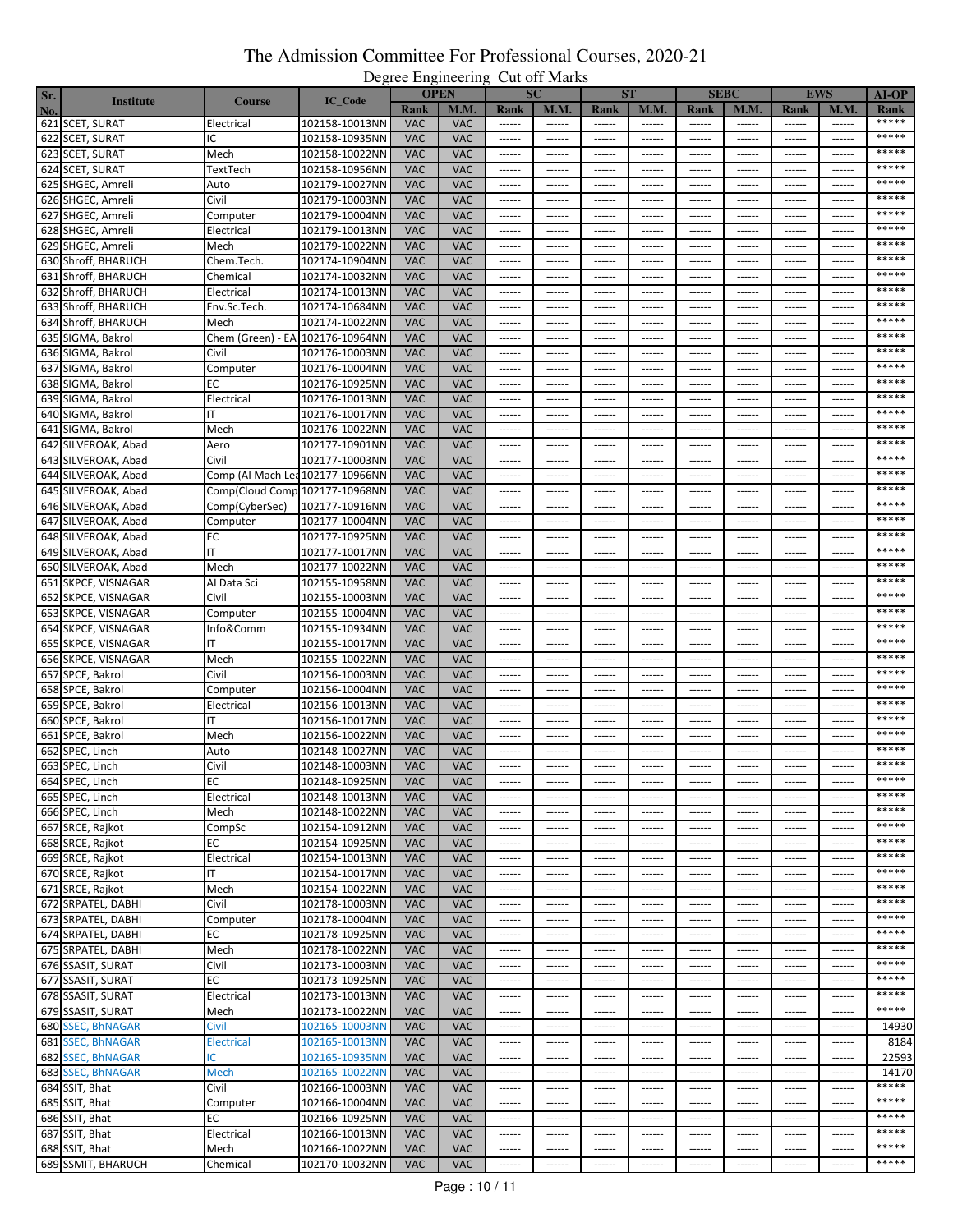| Sr. |                     |                                  |                |            | <u>- 2010 - 11511120 1111</u><br><b>OPEN</b> | $\ddotsc$              | <b>SC</b>     | <b>ST</b>              |               |                 | <b>SEBC</b>     |                 | <b>EWS</b>    | <b>AI-OP</b>   |
|-----|---------------------|----------------------------------|----------------|------------|----------------------------------------------|------------------------|---------------|------------------------|---------------|-----------------|-----------------|-----------------|---------------|----------------|
| No. | <b>Institute</b>    | <b>Course</b>                    | IC_Code        | Rank       | <b>M.M.</b>                                  | Rank                   | <b>M.M.</b>   | Rank                   | <b>M.M.</b>   | Rank            | M.M.            | Rank            | M.M           | Rank           |
|     | 621 SCET, SURAT     | Electrical                       | 102158-10013NN | <b>VAC</b> | <b>VAC</b>                                   | $-----$                | ------        | ------                 | ------        | $-----1$        | $-----$         | ------          | ------        | *****          |
|     | 622 SCET, SURAT     | IC                               | 102158-10935NN | <b>VAC</b> | <b>VAC</b>                                   | ------                 | ------        | ------                 | ------        | ------          | ------          | ------          | ------        | *****          |
|     | 623 SCET, SURAT     | Mech                             | 102158-10022NN | <b>VAC</b> | <b>VAC</b>                                   | ------                 | ------        | ------                 | ------        | ------          | $- - - - - -$   | ------          | $- - - - - -$ | *****          |
|     | 624 SCET, SURAT     | TextTech                         | 102158-10956NN | <b>VAC</b> | <b>VAC</b>                                   | ------                 | ------        | ------                 | ------        | ------          | ------          | ------          | ------        | *****          |
|     |                     |                                  |                | <b>VAC</b> | <b>VAC</b>                                   | $- - - - - -$          | ------        | ------                 | ------        | ------          | ------          | ------          | ------        | *****          |
|     | 625 SHGEC, Amreli   | Auto                             | 102179-10027NN |            |                                              |                        |               |                        |               |                 |                 |                 |               | *****          |
|     | 626 SHGEC, Amreli   | Civil                            | 102179-10003NN | <b>VAC</b> | <b>VAC</b>                                   | $- - - - - -$          | ------        | ------                 | ------        | $- - - - - - -$ | $- - - - - -$   | ------          | $- - - - - -$ | *****          |
|     | 627 SHGEC, Amreli   | Computer                         | 102179-10004NN | <b>VAC</b> | <b>VAC</b>                                   | ------                 | ------        | ------                 |               | ------          | $- - - - - -$   | ------          | $- - - - - -$ | *****          |
|     | 628 SHGEC, Amreli   | Electrical                       | 102179-10013NN | <b>VAC</b> | <b>VAC</b>                                   | $-----1$               | ------        | ------                 | ------        | ------          | ------          | ------          | ------        |                |
|     | 629 SHGEC, Amreli   | Mech                             | 102179-10022NN | <b>VAC</b> | <b>VAC</b>                                   | $- - - - - -$          | ------        | ------                 | ------        | ------          | ------          | ------          | ------        | *****          |
|     | 630 Shroff, BHARUCH | Chem.Tech.                       | 102174-10904NN | <b>VAC</b> | <b>VAC</b>                                   | $- - - - - -$          | ------        | ------                 | $- - - - - -$ | $- - - - - -$   | $- - - - - -$   | ------          | $- - - - - -$ | *****          |
|     | 631 Shroff, BHARUCH | Chemical                         | 102174-10032NN | <b>VAC</b> | <b>VAC</b>                                   | ------                 | ------        | ------                 | -----         | -----           | -----           | -----           | -----         | *****          |
|     | 632 Shroff, BHARUCH | Electrical                       | 102174-10013NN | <b>VAC</b> | <b>VAC</b>                                   | 1.1.1.1.1              | $- - - - - -$ | ------                 | $- - - - - -$ | $- - - - - -$   | $- - - - - -$   | ------          | ------        | *****          |
|     | 633 Shroff, BHARUCH | Env.Sc.Tech.                     | 102174-10684NN | <b>VAC</b> | <b>VAC</b>                                   | ------                 | ------        | ------                 | ------        | ------          | ------          | ------          | ------        | *****          |
|     | 634 Shroff, BHARUCH | Mech                             | 102174-10022NN | <b>VAC</b> | <b>VAC</b>                                   | ------                 | ------        | ------                 | ------        | ------          | ------          | ------          | ------        | *****          |
|     | 635 SIGMA, Bakrol   | Chem (Green) - EA 102176-10964NN |                | <b>VAC</b> | <b>VAC</b>                                   | ------                 | ------        | ------                 |               | ------          | ------          | ------          | ------        | *****          |
|     | 636 SIGMA, Bakrol   | Civil                            | 102176-10003NN | <b>VAC</b> | <b>VAC</b>                                   | ------                 | ------        | ------                 | ------        | ------          | ------          | ------          | ------        | *****          |
|     | 637 SIGMA, Bakrol   | Computer                         | 102176-10004NN | <b>VAC</b> | <b>VAC</b>                                   | ------                 | ------        | ------                 | ------        | ------          | ------          | -----           | $- - - - - -$ | *****          |
|     | 638 SIGMA, Bakrol   | ЕC                               | 102176-10925NN | <b>VAC</b> | <b>VAC</b>                                   | ------                 | ------        | ------                 | ------        | ------          | ------          | ------          | ------        | *****          |
|     | 639 SIGMA, Bakrol   | Electrical                       | 102176-10013NN | <b>VAC</b> | <b>VAC</b>                                   | ------                 | ------        | ------                 | $- - - - - -$ | ------          | $- - - - - -$   | ------          | ------        | *****          |
|     | 640 SIGMA, Bakrol   |                                  | 102176-10017NN | <b>VAC</b> | <b>VAC</b>                                   | ------                 | ------        | ------                 | ------        | ------          | ------          | ------          | ------        | *****          |
|     | 641 SIGMA, Bakrol   | Mech                             | 102176-10022NN | <b>VAC</b> | <b>VAC</b>                                   |                        | ------        | ------                 | $- - - - - -$ | $- - - - - -$   | $- - - - - -$   | ------          | $- - - - - -$ | *****          |
|     |                     |                                  |                |            |                                              |                        |               |                        |               |                 |                 |                 |               | *****          |
|     | 642 SILVEROAK, Abad | Aero                             | 102177-10901NN | <b>VAC</b> | <b>VAC</b>                                   | ------                 | ------        | ------                 | $- - - - - -$ | ------          | ------          | ------          | $- - - - - -$ |                |
|     | 643 SILVEROAK, Abad | Civil                            | 102177-10003NN | <b>VAC</b> | <b>VAC</b>                                   |                        | ------        | ------                 | $- - - - - -$ | $- - - - - -$   | $- - - - - -$   | ------          | ------        | *****<br>***** |
|     | 644 SILVEROAK, Abad | Comp (AI Mach Lea 102177-10966NN |                | <b>VAC</b> | <b>VAC</b>                                   | ------                 | ------        | ------                 | ------        | ------          | ------          | ------          | $- - - - - -$ |                |
|     | 645 SILVEROAK, Abad | Comp(Cloud Comp 102177-10968NN   |                | <b>VAC</b> | <b>VAC</b>                                   | ------                 | ------        | ------                 | -----         | -----           | -----           | -----           | -----         | *****          |
|     | 646 SILVEROAK, Abad | Comp(CyberSec)                   | 102177-10916NN | <b>VAC</b> | <b>VAC</b>                                   |                        | $- - - - - -$ | ------                 | $- - - - - -$ | $- - - - - -$   | $- - - - - -$   | ------          | ------        | *****          |
|     | 647 SILVEROAK, Abad | Computer                         | 102177-10004NN | <b>VAC</b> | <b>VAC</b>                                   | ------                 | ------        | ------                 | -----         | -----           | -----           |                 |               | *****          |
|     | 648 SILVEROAK, Abad | ЕC                               | 102177-10925NN | <b>VAC</b> | <b>VAC</b>                                   |                        | ------        | ------                 | $- - - - - -$ | $- - - - - -$   | ------          | ------          | ------        | *****          |
|     | 649 SILVEROAK, Abad | ΙT                               | 102177-10017NN | <b>VAC</b> | <b>VAC</b>                                   | ------                 | ------        | ------                 | ------        | ------          | ------          | ------          | ------        | *****          |
|     | 650 SILVEROAK, Abad | Mech                             | 102177-10022NN | <b>VAC</b> | <b>VAC</b>                                   | $- - - - - -$          | ------        | ------                 | ------        | ------          | ------          | ------          | ------        | *****          |
|     | 651 SKPCE, VISNAGAR | Al Data Sci                      | 102155-10958NN | <b>VAC</b> | <b>VAC</b>                                   |                        | ------        | ------                 | ------        | $- - - - - -$   | ------          | ------          | $- - - - - -$ | *****          |
|     | 652 SKPCE, VISNAGAR | Civil                            | 102155-10003NN | <b>VAC</b> | <b>VAC</b>                                   | ------                 | ------        | ------                 | ------        | ------          | ------          | ------          | ------        | *****          |
|     | 653 SKPCE, VISNAGAR | Computer                         | 102155-10004NN | <b>VAC</b> | <b>VAC</b>                                   | $-----1$               | ------        | ------                 | ------        | ------          | ------          | ------          | $- - - - - -$ | *****          |
|     | 654 SKPCE, VISNAGAR | Info&Comm                        | 102155-10934NN | <b>VAC</b> | <b>VAC</b>                                   | $-----1$               | ------        | ------                 | $- - - - - -$ | $- - - - - -$   | ------          | ------          | ------        | *****          |
|     | 655 SKPCE, VISNAGAR | IΤ                               | 102155-10017NN | <b>VAC</b> | <b>VAC</b>                                   | ------                 | ------        | ------                 | $- - - - - -$ | $- - - - - - -$ | $- - - - - -$   | ------          | $- - - - - -$ | *****          |
|     | 656 SKPCE, VISNAGAR | Mech                             | 102155-10022NN | <b>VAC</b> | <b>VAC</b>                                   | ------                 | ------        | ------                 | ------        | .               | -----           | -----           | ------        | *****          |
|     | 657 SPCE, Bakrol    | Civil                            | 102156-10003NN | <b>VAC</b> | <b>VAC</b>                                   | $-----1$               | $- - - - - -$ | ------                 | $- - - - - -$ | $- - - - - -$   | $- - - - - -$   | ------          | ------        | *****          |
|     |                     |                                  | 102156-10004NN | <b>VAC</b> | <b>VAC</b>                                   |                        |               |                        |               |                 |                 |                 |               | *****          |
|     | 658 SPCE, Bakrol    | Computer                         |                |            |                                              | ------                 | ------        | ------                 | ------        | ------          | ------          | ------          | ------        | *****          |
|     | 659 SPCE, Bakrol    | Electrical                       | 102156-10013NN | <b>VAC</b> | <b>VAC</b>                                   |                        | ------        | ------                 | $- - - - - -$ | $- - - - - -$   | ------          | ------          | $- - - - - -$ |                |
|     | 660 SPCE, Bakrol    | ΙT                               | 102156-10017NN | <b>VAC</b> | <b>VAC</b>                                   | $-----1$               | ------        | ------                 | ------        | ------          | ------          | ------          | ------        | *****          |
|     | 661 SPCE, Bakrol    | Mech                             | 102156-10022NN | <b>VAC</b> | <b>VAC</b>                                   | ------                 | ------        | ------                 | ------        | ------          |                 | ------          | $- - - - - -$ | *****          |
|     | 662 SPEC, Linch     | Auto                             | 102148-10027NN | <b>VAC</b> | <b>VAC</b>                                   | ------                 | ------        | ------                 | $- - - - - -$ | ------          | ------          | ------          | $- - - - - -$ | *****          |
|     | 663 SPEC, Linch     | Civil                            | 102148-10003NN | <b>VAC</b> | <b>VAC</b>                                   | ------                 | ------        | ------                 | ------        | ------          | ------          | ------          | ------        | *****          |
|     | 664 SPEC, Linch     | EC.                              | 102148-10925NN | <b>VAC</b> | <b>VAC</b>                                   | ------                 | ------        | ------                 | ------        | $- - - - - -$   | ------          | ------          | ------        | *****          |
|     | 665 SPEC, Linch     | Electrical                       | 102148-10013NN | <b>VAC</b> | <b>VAC</b>                                   | $- - - - - -$          | $- - - - - -$ | ------                 | $- - - - - -$ | $- - - - - -$   | $- - - - - - -$ | ------          | $- - - - - -$ | *****          |
|     | 666 SPEC, Linch     | Mech                             | 102148-10022NN | <b>VAC</b> | <b>VAC</b>                                   | $- - - - - -$          | ------        | ------                 | $- - - - - -$ | $- - - - - -$   | $- - - - - - -$ | $- - - - - - -$ | $- - - - - -$ | *****          |
|     | 667 SRCE, Rajkot    | CompSc                           | 102154-10912NN | <b>VAC</b> | <b>VAC</b>                                   | $-----1$               | ------        | ------                 | ------        | ------          | ------          | ------          | ------        | *****          |
|     | 668 SRCE, Rajkot    | ЕC                               | 102154-10925NN | <b>VAC</b> | <b>VAC</b>                                   | ------                 | $- - - - - -$ | $-----1$               | ------        | $-----1$        | $-----1$        | ------          | ------        | *****          |
|     | 669 SRCE, Rajkot    | Electrical                       | 102154-10013NN | <b>VAC</b> | <b>VAC</b>                                   | ------                 | ------        | ------                 | $- - - - - -$ | $- - - - - -$   | $- - - - - -$   | ------          | ------        | *****          |
|     | 670 SRCE, Rajkot    | ΙT                               | 102154-10017NN | <b>VAC</b> | <b>VAC</b>                                   | ------                 | ------        | ------                 | ------        | ------          | ------          | ------          | ------        | *****          |
|     | 671 SRCE, Rajkot    | Mech                             | 102154-10022NN | <b>VAC</b> | <b>VAC</b>                                   |                        | $- - - - - -$ | $- - - - - -$          | $- - - - - -$ | $- - - - - -$   | $- - - - - -$   | $- - - - - -$   | $- - - - - -$ | *****          |
|     | 672 SRPATEL, DABHI  | Civil                            | 102178-10003NN | <b>VAC</b> | <b>VAC</b>                                   | ------                 | ------        | ------                 | ------        | ------          | ------          | ------          | ------        | *****          |
|     | 673 SRPATEL, DABHI  | Computer                         | 102178-10004NN | <b>VAC</b> | <b>VAC</b>                                   | $- - - - - -$          | ------        | ------                 | $- - - - - -$ | $- - - - - -$   | ------          | ------          | ------        | *****          |
|     | 674 SRPATEL, DABHI  | ЕC                               | 102178-10925NN | <b>VAC</b> | <b>VAC</b>                                   | ------                 | ------        | ------                 | ------        | ------          | ------          | ------          | ------        | *****          |
|     |                     |                                  |                |            |                                              |                        |               |                        |               |                 |                 |                 |               | *****          |
|     | 675 SRPATEL, DABHI  | Mech                             | 102178-10022NN | <b>VAC</b> | <b>VAC</b>                                   | ------                 | ------        | ------                 | $- - - - - -$ | ------          | $- - - - - -$   | ------          | $- - - - - -$ | *****          |
|     | 676 SSASIT, SURAT   | Civil                            | 102173-10003NN | <b>VAC</b> | <b>VAC</b>                                   | $- - - - - -$          | ------        | ------                 | $- - - - - -$ | $- - - - - -$   | $- - - - - - -$ | ------          | ------        |                |
|     | 677 SSASIT, SURAT   | ЕC                               | 102173-10925NN | <b>VAC</b> | <b>VAC</b>                                   | $- - - - - -$          | ------        | ------                 | $-----1$      | $-----1$        | $- - - - - -$   | ------          | ------        | *****          |
|     | 678 SSASIT, SURAT   | Electrical                       | 102173-10013NN | <b>VAC</b> | <b>VAC</b>                                   | $- - - - - -$          | ------        | ------                 | $-----1$      | $- - - - - -$   | $- - - - - -$   | ------          | ------        | *****          |
|     | 679 SSASIT, SURAT   | Mech                             | 102173-10022NN | <b>VAC</b> | <b>VAC</b>                                   | ------                 | $- - - - - -$ | ------                 | $- - - - - -$ | ------          | $- - - - - -$   | ------          |               | *****          |
|     | 680 SSEC, BhNAGAR   | Civil                            | 102165-10003NN | <b>VAC</b> | <b>VAC</b>                                   | $- - - - - -$          | $- - - - - -$ | ------                 | $- - - - - -$ | $- - - - - -$   | $- - - - - -$   | $- - - - - -$   | ------        | 14930          |
|     | 681 SSEC, BhNAGAR   | Electrical                       | 102165-10013NN | <b>VAC</b> | <b>VAC</b>                                   | $- - - - - -$          | ------        | ------                 | ------        | ------          | ------          | ------          | ------        | 8184           |
|     | 682 SSEC, BhNAGAR   | ΙC                               | 102165-10935NN | <b>VAC</b> | <b>VAC</b>                                   | $\cdots \cdots \cdots$ | $- - - - - -$ | $\cdots \cdots \cdots$ | $- - - - - -$ | $- - - - - -$   | $- - - - - -$   | $- - - - - -$   | $-----1$      | 22593          |
|     | 683 SSEC, BhNAGAR   | Mech                             | 102165-10022NN | <b>VAC</b> | <b>VAC</b>                                   | ------                 | ------        | ------                 | ------        | ------          | ------          | ------          | ------        | 14170          |
|     | 684 SSIT, Bhat      | Civil                            | 102166-10003NN | <b>VAC</b> | <b>VAC</b>                                   | ------                 | ------        | ------                 | ------        | ------          | ------          | ------          | ------        | *****          |
|     | 685 SSIT, Bhat      | Computer                         | 102166-10004NN | <b>VAC</b> | <b>VAC</b>                                   | ------                 | ------        | ------                 | ------        | $-----$         | $-----$         | ------          | ------        | *****          |
|     | 686 SSIT, Bhat      | ЕC                               | 102166-10925NN | <b>VAC</b> | <b>VAC</b>                                   | ------                 | ------        | ------                 | $-----1$      | $-----1$        | ------          | ------          | $- - - - - -$ | *****          |
|     | 687 SSIT, Bhat      | Electrical                       | 102166-10013NN | <b>VAC</b> | <b>VAC</b>                                   | $-----1$               | ------        | ------                 | ------        | ------          | ------          | ------          | ------        | *****          |
|     | 688 SSIT, Bhat      | Mech                             | 102166-10022NN | <b>VAC</b> | <b>VAC</b>                                   | ------                 | ------        | ------                 | ------        | ------          | ------          | ------          | ------        | *****          |
|     | 689 SSMIT, BHARUCH  | Chemical                         | 102170-10032NN | <b>VAC</b> | <b>VAC</b>                                   | $-----$                | ------        | ------                 | ------        | ------          | ------          | ------          | ------        | *****          |